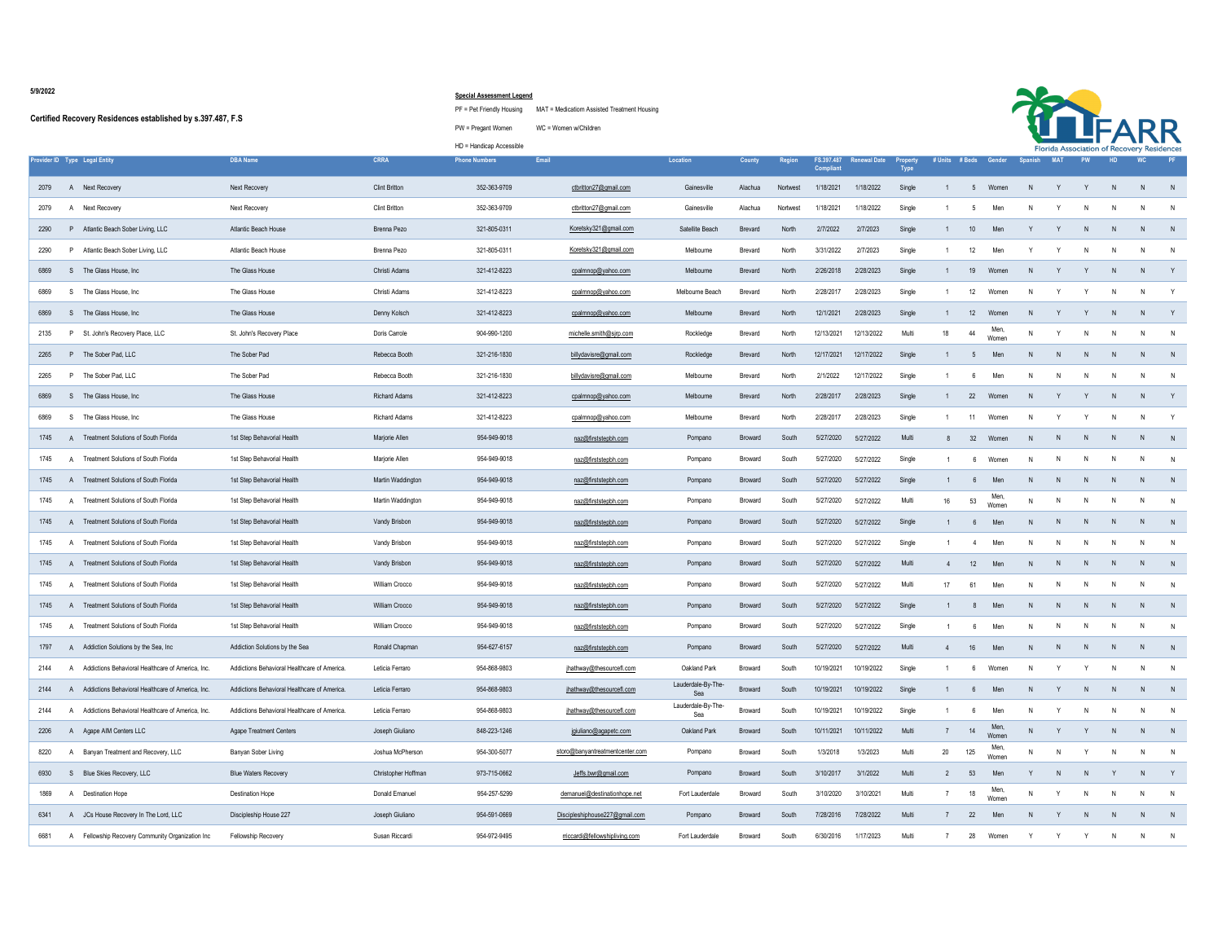**5/9/2022**

## **Certified Recovery Residences established by s.397.487, F.S**

## **Special Assessment Legend**

PF = Pet Friendly Housing MAT = Medicatiom Assisted Treatment Housing





|                                                              |                                              |                      | HD = Handicap Accessible |                                 |                           |                |          |            |                                  |             |                |                 |                               |                |            |    |              | .<br>Florida Association of Recovery Residences |    |
|--------------------------------------------------------------|----------------------------------------------|----------------------|--------------------------|---------------------------------|---------------------------|----------------|----------|------------|----------------------------------|-------------|----------------|-----------------|-------------------------------|----------------|------------|----|--------------|-------------------------------------------------|----|
| Provider ID Type Legal Entity                                | <b>DBA Name</b>                              | <b>CRRA</b>          | <b>Phone Numbers</b>     | Email                           | Location                  | County         | Region   | Compliant  | FS.397.487 Renewal Date Property | <b>Type</b> |                |                 | # Units # Beds Gender Spanish |                | <b>MAT</b> | PW | HD           | <b>WC</b>                                       | PF |
| 2079<br>A Next Recovery                                      | Next Recovery                                | <b>Clint Britton</b> | 352-363-9709             | ctbritton27@gmail.com           | Gainesville               | Alachua        | Nortwest | 1/18/2021  | 1/18/2022                        | Single      | 1              | $5\overline{5}$ | Women                         | N <sub>N</sub> | Y          | Y  | N            | N                                               | N  |
| Next Recovery<br>2079<br>A                                   | Next Recovery                                | <b>Clint Britton</b> | 352-363-9709             | ctbritton27@gmail.com           | Gainesville               | Alachua        | Nortwest | 1/18/2021  | 1/18/2022                        | Single      | $\overline{1}$ | -5              | Men                           |                |            |    | N            | N                                               | N  |
| P Atlantic Beach Sober Living, LLC<br>2290                   | Atlantic Beach House                         | Brenna Pezo          | 321-805-0311             | Koretsky321@gmail.com           | Satellite Beach           | <b>Brevard</b> | North    | 2/7/2022   | 2/7/2023                         | Single      | 1              | 10              | Men                           |                | Y          | N  | N            | N                                               | N  |
| P Atlantic Beach Sober Living, LLC<br>2290                   | Atlantic Beach House                         | Brenna Pezo          | 321-805-0311             | Koretsky321@gmail.com           | Melbourne                 | Brevard        | North    | 3/31/2022  | 2/7/2023                         | Single      | $\overline{1}$ | 12              | Men                           |                |            | N  | N            | N                                               | N  |
| S The Glass House, Inc.<br>6869                              | The Glass House                              | Christi Adams        | 321-412-8223             | cpalmnop@yahoo.com              | Melbourne                 | Brevard        | North    | 2/26/2018  | 2/28/2023                        | Single      | $\mathbf{1}$   | 19              | Women                         | N <sub>N</sub> | Y          |    | N            | N                                               | Y  |
| S The Glass House, Inc.<br>6869                              | The Glass House                              | Christi Adams        | 321-412-8223             | cpalmnop@yahoo.com              | Melbourne Beach           | Brevard        | North    | 2/28/2017  | 2/28/2023                        | Single      | $\overline{1}$ | 12              | Women                         | N              | Y          |    | N            | N                                               | Y  |
| S The Glass House, Inc.<br>6869                              | The Glass House                              | Denny Kolsch         | 321-412-8223             | cpalmnop@yahoo.com              | Melbourne                 | Brevard        | North    | 12/1/2021  | 2/28/2023                        | Single      | $\mathbf{1}$   | 12              | Womer                         |                | Y          |    | N            | N                                               | Y  |
| P St. John's Recovery Place, LLC<br>2135                     | St. John's Recovery Place                    | Doris Carrole        | 904-990-1200             | michelle.smith@sjrp.com         | Rockledge                 | Brevard        | North    | 12/13/2021 | 12/13/2022                       | Multi       | 18             | 44              | Men,<br>Women                 | N              | Y          | N  | N.           | N.                                              | N  |
| P The Sober Pad, LLC<br>2265                                 | The Sober Pad                                | Rebecca Booth        | 321-216-1830             | billydavisre@gmail.com          | Rockledge                 | Brevard        | North    | 12/17/2021 | 12/17/2022                       | Single      | $\overline{1}$ | $5\overline{5}$ | Men                           | N              | N          | N  | N            | N                                               | N  |
| P The Sober Pad. LLC<br>2265                                 | The Sober Pad                                | Rebecca Booth        | 321-216-1830             | billydavisre@gmail.com          | Melhourne                 | Brevard        | North    | 2/1/2022   | 12/17/2022                       | Single      |                | 6               | Men                           | N.             | N          | N  | N            | N                                               | N  |
| 6869<br>S The Glass House, Inc.                              | The Glass House                              | Richard Adams        | 321-412-8223             | cpalmnop@yahoo.com              | Melbourne                 | Brevard        | North    | 2/28/2017  | 2/28/2023                        | Single      | $\mathbf{1}$   | 22              | Women                         | N <sub>N</sub> |            |    | N            | N                                               | Y  |
| S The Glass House, Inc.<br>6869                              | The Glass House                              | Richard Adams        | 321-412-8223             | cpalmnop@yahoo.com              | Melbourne                 | Brevard        | North    | 2/28/2017  | 2/28/2023                        | Single      | $\mathbf{1}$   |                 | 11 Women                      | N.             | Y          |    | N            | N                                               | Y  |
| 1745<br>A Treatment Solutions of South Florida               | 1st Step Behavorial Health                   | Marjorie Allen       | 954-949-9018             | naz@firststepbh.com             | Pompano                   | Broward        | South    | 5/27/2020  | 5/27/2022                        | Multi       | 8              | 32              | Women                         |                | N          | N  | N            | N                                               | N  |
| 1745<br>A Treatment Solutions of South Florida               | 1st Step Behavorial Health                   | Marjorie Allen       | 954-949-9018             | naz@firststepbh.com             | Pompano                   | Broward        | South    | 5/27/2020  | 5/27/2022                        | Single      | $\overline{1}$ | 6               | Women                         | N              | N          | N  | $\mathsf{N}$ | N                                               | N  |
| Treatment Solutions of South Florida<br>1745<br>$\mathbf{A}$ | 1st Step Behavorial Health                   | Martin Waddington    | 954-949-9018             | naz@firststepbh.com             | Pompano                   | <b>Broward</b> | South    | 5/27/2020  | 5/27/2022                        | Single      | $\overline{1}$ | 6               | Men                           | N              | N          | N  | N            | N                                               | N  |
| 1745<br>Treatment Solutions of South Florida<br>$\mathsf{A}$ | 1st Step Behavorial Health                   | Martin Waddington    | 954-949-9018             | naz@firststepbh.com             | Pompano                   | Broward        | South    | 5/27/2020  | 5/27/2022                        | Multi       | 16             | 53              | Men,<br>Women                 | N              | N          | N  | $\mathsf{N}$ | N                                               | N  |
| 1745<br>Treatment Solutions of South Florida<br>$\mathsf{A}$ | 1st Step Behavorial Health                   | Vandy Brisbon        | 954-949-9018             | naz@firststepbh.com             | Pompano                   | Broward        | South    | 5/27/2020  | 5/27/2022                        | Single      | $\overline{1}$ | $6\overline{6}$ | Men                           | N              | N          | N  | N            | N                                               | N  |
| 1745<br>Treatment Solutions of South Florida<br>$\Delta$     | 1st Step Behavorial Health                   | Vandy Brisbon        | 954-949-9018             | naz@firststepbh.com             | Pompano                   | Broward        | South    | 5/27/2020  | 5/27/2022                        | Single      | $\overline{1}$ | $\overline{4}$  | Men                           | N              | N          | N  | N            | N                                               | N  |
| 1745<br>A Treatment Solutions of South Florida               | 1st Step Behavorial Health                   | Vandy Brisbon        | 954-949-9018             | naz@firststepbh.com             | Pompano                   | Broward        | South    | 5/27/2020  | 5/27/2022                        | Multi       | $\overline{4}$ | 12              | Men                           | N              | N          |    | $\mathsf{N}$ | N                                               | N  |
| 1745<br>Treatment Solutions of South Florida                 | 1st Step Behavorial Health                   | William Crocco       | 954-949-9018             | naz@firststepbh.com             | Pompano                   | Broward        | South    | 5/27/2020  | 5/27/2022                        | Multi       | 17             | 61              | Men                           | N              | N          | N  | N            | N.                                              | N  |
| 1745<br>A Treatment Solutions of South Florida               | 1st Step Behavorial Health                   | William Crocco       | 954-949-9018             | naz@firststepbh.com             | Pompano                   | Broward        | South    | 5/27/2020  | 5/27/2022                        | Single      |                | 8               | Men                           |                |            |    | N            | -N                                              | N  |
| 1745<br>Treatment Solutions of South Florida                 | 1st Step Behavorial Health                   | William Crocco       | 954-949-9018             | naz@firststepbh.com             | Pompano                   | Broward        | South    | 5/27/2020  | 5/27/2022                        | Single      | $\overline{1}$ | $6^{\circ}$     | Men                           | N              | N          | N  | N            | N                                               | N  |
| A Addiction Solutions by the Sea, Inc.<br>1797               | Addiction Solutions by the Sea               | Ronald Chapman       | 954-627-6157             | naz@firststepbh.com             | Pompano                   | <b>Broward</b> | South    | 5/27/2020  | 5/27/2022                        | Multi       | $\overline{4}$ | 16              | Men                           | N <sub>N</sub> | N          | N  | N            | N                                               | N  |
| Addictions Behavioral Healthcare of America, Inc.<br>2144    | Addictions Behavioral Healthcare of America. | Leticia Ferraro      | 954-868-9803             | jhathway@thesourcefl.com        | Oakland Park              | <b>Broward</b> | South    | 10/19/2021 | 10/19/2022                       | Single      | $\overline{1}$ | 6               | Women                         | N.             | Y          | Y  | N            | N                                               | N  |
| 2144<br>A Addictions Behavioral Healthcare of America, Inc.  | Addictions Behavioral Healthcare of America. | Leticia Ferraro      | 954-868-9803             | jhathway@thesourcefl.com        | Lauderdale-By-The-<br>Sea | Broward        | South    | 10/19/2021 | 10/19/2022                       | Single      | $\overline{1}$ | $6\overline{6}$ | Men                           | N              |            |    | N            | N                                               | N  |
| Addictions Behavioral Healthcare of America, Inc.<br>2144    | Addictions Behavioral Healthcare of America. | Leticia Ferraro      | 954-868-9803             | jhathway@thesourcefl.com        | Lauderdale-By-The-<br>Sea | Broward        | South    | 10/19/2021 | 10/19/2022                       | Single      | $\mathbf{1}$   | 6               | Men                           | N              |            | N  | N            | N                                               | N  |
| 2206<br>A Agape AIM Centers LLC                              | Agape Treatment Centers                      | Joseph Giuliano      | 848-223-1246             | jgiuliano@agapetc.com           | Oakland Park              | Broward        | South    | 10/11/2021 | 10/11/2022                       | Multi       | 7              | 14              | Men,<br>Women                 | N              |            | Y  | N            | N                                               | N  |
| 8220<br>A Banyan Treatment and Recovery, LLC                 | Banyan Sober Living                          | Joshua McPherson     | 954-300-5077             | storo@banyantreatmentcenter.com | Pompano                   | Broward        | South    | 1/3/2018   | 1/3/2023                         | Multi       | 20             | 125             | Men,<br>Women                 | N              | N          | Y  | N.           | N.                                              | N  |
| 6930<br>S Blue Skies Recovery, LLC                           | <b>Blue Waters Recovery</b>                  | Christopher Hoffman  | 973-715-0662             | Jeffs.bwr@gmail.com             | Pompano                   | Broward        | South    | 3/10/2017  | 3/1/2022                         | Multi       | $\overline{2}$ | 53              | Men                           |                | N          | N  | Y            | N                                               | Y  |
| 1869<br><b>Destination Hope</b><br>A                         | <b>Destination Hope</b>                      | Donald Emanuel       | 954-257-5299             | demanuel@destinationhope.net    | Fort Lauderdale           | Broward        | South    | 3/10/2020  | 3/10/2021                        | Multi       | $\overline{7}$ | $18\,$          | Men<br>Women                  | N              |            |    | N            | N                                               | N  |
| A JCs House Recovery In The Lord, LLC<br>6341                | Discipleship House 227                       | Joseph Giuliano      | 954-591-0669             | Discipleshiphouse227@gmail.com  | Pompano                   | <b>Broward</b> | South    | 7/28/2016  | 7/28/2022                        | Multi       | 7              | 22              | Men                           | N              | Y          | N  | N            | N                                               | N  |
| 6681<br>A Fellowship Recovery Community Organization Inc     | Fellowship Recovery                          | Susan Riccardi       | 954-972-9495             | rriccardi@fellowshipliving.com  | Fort Lauderdale           | Broward        | South    | 6/30/2016  | 1/17/2023                        | Multi       | $\overline{7}$ | 28              | Women                         |                |            |    | N            | N                                               | N  |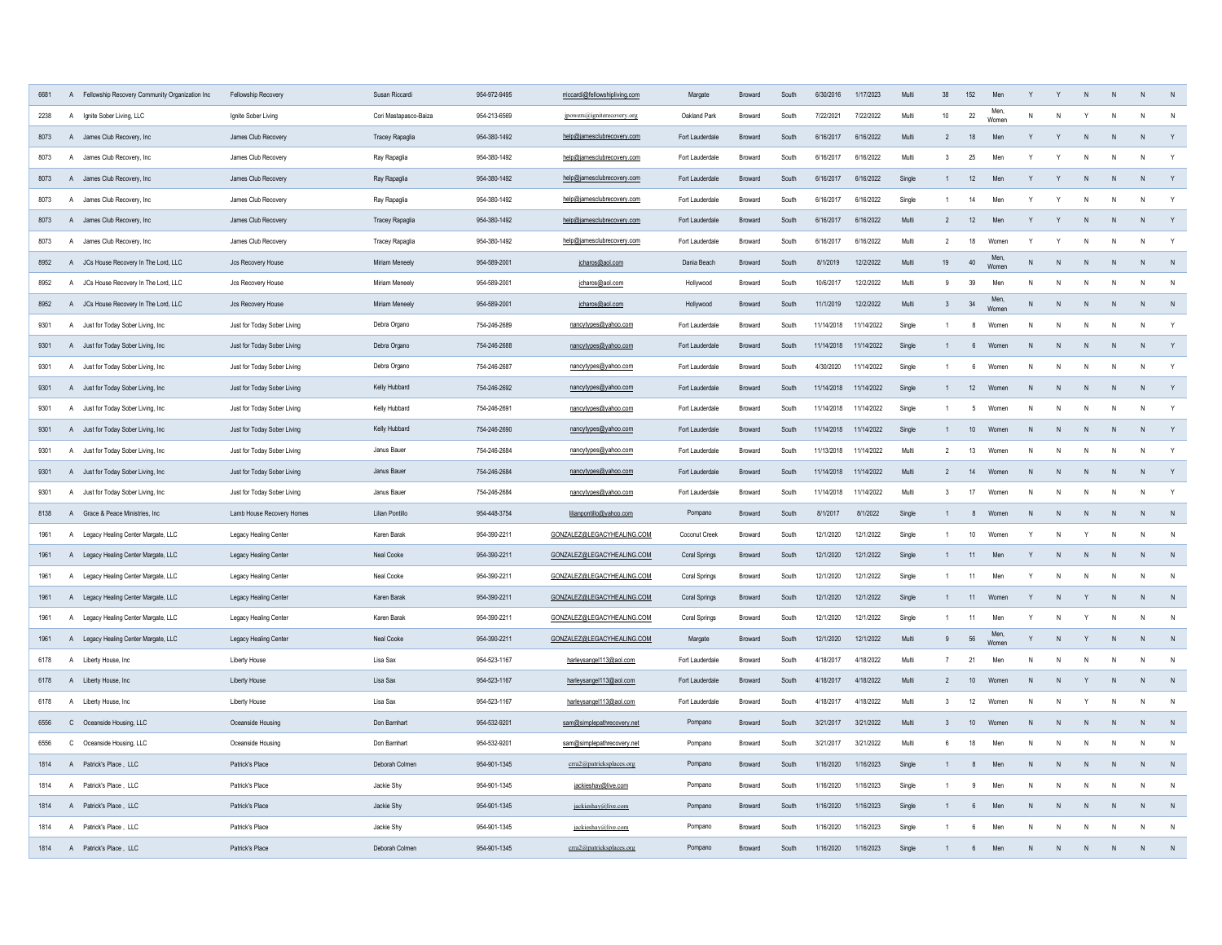| 6681 | $\overline{A}$ | Fellowship Recovery Community Organization Inc | Fellowship Recovery         | Susan Riccardi        | 954-972-9495 | rriccardi@fellowshipliving.com | Margate         | Broward        | South | 6/30/2016  | 1/17/2023  | Multi  | 38             | 152         | Men           |              |              |              |              | $\mathsf{N}$ |                |
|------|----------------|------------------------------------------------|-----------------------------|-----------------------|--------------|--------------------------------|-----------------|----------------|-------|------------|------------|--------|----------------|-------------|---------------|--------------|--------------|--------------|--------------|--------------|----------------|
| 2238 | $\overline{A}$ | Ignite Sober Living, LLC                       | Ignite Sober Living         | Cori Mastapasco-Baiza | 954-213-6569 | jpowers@igniterecovery.org     | Oakland Park    | Broward        | South | 7/22/2021  | 7/22/2022  | Multi  | 10             | $22\,$      | Men.<br>Womer | N            |              |              | N            | N            | N              |
| 8073 | $\mathsf{A}$   | James Club Recovery, Inc.                      | James Club Recovery         | Tracey Rapaglia       | 954-380-1492 | help@jamesclubrecovery.com     | Fort Lauderdale | Broward        | South | 6/16/2017  | 6/16/2022  | Multi  | $\overline{2}$ | 18          | Men           | Y            | $\mathsf{v}$ | $\mathsf{N}$ | $\mathsf{N}$ | $\mathsf{N}$ | Y              |
| 8073 | $\overline{A}$ | James Club Recovery, Inc.                      | James Club Recovery         | Ray Rapaglia          | 954-380-1492 | help@jamesclubrecovery.com     | Fort Lauderdale | Broward        | South | 6/16/2017  | 6/16/2022  | Multi  | $\mathbf{3}$   | 25          | Mer           |              | Y            | N            | $\mathsf{N}$ | N            | Y              |
| 8073 |                | A James Club Recovery, Inc.                    | James Club Recovery         | Ray Rapaglia          | 954-380-1492 | help@jamesclubrecovery.com     | Fort Lauderdale | Broward        | South | 6/16/2017  | 6/16/2022  | Single |                | 12          | Men           | Y            | Y            | N            | $\mathsf{N}$ | N            | Y              |
| 8073 |                | A James Club Recovery, Inc.                    | James Club Recovery         | Ray Rapaglia          | 954-380-1492 | help@jamesclubrecovery.com     | Fort Lauderdale | Broward        | South | 6/16/2017  | 6/16/2022  | Single |                | 14          | Men           |              |              |              | N            | N            | Y              |
| 8073 |                | A James Club Recovery, Inc.                    | James Club Recovery         | Tracey Rapaglia       | 954-380-1492 | help@jamesclubrecovery.com     | Fort Lauderdale | <b>Broward</b> | South | 6/16/2017  | 6/16/2022  | Multi  | $\overline{2}$ | 12          | Men           |              |              |              | N            | N            | Y              |
| 8073 |                | A James Club Recovery, Inc.                    | James Club Recovery         | Tracey Rapaglia       | 954-380-1492 | help@jamesclubrecovery.com     | Fort Lauderdale | Broward        | South | 6/16/2017  | 6/16/2022  | Multi  | $\overline{2}$ | 18          | Women         |              |              |              | N            | N            | Y              |
| 8952 |                | A JCs House Recovery In The Lord, LLC          | Jcs Recovery House          | Miriam Meneely        | 954-589-2001 | jcharos@aol.com                | Dania Beach     | <b>Broward</b> | South | 8/1/2019   | 12/2/2022  | Multi  | 19             | 40          | Men<br>Women  | N            | N            |              | N            | N            | N              |
| 8952 |                | A JCs House Recovery In The Lord, LLC          | Jcs Recovery House          | Miriam Meneely        | 954-589-2001 | jcharos@aol.com                | Hollywood       | Rroward        | South | 10/6/2017  | 12/2/2022  | Multi  | $\mathbf{Q}$   | 39          | Men           | N            | N            | N            | $\mathsf{N}$ | $\mathsf{N}$ | $\mathsf{N}$   |
| 8952 |                | A JCs House Recovery In The Lord, LLC          | Jcs Recovery House          | Miriam Meneely        | 954-589-2001 | jcharos@aol.com                | Hollywood       | Broward        | South | 11/1/2019  | 12/2/2022  | Multi  | $\mathbf{3}$   | 34          | Men,<br>Womer | N            | ${\sf N}$    | N            | ${\sf N}$    | N            | N              |
| 9301 | A              | Just for Today Sober Living, Inc.              | Just for Today Sober Living | Debra Organo          | 754-246-2689 | nancytypes@yahoo.com           | Fort Lauderdale | Broward        | South | 11/14/2018 | 11/14/2022 | Single |                | 8           | Women         | N            | N            |              | N            | $\mathsf{N}$ | Y              |
| 9301 |                | A Just for Today Sober Living, Inc.            | Just for Today Sober Living | Debra Organo          | 754-246-2688 | nancytypes@yahoo.com           | Fort Lauderdale | Broward        | South | 11/14/2018 | 11/14/2022 | Single |                | $6^{\circ}$ | Women         | N            | N            | N            | N            | N            | Y              |
| 9301 |                | A Just for Today Sober Living, Inc.            | Just for Today Sober Living | Debra Organo          | 754-246-2687 | nancytypes@yahoo.com           | Fort Lauderdale | Broward        | South | 4/30/2020  | 11/14/2022 | Single |                | 6           | Women         | N            | N            | N            | N            | N            | $\mathsf Y$    |
| 9301 |                | A Just for Today Sober Living, Inc.            | Just for Today Sober Living | Kelly Hubbard         | 754-246-2692 | nancytypes@yahoo.com           | Fort Lauderdale | Broward        | South | 11/14/2018 | 11/14/2022 | Single |                | 12          | Women         | N            | N            | N            | $\mathsf{N}$ | $\mathsf{N}$ | Y              |
| 9301 |                | A Just for Today Sober Living, Inc.            | Just for Today Sober Living | Kelly Hubbard         | 754-246-2691 | nancytypes@yahoo.com           | Fort Lauderdale | Broward        | South | 11/14/2018 | 11/14/2022 | Single | $\overline{1}$ | -5          | Women         | N            | N            | N            | $\mathsf{N}$ | N            | Y              |
| 9301 |                | A Just for Today Sober Living, Inc.            | Just for Today Sober Living | Kelly Hubbard         | 754-246-2690 | nancytypes@yahoo.com           | Fort Lauderdale | <b>Broward</b> | South | 11/14/2018 | 11/14/2022 | Single | $\overline{1}$ | 10          | Women         | N            | N            | N            | N            | ${\sf N}$    | Y              |
| 9301 |                | A Just for Today Sober Living, Inc.            | Just for Today Sober Living | Janus Bauer           | 754-246-2684 | nancytypes@yahoo.com           | Fort Lauderdale | Rroward        | South | 11/13/2018 | 11/14/2022 | Multi  | 2              | 13          | Women         | N            | $\mathsf{N}$ | N            | ${\sf N}$    | N            | $\mathsf{Y}$   |
| 9301 |                | A Just for Today Sober Living, Inc             | Just for Today Sober Living | Janus Bauer           | 754-246-2684 | nancytypes@yahoo.com           | Fort Lauderdale | <b>Broward</b> | South | 11/14/2018 | 11/14/2022 | Multi  | $\overline{2}$ | 14          | Women         | N            | N            | N            | N            | $\mathsf{N}$ | Y              |
| 9301 |                | A Just for Today Sober Living, Inc.            | Just for Today Sober Living | Janus Bauer           | 754-246-2684 | nancytypes@yahoo.com           | Fort Lauderdale | Broward        | South | 11/14/2018 | 11/14/2022 | Multi  | 3              | 17          | Women         | N            | N            | N            | N            | ${\sf N}$    | Y              |
| 8138 |                | A Grace & Peace Ministries, Inc.               | Lamb House Recovery Homes   | Lilian Pontillo       | 954-448-3754 | lilianpontillo@yahoo.com       | Pompano         | Broward        | South | 8/1/2017   | 8/1/2022   | Single |                | 8           | Women         | N            | N            | N            | N            | ${\sf N}$    | N              |
| 1961 | $\overline{A}$ | Legacy Healing Center Margate, LLC             | Legacy Healing Center       | Karen Barak           | 954-390-2211 | GONZALEZ@LEGACYHEALING.COM     | Coconut Creek   | Broward        | South | 12/1/2020  | 12/1/2022  | Single |                | $10\,$      | Women         | Y            | ${\sf N}$    |              | ${\sf N}$    | N            | $\mathsf{N}$   |
| 1961 |                | A Legacy Healing Center Margate, LLC           | Legacy Healing Center       | Neal Cooke            | 954-390-2211 | GONZALEZ@LEGACYHEALING.COM     | Coral Springs   | Broward        | South | 12/1/2020  | 12/1/2022  | Single |                | 11          | Men           | Y            | N            | N            | N            | $\mathsf{N}$ | N              |
| 1961 |                | A Legacy Healing Center Margate, LLC           | Legacy Healing Center       | Neal Cooke            | 954-390-2211 | GONZALEZ@LEGACYHEALING.COM     | Coral Springs   | Broward        | South | 12/1/2020  | 12/1/2022  | Single | $\overline{1}$ | 11          | Men           | Y            | N            | N            | N            | N            | $\mathsf{N}$   |
| 1961 |                | A Legacy Healing Center Margate, LLC           | Legacy Healing Center       | Karen Barak           | 954-390-2211 | GONZALEZ@LEGACYHEALING.COM     | Coral Springs   | Broward        | South | 12/1/2020  | 12/1/2022  | Single |                | 11          | Women         | Y            | N            | Y            | N            | N            | N              |
| 1961 |                | A Legacy Healing Center Margate, LLC           | Legacy Healing Center       | Karen Barak           | 954-390-2211 | GONZALEZ@LEGACYHEALING.COM     | Coral Springs   | <b>Broward</b> | South | 12/1/2020  | 12/1/2022  | Single | $\overline{1}$ | 11          | Men           | Y            | ${\sf N}$    | Y            | $\,$ N       | ${\sf N}$    | N              |
| 1961 |                | A Legacy Healing Center Margate, LLC           | Legacy Healing Center       | Neal Cooke            | 954-390-2211 | GONZALEZ@LEGACYHEALING.COM     | Margate         | <b>Broward</b> | South | 12/1/2020  | 12/1/2022  | Multi  | 9              | 56          | Men<br>Women  | Y            | N            | Y            | N            | N            | $\,$ N         |
| 6178 | $\overline{A}$ | Liberty House, Inc                             | Liberty House               | Lisa Sax              | 954-523-1167 | harleysangel113@aol.com        | Fort Lauderdale | Broward        | South | 4/18/2017  | 4/18/2022  | Multi  | $\overline{7}$ | 21          | Men           | N            | N            | N            | N            | N            | N              |
| 6178 |                | A Liberty House, Inc.                          | Liberty House               | Lisa Sax              | 954-523-1167 | harleysangel113@aol.com        | Fort Lauderdale | Broward        | South | 4/18/2017  | 4/18/2022  | Multi  | $\overline{2}$ | 10          | Women         | ${\sf N}$    | N            | Y            | ${\sf N}$    | N            | N              |
| 6178 | $\mathsf{A}$   | Liberty House, Inc.                            | Liberty House               | Lisa Sax              | 954-523-1167 | harleysangel113@aol.com        | Fort Lauderdale | Broward        | South | 4/18/2017  | 4/18/2022  | Multi  | 3              | 12          | Women         | N            | N            |              | $\mathsf{N}$ | $\mathsf{N}$ | N              |
| 6556 |                | C Oceanside Housing, LLC                       | Oceanside Housing           | Don Bamhart           | 954-532-9201 | sam@simplepathrecovery.net     | Pompano         | Broward        | South | 3/21/2017  | 3/21/2022  | Multi  | 3              | $10$        | Women         | N            | N            | N            | N            | N            | N              |
| 6556 | $\mathsf{C}$   | Oceanside Housing, LLC                         | Oceanside Housing           | Don Bamhart           | 954-532-9201 | sam@simplepathrecovery.net     | Pompano         | Broward        | South | 3/21/2017  | 3/21/2022  | Multi  | 6              | 18          | Men           | N            | N            | N            | N            | N            | N              |
| 1814 |                | A Patrick's Place, LLC                         | Patrick's Place             | Deborah Colmen        | 954-901-1345 | crra2@patricksplaces.org       | Pompano         | Broward        | South | 1/16/2020  | 1/16/2023  | Single |                | 8           | Men           | $\mathsf{N}$ | $\mathsf{N}$ | $\mathsf{N}$ | $\mathsf{N}$ | $\mathsf{N}$ | $\overline{N}$ |
| 1814 |                | A Patrick's Place . LLC                        | Patrick's Place             | Jackie Shy            | 954-901-1345 | jackieshay@live.com            | Pompano         | <b>Broward</b> | South | 1/16/2020  | 1/16/2023  | Single |                | 9           | Men           | N            | $\mathsf{N}$ | $\mathsf{N}$ | $\mathsf{N}$ | N            | N              |
| 1814 |                | A Patrick's Place, LLC                         | Patrick's Place             | Jackie Shy            | 954-901-1345 | jackieshay@live.com            | Pompano         | <b>Broward</b> | South | 1/16/2020  | 1/16/2023  | Single |                | -6          | Men           | $\mathsf{N}$ | N            | N            | N            | $\mathsf{N}$ | N              |
| 1814 |                | A Patrick's Place, LLC                         | Patrick's Place             | Jackie Shy            | 954-901-1345 | jackieshay@live.com            | Pompano         | <b>Broward</b> | South | 1/16/2020  | 1/16/2023  | Single |                | $6^{1}$     | Men           | N            |              |              |              | N            | $\overline{N}$ |
| 1814 |                | A Patrick's Place, LLC                         | Patrick's Place             | Deborah Colmen        | 954-901-1345 | crra2@patricksplaces.org       | Pompano         | Rmward         | South | 1/16/2020  | 1/16/2023  | Single |                |             | Mor           |              |              |              |              | $\mathsf{N}$ | N              |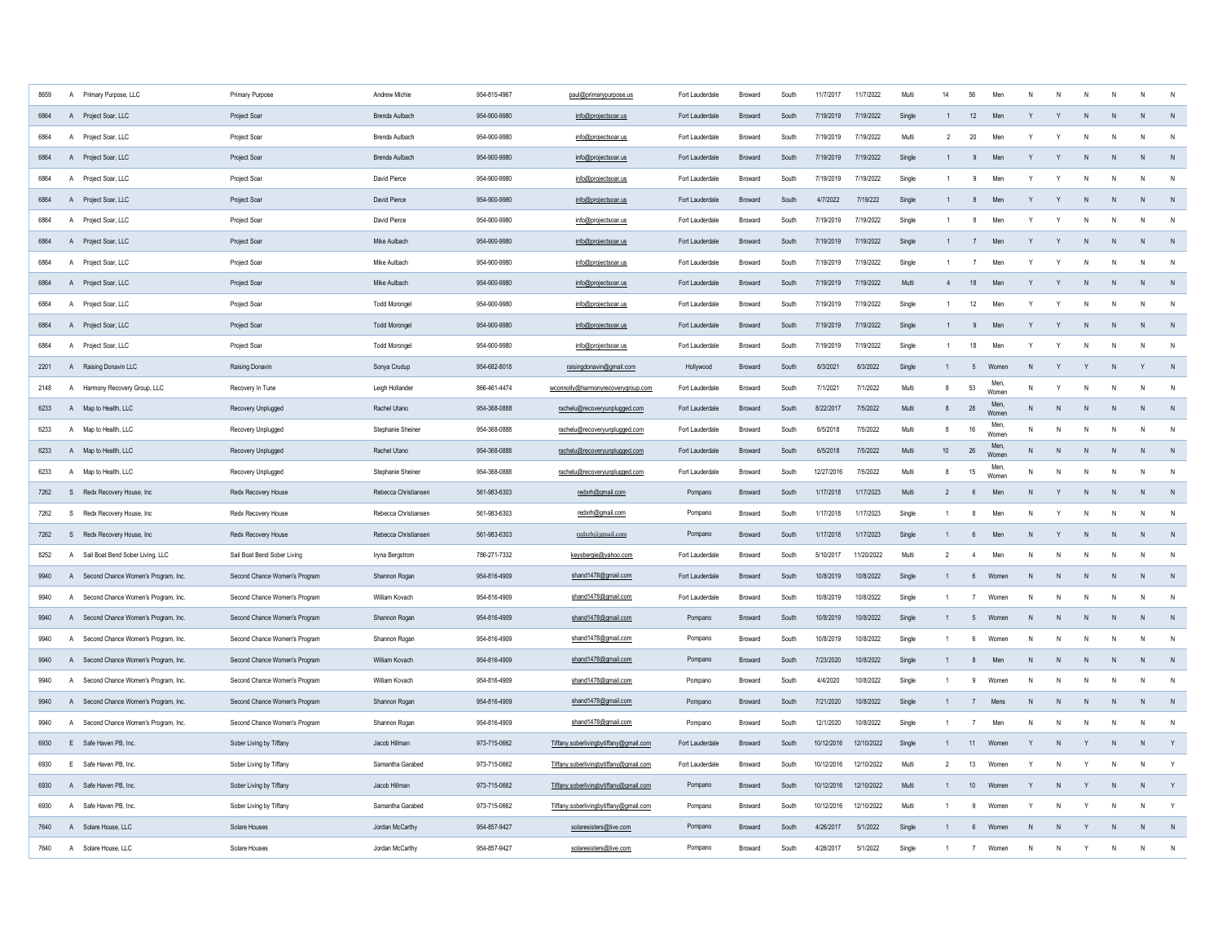| 8659 |              | A Primary Purpose, LLC                | Primary Purpose               | Andrew Michie        | 954-815-4967 | paul@primarypurpose.us                 | Fort Lauderdale | Broward        | South | 11/7/2017  | 11/7/2022  | Multi  | 14             | 56               | Men          |              |              |              |                | N              |              |
|------|--------------|---------------------------------------|-------------------------------|----------------------|--------------|----------------------------------------|-----------------|----------------|-------|------------|------------|--------|----------------|------------------|--------------|--------------|--------------|--------------|----------------|----------------|--------------|
| 6864 |              | A Project Soar, LLC                   | Project Soar                  | Brenda Aulbach       | 954-900-9980 | info@projectsoar.us                    | Fort Lauderdale | Broward        | South | 7/19/2019  | 7/19/2022  | Single |                | 12               | Men          |              |              |              |                | N              | N            |
| 6864 |              | A Project Soar, LLC                   | Project Soar                  | Brenda Aulbach       | 954-900-9980 | info@projectsoar.us                    | Fort Lauderdale | Broward        | South | 7/19/2019  | 7/19/2022  | Multi  | $\overline{2}$ | 20               | Men          |              |              |              |                |                | N            |
| 6864 |              | A Project Soar, LLC                   | Project Soar                  | Brenda Aulbach       | 954-900-9980 | info@projectsoar.us                    | Fort Lauderdale | Broward        | South | 7/19/2019  | 7/19/2022  | Single |                | 9                | Men          |              |              | $\mathsf{N}$ |                | $\overline{N}$ | N            |
| 6864 |              | A Project Soar, LLC                   | Project Soar                  | David Pierce         | 954-900-9980 | info@projectsoar.us                    | Fort Lauderdale | Broward        | South | 7/19/2019  | 7/19/2022  | Single |                | $\overline{9}$   | Men          |              | $\mathsf{v}$ | $\mathsf{N}$ |                | $\mathbf N$    | N            |
| 6864 |              | A Project Soar, LLC                   | Project Soar                  | David Pierce         | 954-900-9980 | info@projectsoar.us                    | Fort Lauderdale | <b>Broward</b> | South | 4/7/2022   | 7/19/222   | Single |                | 8                | Men          | Y            | Y            | N            | N              | N              | N            |
| 6864 |              | A Project Soar, LLC                   | Project Soar                  | David Pierce         | 954-900-9980 | info@projectsoar.us                    | Fort Lauderdale | Broward        | South | 7/19/2019  | 7/19/2022  | Single |                | 8                | Men          | Y            | Y            |              |                | $\mathsf{N}$   | N            |
| 6864 |              | A Project Soar, LLC                   | Project Soar                  | Mike Aulbach         | 954-900-9980 | info@projectsoar.us                    | Fort Lauderdale | Broward        | South | 7/19/2019  | 7/19/2022  | Single |                | $\overline{7}$   | Men          | Y            | Y            | N            | N              | N              | N            |
| 6864 |              | A Project Soar, LLC                   | Project Soar                  | Mike Aulbach         | 954-900-9980 | info@projectsoar.us                    | Fort Lauderdale | Broward        | South | 7/19/2019  | 7/19/2022  | Single |                | $\overline{7}$   | Men          | Y            | Y            | N            |                | N              | $\mathsf{N}$ |
| 6864 |              | A Project Soar, LLC                   | Project Soar                  | Mike Aulbach         | 954-900-9980 | info@projectsoar.us                    | Fort Lauderdale | Broward        | South | 7/19/2019  | 7/19/2022  | Multi  | $\overline{4}$ | 18               | Men          | Y            | Y            | N            | N              | N              | N            |
| 6864 |              | A Project Soar, LLC                   | Project Soar                  | <b>Todd Morongel</b> | 954-900-9980 | info@projectsoar.us                    | Fort Lauderdale | Broward        | South | 7/19/2019  | 7/19/2022  | Single |                | 12               | Men          | Y            | Y            | N            | N              | $\mathsf{N}$   | N            |
| 6864 |              | A Project Soar, LLC                   | Project Soar                  | <b>Todd Morongel</b> | 954-900-9980 | info@projectsoar.us                    | Fort Lauderdale | Broward        | South | 7/19/2019  | 7/19/2022  | Single | $\mathbf{1}$   | 9                | Men          | Y            | Y            | N            | N              | N              | N            |
| 6864 |              | A Project Soar, LLC                   | Project Soar                  | <b>Todd Morongel</b> | 954-900-9980 | info@projectsoar.us                    | Fort Lauderdale | Broward        | South | 7/19/2019  | 7/19/2022  | Single | $\overline{1}$ | 18               | Men          | Y            | Y            | N            | N              | $\mathsf{N}$   | N            |
| 2201 |              | A Raising Donavin II C                | Raising Donavin               | Sonya Crudup         | 954-682-8018 | raisingdonavin@gmail.com               | Hollywood       | <b>Broward</b> | South | 8/3/2021   | 8/3/2022   | Single | $\mathbf{1}$   | 5 <sup>5</sup>   | Women        | N            | Y            | Y            | N              | $\mathsf{Y}$   | $\,$ N       |
| 2148 |              | A Harmony Recovery Group, LLC         | Recovery In Tune              | Leigh Hollander      | 866-461-4474 | wconnolly@harmonyrecoverygroup.com     | Fort Lauderdale | Broward        | South | 7/1/2021   | 7/1/2022   | Multi  | $\mathbf{g}$   | 53               | Men<br>Women | N            | Y            | N            | N              | $\overline{N}$ | N            |
| 6233 |              | A Map to Health, LLC                  | Recovery Unplugged            | Rachel Utano         | 954-368-0888 | rachelu@recoveryunplugged.com          | Fort Lauderdale | <b>Broward</b> | South | 8/22/2017  | 7/5/2022   | Multi  | 8              | 28               | Men<br>Women | N.           | N            | N            | N              | N              | N            |
| 6233 |              | A Map to Health, LLC                  | Recovery Unplugged            | Stephanie Sheiner    | 954-368-0888 | rachelu@recoveryunplugged.com          | Fort Lauderdale | Broward        | South | 6/5/2018   | 7/5/2022   | Multi  | 8              | 16               | Men<br>Women | N            | N            | N            | N              | N              | $\,$ N       |
| 6233 |              | A Map to Health, LLC                  | Recovery Unplugged            | Rachel Utano         | 954-368-0888 | rachelu@recoveryunplugged.com          | Fort Lauderdale | Broward        | South | 6/5/2018   | 7/5/2022   | Multi  | 10             | 26               | Men<br>Women | N            | N            | ${\sf N}$    | N              | N              | $\,$ N       |
| 6233 |              | A Map to Health, LLC                  | Recovery Unplugged            | Stephanie Sheiner    | 954-368-0888 | rachelu@recoveryunplugged.com          | Fort Lauderdale | Broward        | South | 12/27/2016 | 7/5/2022   | Multi  | 8              | $15\,$           | Men<br>Women | N            | N            | $\mathsf{N}$ | N              | $\mathsf{N}$   | $\,$ N       |
| 7262 |              | S Redx Recovery House, Inc            | Redx Recovery House           | Rebecca Christianser | 561-983-6303 | redxrh@gmail.com                       | Pompano         | Broward        | South | 1/17/2018  | 1/17/2023  | Multi  | $\overline{2}$ | 6                | Men          | $\mathsf{N}$ | Y            | $\mathsf{N}$ | N              | N              | N            |
| 7262 |              | S Redx Recovery House, Inc.           | Redx Recovery House           | Rebecca Christiansen | 561-983-6303 | redxrh@gmail.com                       | Pompano         | Broward        | South | 1/17/2018  | 1/17/2023  | Single | $\overline{1}$ | 8                | Men          | N            | Y            | N            | N              | $\mathsf{N}$   | N            |
| 7262 |              | S Redx Recovery House, Inc            | Redx Recovery House           | Rebecca Christiansen | 561-983-6303 | redxrh@gmail.com                       | Pompano         | Broward        | South | 1/17/2018  | 1/17/2023  | Single | $\mathbf{1}$   | 6                | Men          | N            | Y            | N            | N              | N              | N            |
| 8252 |              | A Sail Boat Bend Sober Living, LLC    | Sail Boat Bend Sober Living   | Iryna Bergstrom      | 786-271-7332 | keysbergie@yahoo.com                   | Fort Lauderdale | Broward        | South | 5/10/2017  | 11/20/2022 | Multi  | $\overline{2}$ | $\overline{4}$   | Men          | N            | N            | N            | N              | $\mathbf N$    | $\mathsf{N}$ |
| 9940 |              | A Second Chance Women's Program, Inc. | Second Chance Women's Program | Shannon Rogan        | 954-816-4909 | shand1478@gmail.com                    | Fort Lauderdale | <b>Broward</b> | South | 10/8/2019  | 10/8/2022  | Single | $\mathbf{1}$   | $6^{\circ}$      | Women        | N            | N            | N            | N <sub>1</sub> | N              | N            |
| 9940 |              | A Second Chance Women's Program, Inc. | Second Chance Women's Program | William Kovach       | 954-816-4909 | shand1478@gmail.com                    | Fort Lauderdale | <b>Broward</b> | South | 10/8/2019  | 10/8/2022  | Single | $\mathbf{1}$   | $\overline{7}$   | Women        | N            | $\mathsf{N}$ | N            | N              | $\mathsf{N}$   | N            |
| 9940 |              | A Second Chance Women's Program, Inc. | Second Chance Women's Program | Shannon Rogan        | 954-816-4909 | shand1478@gmail.com                    | Pompano         | <b>Broward</b> | South | 10/8/2019  | 10/8/2022  | Single | $\mathbf{1}$   | 5                | Women        | N            | N            | N            | N              | N              | N            |
| 9940 |              | A Second Chance Women's Program, Inc. | Second Chance Women's Program | Shannon Rogan        | 954-816-4909 | shand1478@gmail.com                    | Pompano         | Rroward        | South | 10/8/2019  | 10/8/2022  | Single | $\overline{1}$ | 6                | Women        | $\mathsf{N}$ | N            | ${\sf N}$    | N              | ${\sf N}$      | N            |
| 9940 |              | A Second Chance Women's Program, Inc. | Second Chance Women's Program | William Kovach       | 954-816-4909 | shand1478@gmail.com                    | Pompano         | Broward        | South | 7/23/2020  | 10/8/2022  | Single | $\overline{1}$ | $\boldsymbol{8}$ | Men          | ${\sf N}$    | $\mathsf{N}$ | ${\sf N}$    | N              | $\mathsf{N}$   | N            |
| 9940 | $\mathsf{A}$ | Second Chance Women's Program, Inc.   | Second Chance Women's Program | William Kovach       | 954-816-4909 | shand1478@gmail.com                    | Pompano         | Broward        | South | 4/4/2020   | 10/8/2022  | Single |                | 9                | Women        | N            | N            | $\mathsf{N}$ | N              | $\mathsf{N}$   | N            |
| 9940 |              | A Second Chance Women's Program, Inc. | Second Chance Women's Program | Shannon Rogan        | 954-816-4909 | shand1478@gmail.com                    | Pompano         | Broward        | South | 7/21/2020  | 10/8/2022  | Single |                | $\overline{7}$   | Mens         | N            | N            | N            |                | N              | N            |
| 9940 | $\mathsf{A}$ | Second Chance Women's Program, Inc.   | Second Chance Women's Program | Shannon Rogan        | 954-816-4909 | shand1478@gmail.com                    | Pompano         | Broward        | South | 12/1/2020  | 10/8/2022  | Single |                | $\overline{7}$   | Men          | N            | N            | N            |                | N              | N            |
| 6930 |              | E Safe Haven PB, Inc.                 | Sober Living by Tiffany       | Jacob Hillman        | 973-715-0662 | Tiffany.soberlivingbytiffany@gmail.com | Fort Lauderdale | Broward        | South | 10/12/2016 | 12/10/2022 | Single | $\mathbf{1}$   | 11               | Women        | Y            | ${\sf N}$    | Y            |                | N              | Y            |
| 6930 |              | E Safe Haven PB, Inc.                 | Sober Living by Tiffany       | Samantha Garabed     | 973-715-0662 | Tiffany.soberlivingbytiffany@gmail.com | Fort Lauderdale | <b>Broward</b> | South | 10/12/2016 | 12/10/2022 | Multi  | $\mathcal{P}$  | 13               | Women        | Y            | N            | Y            | N.             | $\mathbf N$    | Y            |
| 6930 |              | A Safe Haven PB, Inc.                 | Sober Living by Tiffany       | Jacob Hillman        | 973-715-0662 | Tiffany.soberlivingbytiffany@gmail.com | Pompano         | <b>Broward</b> | South | 10/12/2016 | 12/10/2022 | Multi  | $\overline{1}$ | 10               | Womer        | Y            | N            | Y            |                | N              | Y            |
| 6930 |              | A Safe Haven PB, Inc.                 | Sober Living by Tiffany       | Samantha Garabed     | 973-715-0662 | Tiffany.soberlivingbytiffany@gmail.com | Pompano         | <b>Broward</b> | South | 10/12/2016 | 12/10/2022 | Multi  | $\overline{1}$ | 9                | Women        | Y            | $\mathsf{N}$ | Y            | N.             | $\mathsf{N}$   | Y            |
| 7640 |              | A Solare House, LLC                   | Solare Houses                 | Jordan McCarthy      | 954-857-9427 | solaresisters@live.com                 | Pompano         | Rroward        | South | 4/26/2017  | 5/1/2022   | Single | $\overline{1}$ | $\kappa$         | Women        | N            | N            |              |                | $\mathbf{N}$   | N            |
| 7640 | A            | Solare House, LLC                     | Solare Houses                 | Jordan McCarthy      | 954-857-9427 | solaresisters@live.com                 | Pompano         | Broward        | South | 4/26/2017  | 5/1/2022   | Single |                | $\overline{7}$   | Women        | N            | N            | $\mathsf{v}$ |                | $\mathbf N$    | ${\sf N}$    |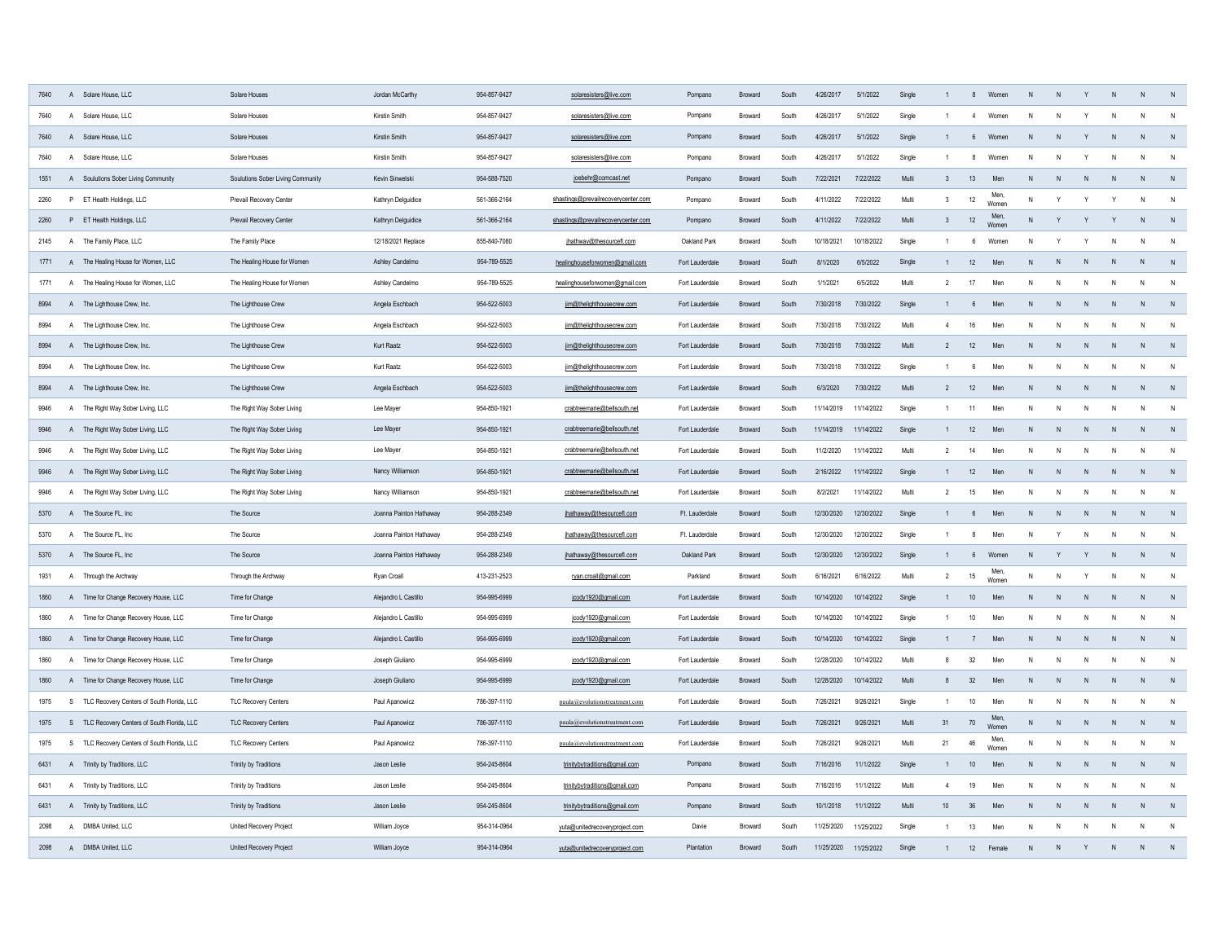| 7640 | $\overline{A}$ | Solare House, LLC                            | Solare Houses                     | Jordan McCarthy         | 954-857-9427 | solaresisters@live.com              | Pompano         | Broward        | South | 4/26/2017  | 5/1/2022   | Single |                  | 8               | Women         |              |              |              | N            | $\mathsf{N}$ | N              |
|------|----------------|----------------------------------------------|-----------------------------------|-------------------------|--------------|-------------------------------------|-----------------|----------------|-------|------------|------------|--------|------------------|-----------------|---------------|--------------|--------------|--------------|--------------|--------------|----------------|
| 7640 | $\overline{A}$ | Solare House, LLC                            | Solare Houses                     | Kirstin Smith           | 954-857-9427 | solaresisters@live.com              | Pompano         | Broward        | South | 4/26/2017  | 5/1/2022   | Single |                  | $\overline{4}$  | Women         | N            |              |              | N            | $\mathsf{N}$ | N              |
| 7640 | $\overline{A}$ | Solare House, LLC                            | Solare Houses                     | Kirstin Smith           | 954-857-9427 | solaresisters@live.com              | Pompano         | Broward        | South | 4/26/2017  | 5/1/2022   | Single |                  | 6               | Women         | N            |              |              | N            | N            | N              |
| 7640 | $\overline{A}$ | Solare House, LLC                            | Solare Houses                     | Kirstin Smith           | 954-857-9427 | solaresisters@live.com              | Pompano         | Broward        | South | 4/26/2017  | 5/1/2022   | Single |                  | 8               | Women         | N            |              |              | N            | N            | N              |
| 1551 |                | A Soulutions Sober Living Community          | Soulutions Sober Living Community | Kevin Sinwelski         | 954-588-7520 | joebehr@comcast.net                 | Pompano         | Broward        | South | 7/22/2021  | 7/22/2022  | Multi  | $\overline{3}$   | 13              | Men           |              |              |              |              | N            | N              |
| 2260 |                | P ET Health Holdings, LLC                    | Prevail Recovery Center           | Kathryn Delguidice      | 561-366-2164 | shastings@prevailrecoverycenter.com | Pompano         | <b>Broward</b> | South | 4/11/2022  | 7/22/2022  | Multi  | $\mathbf{3}$     | 12              | Men<br>Women  | N            | $\mathsf{v}$ |              |              | $\mathsf{N}$ | N              |
| 2260 |                | P ET Health Holdings, LLC                    | Prevail Recovery Center           | Kathryn Delguidice      | 561-366-2164 | shastings@prevailrecoverycenter.com | Pompano         | <b>Broward</b> | South | 4/11/2022  | 7/22/2022  | Multi  | $\mathbf{3}$     | 12              | Men<br>Womer  | N            | Y            |              | Y            | N            | N              |
| 2145 |                | A The Family Place, LLC                      | The Family Place                  | 12/18/2021 Replace      | 855-840-7080 | jhathway@thesourcefl.com            | Oakland Park    | <b>Broward</b> | South | 10/18/2021 | 10/18/2022 | Single |                  | 6               | Women         | N            | Y            |              | N            | $\mathsf{N}$ | $\overline{N}$ |
| 1771 |                | A The Healing House for Women, LLC           | The Healing House for Women       | Ashley Candelmo         | 954-789-5525 | healinghouseforwomen@gmail.com      | Fort Lauderdale | <b>Broward</b> | South | 8/1/2020   | 6/5/2022   | Single |                  | 12              | Men           | N            | $\mathsf{N}$ |              | $\mathsf{N}$ | $\mathsf{N}$ | N              |
| 1771 | $\overline{A}$ | The Healing House for Women, LLC             | The Healing House for Women       | Ashley Candelmo         | 954-789-5525 | healinghouseforwomen@gmail.com      | Fort Lauderdale | <b>Broward</b> | South | 1/1/2021   | 6/5/2022   | Multi  | $\overline{2}$   | 17              | Men           | N            | N            | $\mathsf{N}$ | $\mathsf{N}$ | $\mathsf{N}$ | N              |
| 8994 |                | A The Lighthouse Crew, Inc.                  | The Lighthouse Crew               | Angela Eschbach         | 954-522-5003 | jim@thelighthousecrew.com           | Fort Lauderdale | Broward        | South | 7/30/2018  | 7/30/2022  | Single |                  | 6               | Men           | $\mathsf{N}$ | ${\sf N}$    | N            | $\mathsf{N}$ | N            | N              |
| 8994 | A              | The Lighthouse Crew, Inc.                    | The Lighthouse Crew               | Angela Eschbach         | 954-522-5003 | jim@thelighthousecrew.com           | Fort Lauderdale | Broward        | South | 7/30/2018  | 7/30/2022  | Multi  | $\overline{4}$   | 16              | Men           | N            | N            | N            | N            | $\mathsf{N}$ | N              |
| 8994 |                | A The Lighthouse Crew, Inc.                  | The Lighthouse Crew               | Kurt Raatz              | 954-522-5003 | jim@thelighthousecrew.com           | Fort Lauderdale | Broward        | South | 7/30/2018  | 7/30/2022  | Multi  | $\overline{2}$   | 12              | Men           | N            | N            | N            | N            | N            | $\,$ N         |
| 8994 |                | A The Lighthouse Crew, Inc.                  | The Lighthouse Crew               | Kurt Raatz              | 954-522-5003 | jim@thelighthousecrew.com           | Fort Lauderdale | Broward        | South | 7/30/2018  | 7/30/2022  | Single |                  | $6\phantom{.0}$ | Men           | N            | $\mathsf{N}$ | N            | $\mathsf{N}$ | $\mathsf{N}$ | N              |
| 8994 |                | A The Lighthouse Crew, Inc.                  | The Lighthouse Crew               | Angela Eschbach         | 954-522-5003 | jim@thelighthousecrew.com           | Fort Lauderdale | Broward        | South | 6/3/2020   | 7/30/2022  | Multi  | $\overline{2}$   | 12              | Men           | $\mathsf{N}$ | ${\sf N}$    | N            | $\mathsf{N}$ | $\mathsf{N}$ | N              |
| 9946 |                | A The Right Way Sober Living, LLC            | The Right Way Sober Living        | Lee Mayer               | 954-850-1921 | crabtreemarie@bellsouth.net         | Fort Lauderdale | Broward        | South | 11/14/2019 | 11/14/2022 | Single |                  | 11              | Men           | N            | N            | N            | N            | $\mathsf{N}$ | N              |
| 9946 |                | A The Right Way Sober Living, LLC            | The Right Way Sober Living        | Lee Mayer               | 954-850-1921 | crabtreemarie@bellsouth.net         | Fort Lauderdale | <b>Broward</b> | South | 11/14/2019 | 11/14/2022 | Single | $\overline{1}$   | 12              | Men           | N            | N            | N            | N            | $\mathsf{N}$ | $\mathsf{N}$   |
| 9946 |                | A The Right Way Sober Living, LLC            | The Right Way Sober Living        | Lee Mayer               | 954-850-1921 | crabtreemarie@bellsouth.net         | Fort Lauderdale | <b>Broward</b> | South | 11/2/2020  | 11/14/2022 | Multi  | 2                | $14$            | Men           | N            | N            | N            | ${\sf N}$    | ${\sf N}$    | $\mathsf{N}$   |
| 9946 |                | A The Right Way Sober Living, LLC            | The Right Way Sober Living        | Nancy Williamson        | 954-850-1921 | crabtreemarie@bellsouth.net         | Fort Lauderdale | <b>Broward</b> | South | 2/16/2022  | 11/14/2022 | Single |                  | 12              | Men           | N            | N            | N            | N            | $\mathsf{N}$ | N              |
| 9946 |                | A The Right Way Sober Living, LLC            | The Right Way Sober Living        | Nancy Williamson        | 954-850-1921 | crabtreemarie@bellsouth.net         | Fort Lauderdale | Broward        | South | 8/2/2021   | 11/14/2022 | Multi  | $\overline{2}$   | 15              | Men           | N            | N            | N            | N            | $\mathsf{N}$ | $\mathsf{N}$   |
| 5370 |                | A The Source FL, Inc.                        | The Source                        | Joanna Painton Hathaway | 954-288-2349 | jhathaway@thesourcefl.com           | Ft. Lauderdale  | Broward        | South | 12/30/2020 | 12/30/2022 | Single |                  | 6               | Men           | N            | ${\sf N}$    | N            | N            | N            | N              |
| 5370 | A              | The Source FL, Inc.                          | The Source                        | Joanna Painton Hathaway | 954-288-2349 | jhathaway@thesourcefl.com           | Ft. Lauderdale  | Broward        | South | 12/30/2020 | 12/30/2022 | Single |                  | 8               | Men           | N            | Y            | N            | N            | N            | $\mathsf{N}$   |
| 5370 |                | A The Source FL, Inc                         | The Source                        | Joanna Painton Hathaway | 954-288-2349 | jhathaway@thesourcefl.com           | Oakland Park    | Broward        | South | 12/30/2020 | 12/30/2022 | Single |                  | $6^{\circ}$     | Women         | N            | Y            |              | N            | N            | N              |
| 1931 |                | A Through the Archway                        | Through the Archway               | Ryan Croall             | 413-231-2523 | ryan.croall@gmail.com               | Parkland        | Broward        | South | 6/16/2021  | 6/16/2022  | Multi  | $\overline{2}$   | 15              | Men.<br>Women | N            | N            | Y            | N            | $\mathsf{N}$ | N              |
| 1860 |                | A Time for Change Recovery House, LLC        | Time for Change                   | Alejandro L Castillo    | 954-995-6999 | jcody1920@gmail.com                 | Fort Lauderdale | Broward        | South | 10/14/2020 | 10/14/2022 | Single |                  | $10$            | Men           | $\mathsf{N}$ | N            | N            | N            | N            | N              |
| 1860 |                | A Time for Change Recovery House, LLC        | Time for Change                   | Alejandro L Castillo    | 954-995-6999 | jcody1920@gmail.com                 | Fort Lauderdale | Broward        | South | 10/14/2020 | 10/14/2022 | Single |                  | 10              | Men           | N            | N            | N            | N            | $\mathsf{N}$ | N              |
| 1860 |                | A Time for Change Recovery House, LLC        | Time for Change                   | Alejandro L Castillo    | 954-995-6999 | jcody1920@gmail.com                 | Fort Lauderdale | <b>Broward</b> | South | 10/14/2020 | 10/14/2022 | Single |                  | 7               | Men           | ${\sf N}$    | ${\sf N}$    | N            | ${\sf N}$    | N            | N              |
| 1860 |                | A Time for Change Recovery House, LLC        | Time for Change                   | Joseph Giuliano         | 954-995-6999 | jcody1920@gmail.com                 | Fort Lauderdale | <b>Broward</b> | South | 12/28/2020 | 10/14/2022 | Multi  | 8                | 32              | Men           | N            | N            | N            | N            | N            | N              |
| 1860 |                | A Time for Change Recovery House, LLC        | Time for Change                   | Joseph Giuliano         | 954-995-6999 | jcody1920@gmail.com                 | Fort Lauderdale | Broward        | South | 12/28/2020 | 10/14/2022 | Multi  | 8                | 32              | Men           | ${\sf N}$    | N            | ${\sf N}$    | N            | N            | N              |
| 1975 |                | S TLC Recovery Centers of South Florida, LLC | <b>TLC Recovery Centers</b>       | Paul Apanowicz          | 786-397-1110 | paula@evolutionstreatment.com       | Fort Lauderdale | Broward        | South | 7/26/2021  | 9/26/2021  | Single |                  | 10              | Men           | N            | N            | N            | N            | N            | N              |
| 1975 |                | S TLC Recovery Centers of South Florida, LLC | <b>TLC Recovery Centers</b>       | Paul Apanowicz          | 786-397-1110 | paula@evolutionstreatment.com       | Fort Lauderdale | Broward        | South | 7/26/2021  | 9/26/2021  | Multi  | 31               | 70              | Men,<br>Womer | ${\sf N}$    | N            | ${\sf N}$    | ${\sf N}$    | N            | N              |
| 1975 |                | S TLC Recovery Centers of South Florida, LLC | TLC Recovery Centers              | Paul Apanowicz          | 786-397-1110 | paula@evolutionstreatment.com       | Fort Lauderdale | Broward        | South | 7/26/2021  | 9/26/2021  | Multi  | 21               | 46              | Men,<br>Women | N            | $\mathsf{N}$ | $\mathsf{N}$ | $\,$ N       | N            | N              |
| 6431 |                | A Trinity by Traditions, LLC                 | Trinity by Traditions             | Jason Leslie            | 954-245-8604 | trinitybytraditions@gmail.com       | Pompano         | Broward        | South | 7/16/2016  | 11/1/2022  | Single |                  | $10$            | Men           | $\mathsf{N}$ | ${\sf N}$    | N            | $\mathsf{N}$ | $\mathsf{N}$ | N              |
| 6431 | $\mathsf{A}$   | Trinity by Traditions, LLC                   | Trinity by Traditions             | Jason Leslie            | 954-245-8604 | trinitybytraditions@gmail.com       | Pompano         | Broward        | South | 7/16/2016  | 11/1/2022  | Multi  | $\overline{4}$   | 19              | Men           | N            | N            | N            | N            | $\mathsf{N}$ | N              |
| 6431 |                | A Trinity by Traditions, LLC                 | Trinity by Traditions             | Jason Leslie            | 954-245-8604 | trinitybytraditions@gmail.com       | Pompano         | Broward        | South | 10/1/2018  | 11/1/2022  | Multi  | 10 <sup>10</sup> | 36              | Men           | $\mathsf{N}$ | N            | N            | N            | N            | N              |
| 2098 | $\overline{A}$ | DMBA United, LLC                             | United Recovery Project           | William Joyce           | 954-314-0964 | yuta@unitedrecoveryproject.com      | Davie           | Broward        | South | 11/25/2020 | 11/25/2022 | Single |                  | 13              | Men           | N            | N            |              | N            | N            | N              |
| 2098 | A              | DMBA United, LLC                             | United Recovery Project           | William Joyce           | 954-314-0964 | yuta@unitedrecoveryproject.com      | Plantation      | Broward        | South | 11/25/2020 | 11/25/2022 | Single |                  | 12              | Female        | $\mathsf{N}$ |              |              | N            | N            | N              |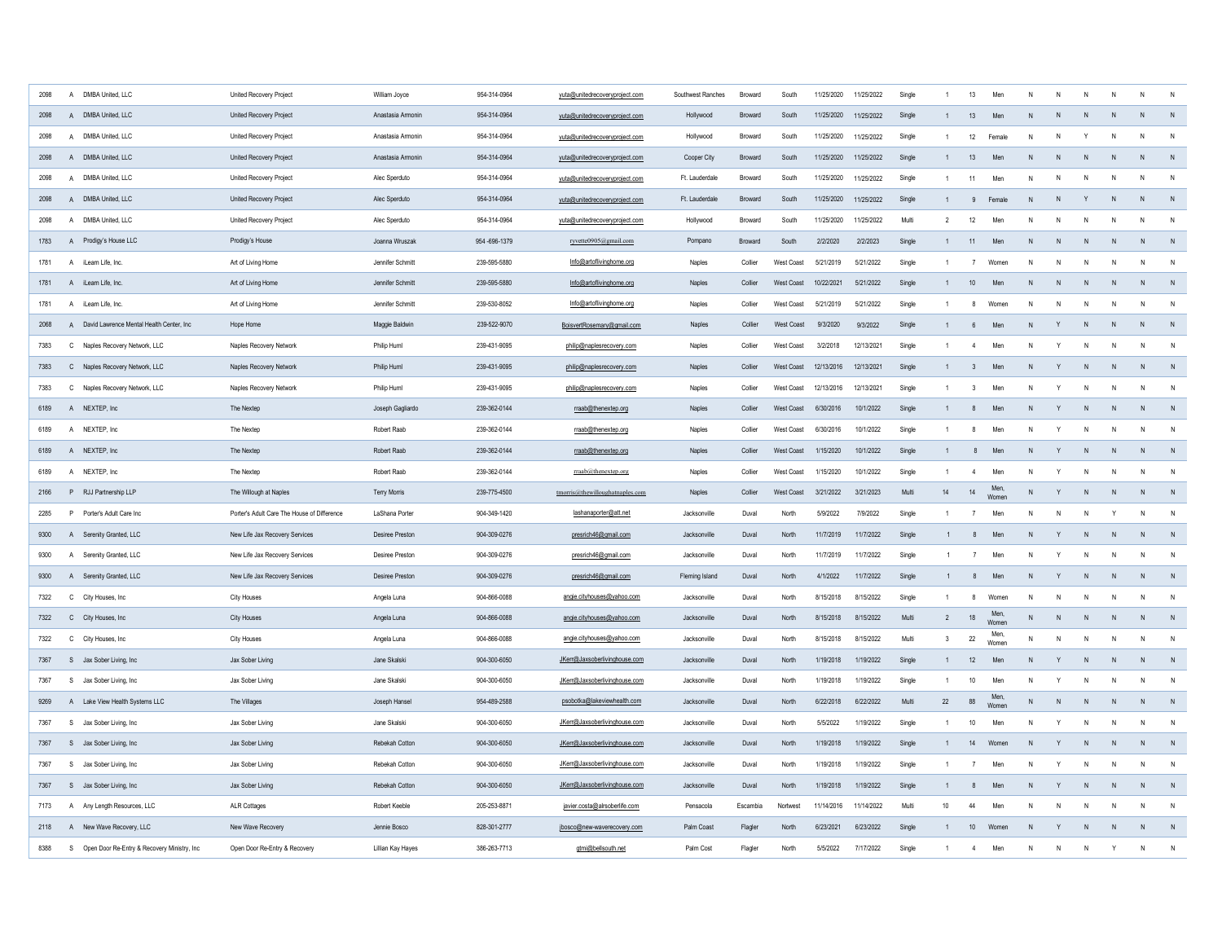| 2098 | $\overline{A}$ | DMBA United, LLC                             | United Recovery Project                     | William Joyce       | 954-314-0964 | yuta@unitedrecoveryproject.com  | Southwest Ranches | Broward        | South      | 11/25/2020 | 11/25/2022 | Single |                | 13                      | Men           |           |              |              |                |              |                |
|------|----------------|----------------------------------------------|---------------------------------------------|---------------------|--------------|---------------------------------|-------------------|----------------|------------|------------|------------|--------|----------------|-------------------------|---------------|-----------|--------------|--------------|----------------|--------------|----------------|
| 2098 | $\mathsf{A}$   | DMBA United, LLC                             | United Recovery Project                     | Anastasia Armonin   | 954-314-0964 | yuta@unitedrecoveryproject.com  | Hollywood         | Broward        | South      | 11/25/2020 | 11/25/2022 | Single | $\mathbf{1}$   | 13                      | Men           |           |              |              |                | N            | N              |
| 2098 | $\overline{A}$ | DMBA United, LLC                             | United Recovery Project                     | Anastasia Armonin   | 954-314-0964 | yuta@unitedrecoveryproject.com  | Hollywood         | Broward        | South      | 11/25/2020 | 11/25/2022 | Single | $\overline{1}$ | 12                      | Female        | N         |              |              |                |              | N              |
| 2098 |                | A DMBA United, LLC                           | United Recovery Project                     | Anastasia Armonin   | 954-314-0964 | yuta@unitedrecoveryproject.com  | Cooper City       | Broward        | South      | 11/25/2020 | 11/25/2022 | Single |                | 13                      | Men           | N         | N            | N            |                | N            | N              |
| 2098 | $\mathsf{A}$   | DMBA United, LLC                             | United Recovery Project                     | Alec Sperduto       | 954-314-0964 | yuta@unitedrecoveryproject.com  | Ft. Lauderdale    | Broward        | South      | 11/25/2020 | 11/25/2022 | Single | $\mathbf{1}$   | 11                      | Men           | N         | N            | N            |                | N            | ${\sf N}$      |
| 2098 |                | A DMBA United, LLC                           | United Recovery Project                     | Alec Sperduto       | 954-314-0964 | yuta@unitedrecoveryproject.com  | Ft. Lauderdale    | Broward        | South      | 11/25/2020 | 11/25/2022 | Single |                | 9                       | Female        | N         | N            |              | N.             | $\mathsf{N}$ | N              |
| 2098 | $\mathsf{A}$   | DMBA United, LLC                             | United Recovery Project                     | Alec Sperduto       | 954-314-0964 | yuta@unitedrecoveryproject.com  | Hollywood         | <b>Broward</b> | South      | 11/25/2020 | 11/25/2022 | Multi  | $\overline{2}$ | 12                      | Men           | N         | N            | N            |                | N            | N              |
| 1783 |                | A Prodigy's House LLC                        | Prodigy's House                             | Joanna Wruszak      | 954-696-1379 | ryvette0905@gmail.com           | Pompano           | Broward        | South      | 2/2/2020   | 2/2/2023   | Single |                | 11                      | Men           | N         | N            | N            | N              | $\mathsf{N}$ | N              |
| 1781 |                | A iLearn Life, Inc.                          | Art of Living Home                          | Jennifer Schmitt    | 239-595-5880 | Info@artoflivinghome.org        | Naples            | Collier        | West Coast | 5/21/2019  | 5/21/2022  | Single |                | $\overline{7}$          | Women         | N         | N            | N            |                | N            | N              |
| 1781 |                | A iLearn Life, Inc.                          | Art of Living Home                          | Jennifer Schmitt    | 239-595-5880 | Info@artoflivinghome.org        | Naples            | Collier        | West Coast | 10/22/2021 | 5/21/2022  | Single |                | 10                      | Men           | N         | N            | $\mathsf{N}$ | N              | $\mathsf{N}$ | N              |
| 1781 |                | A iLearn Life, Inc.                          | Art of Living Home                          | Jennifer Schmitt    | 239-530-8052 | Info@artoflivinghome.org        | Naples            | Collier        | West Coast | 5/21/2019  | 5/21/2022  | Single | $\mathbf{1}$   | 8                       | Women         | N         | $\mathsf{N}$ | N            |                | $\mathsf{N}$ | $\mathsf{N}$   |
| 2068 |                | A David Lawrence Mental Health Center, Inc.  | Hope Home                                   | Maggie Baldwin      | 239-522-9070 | BoisvertRosemary@gmail.com      | Naples            | Collier        | West Coast | 9/3/2020   | 9/3/2022   | Single | 1              | 6                       | Men           | N         | Y            | $\mathsf{N}$ | N              | ${\sf N}$    | ${\sf N}$      |
| 7383 |                | C Naples Recovery Network, LLC               | Naples Recovery Network                     | Philip Huml         | 239-431-9095 | philip@naplesrecovery.com       | <b>Nanles</b>     | Collier        | West Coast | 3/2/2018   | 12/13/2021 | Single | $\mathbf{1}$   | $\overline{4}$          | Men           | N         | Y            | N            | N              | N            | ${\sf N}$      |
| 7383 |                | C Naples Recovery Network, LLC               | Naples Recovery Network                     | Philip Huml         | 239-431-9095 | philip@naplesrecovery.com       | <b>Nanles</b>     | Collier        | West Coast | 12/13/2016 | 12/13/2021 | Single | 1              | $\mathbf{3}$            | Men           | N         | Y            | N            | N              | N            | N              |
| 7383 |                | C Naples Recovery Network, LLC               | Naples Recovery Network                     | Philip Huml         | 239-431-9095 | philip@naplesrecovery.com       | Naples            | Collier        | West Coast | 12/13/2016 | 12/13/2021 | Single | $\mathbf{1}$   | $\overline{\mathbf{3}}$ | Men           | N         | Y            | N            | N              | $\mathsf{N}$ | N              |
| 6189 |                | A NEXTEP Inc.                                | The Nextep                                  | Joseph Gagliardo    | 239-362-0144 | rraab@thenextep.org             | <b>Nanles</b>     | Collier        | West Coast | 6/30/2016  | 10/1/2022  | Single | 1              | $\mathbf{8}$            | Men           | N         | Y            | N            | N              | $\mathsf{N}$ | N              |
| 6189 |                | A NEXTEP, Inc.                               | The Nextep                                  | Robert Raab         | 239-362-0144 | rraab@thenextep.org             | Naples            | Collier        | West Coast | 6/30/2016  | 10/1/2022  | Single | $\mathbf{1}$   | 8                       | Men           | N         | Y            | N            | N              | ${\sf N}$    | ${\sf N}$      |
| 6189 |                | A NEXTEP, Inc                                | The Nextep                                  | Robert Raab         | 239-362-0144 | rraab@thenextep.org             | Naples            | Collier        | West Coast | 1/15/2020  | 10/1/2022  | Single | $\mathbf{1}$   | 8                       | Men           | N         | Y            | N            | N              | $\mathsf{N}$ | $\overline{N}$ |
| 6189 |                | A NEXTEP, Inc                                | The Nextep                                  | Robert Raab         | 239-362-0144 | rraab@thenextep.org             | Naples            | Collier        | West Coast | 1/15/2020  | 10/1/2022  | Single | $\mathbf{1}$   | $\overline{4}$          | Men           | N         | Y            | N            | N              | $\mathsf{N}$ | ${\sf N}$      |
| 2166 |                | P RJJ Partnership LLP                        | The Willough at Naples                      | <b>Terry Morris</b> | 239-775-4500 | tmorris@thewilloughatnaples.com | Naples            | Collier        | West Coast | 3/21/2022  | 3/21/2023  | Multi  | 14             | 14                      | Men.<br>Women |           | Y            | $\mathsf{N}$ | N              | $\mathsf{N}$ | N              |
| 2285 | P              | Porter's Adult Care Inc                      | Porter's Adult Care The House of Difference | LaShana Porter      | 904-349-1420 | lashanaporter@att.net           | Jacksonville      | Duva           | North      | 5/9/2022   | 7/9/2022   | Single | $\mathbf{1}$   | 7                       | Men           | N         | $\mathsf{N}$ | N            |                | $\mathsf{N}$ | $\mathsf{N}$   |
| 9300 |                | A Serenity Granted, LLC                      | New Life Jax Recovery Services              | Desiree Preston     | 904-309-0276 | presrich46@gmail.com            | Jacksonville      | Duval          | North      | 11/7/2019  | 11/7/2022  | Single |                | 8                       | Men           | N         | Y            | $\mathsf{N}$ | N              | N            | N              |
| 9300 |                | A Serenity Granted, LLC                      | New Life Jax Recovery Services              | Desiree Preston     | 904-309-0276 | presrich46@gmail.com            | Jacksonville      | Duva           | North      | 11/7/2019  | 11/7/2022  | Single |                | $\overline{7}$          | Men           | N         | Y            | N            | N              | $\mathsf{N}$ | N              |
| 9300 |                | A Serenity Granted, LLC                      | New Life Jax Recovery Services              | Desiree Preston     | 904-309-0276 | presrich46@gmail.com            | Fleming Island    | Duval          | North      | 4/1/2022   | 11/7/2022  | Single |                | 8                       | Men           | N         | Y            | N            | N.             | $\mathsf{N}$ | ${\sf N}$      |
| 7322 |                | C City Houses, Inc.                          | City Houses                                 | Angela Luna         | 904-866-0088 | angie.cityhouses@yahoo.com      | Jacksonville      | Duva           | North      | 8/15/2018  | 8/15/2022  | Single | $\mathbf{1}$   | 8                       | Women         | N         | N            | N            | N              | $\mathsf{N}$ | N              |
| 7322 |                | C City Houses, Inc.                          | City Houses                                 | Angela Luna         | 904-866-0088 | angie.cityhouses@yahoo.com      | Jacksonville      | Duval          | North      | 8/15/2018  | 8/15/2022  | Multi  | $\overline{2}$ | $18\,$                  | Men<br>Women  | N         | N            | N            | N              | N            | N              |
| 7322 |                | C City Houses, Inc.                          | City Houses                                 | Angela Luna         | 904-866-0088 | angie.cityhouses@yahoo.com      | Jacksonville      | Duva           | North      | 8/15/2018  | 8/15/2022  | Multi  | 3              | $22\,$                  | Men,<br>Women | ${\sf N}$ | ${\sf N}$    | N            | N              | $\mathsf{N}$ | $\mathsf{N}$   |
| 7367 |                | S Jax Sober Living, Inc.                     | Jax Sober Living                            | Jane Skalski        | 904-300-6050 | JKerr@Jaxsoberlivinghouse.com   | Jacksonville      | Duval          | North      | 1/19/2018  | 1/19/2022  | Single |                | 12                      | Men           | N         | Y            | N            | N              | N            | N              |
| 7367 |                | S Jax Sober Living, Inc.                     | Jax Sober Living                            | Jane Skalski        | 904-300-6050 | JKerr@Jaxsoberlivinghouse.com   | Jacksonville      | Duval          | North      | 1/19/2018  | 1/19/2022  | Single | $\mathbf{1}$   | 10                      | Men           | N         | Y            | Ν            | N              | $\mathsf{N}$ | $\,$ N         |
| 9269 |                | A Lake View Health Systems LLC               | The Villages                                | Joseph Hansel       | 954-489-2588 | psobotka@lakeviewhealth.com     | Jacksonville      | Duval          | North      | 6/22/2018  | 6/22/2022  | Multi  | 22             | 88                      | Men<br>Women  | ${\sf N}$ | ${\sf N}$    | ${\sf N}$    | N <sub>1</sub> | $\mathsf{N}$ | N              |
| 7367 |                | S Jax Sober Living, Inc.                     | Jax Sober Living                            | Jane Skalski        | 904-300-6050 | JKerr@Jaxsoberlivinghouse.com   | Jacksonville      | Duval          | North      | 5/5/2022   | 1/19/2022  | Single |                | 10                      | Men           | N         | Y            | N            |                | N            | $\mathsf{N}$   |
| 7367 |                | S Jax Sober Living, Inc                      | Jax Sober Living                            | Rebekah Cotton      | 904-300-6050 | JKerr@Jaxsoberlivinghouse.com   | Jacksonville      | Duval          | North      | 1/19/2018  | 1/19/2022  | Single |                | 14                      | Women         | N         | Y            | $\mathsf{N}$ |                | $\mathsf{N}$ | N              |
| 7367 |                | S Jax Sober Living, Inc.                     | Jax Sober Living                            | Rebekah Cotton      | 904-300-6050 | JKerr@Jaxsoberlivinghouse.com   | Jacksonville      | Duval          | North      | 1/19/2018  | 1/19/2022  | Single |                | $\overline{7}$          | Men           | N         | Y            | N            |                | N            | $\mathsf{N}$   |
| 7367 |                | S Jax Sober Living, Inc.                     | Jax Sober Living                            | Rebekah Cotton      | 904-300-6050 | JKerr@Jaxsoberlivinghouse.com   | Jacksonville      | Duval          | North      | 1/19/2018  | 1/19/2022  | Single | $\mathbf{1}$   | 8                       | Men           | N         | Y            | $\mathsf{N}$ |                | $\mathsf{N}$ | N              |
| 7173 |                | A Any Length Resources, LLC                  | <b>ALR Cottages</b>                         | Robert Keeble       | 205-253-8871 | javier.costa@alrsoberlife.com   | Pensacola         | Escambia       | Nortwest   | 11/14/2016 | 11/14/2022 | Multi  | 10             | 44                      | Men           | N         | N            | N            |                | N            | $\,$ N         |
| 2118 |                | A New Wave Recovery, LLC                     | New Wave Recovery                           | Jennie Bosco        | 828-301-2777 | jbosco@new-waverecovery.com     | Palm Coast        | Flagler        | North      | 6/23/2021  | 6/23/2022  | Single |                | $10$                    | Women         | N         |              | $\mathsf{N}$ |                | $\mathsf{N}$ | N              |
| 8388 | S              | Open Door Re-Entry & Recovery Ministry, Inc. | Open Door Re-Entry & Recovery               | Lillian Kay Hayes   | 386-263-7713 | gtmi@bellsouth.net              | Palm Cost         | Flagler        | North      | 5/5/2022   | 7/17/2022  | Single |                |                         | Men           | N         | N            | N            |                | N            | N              |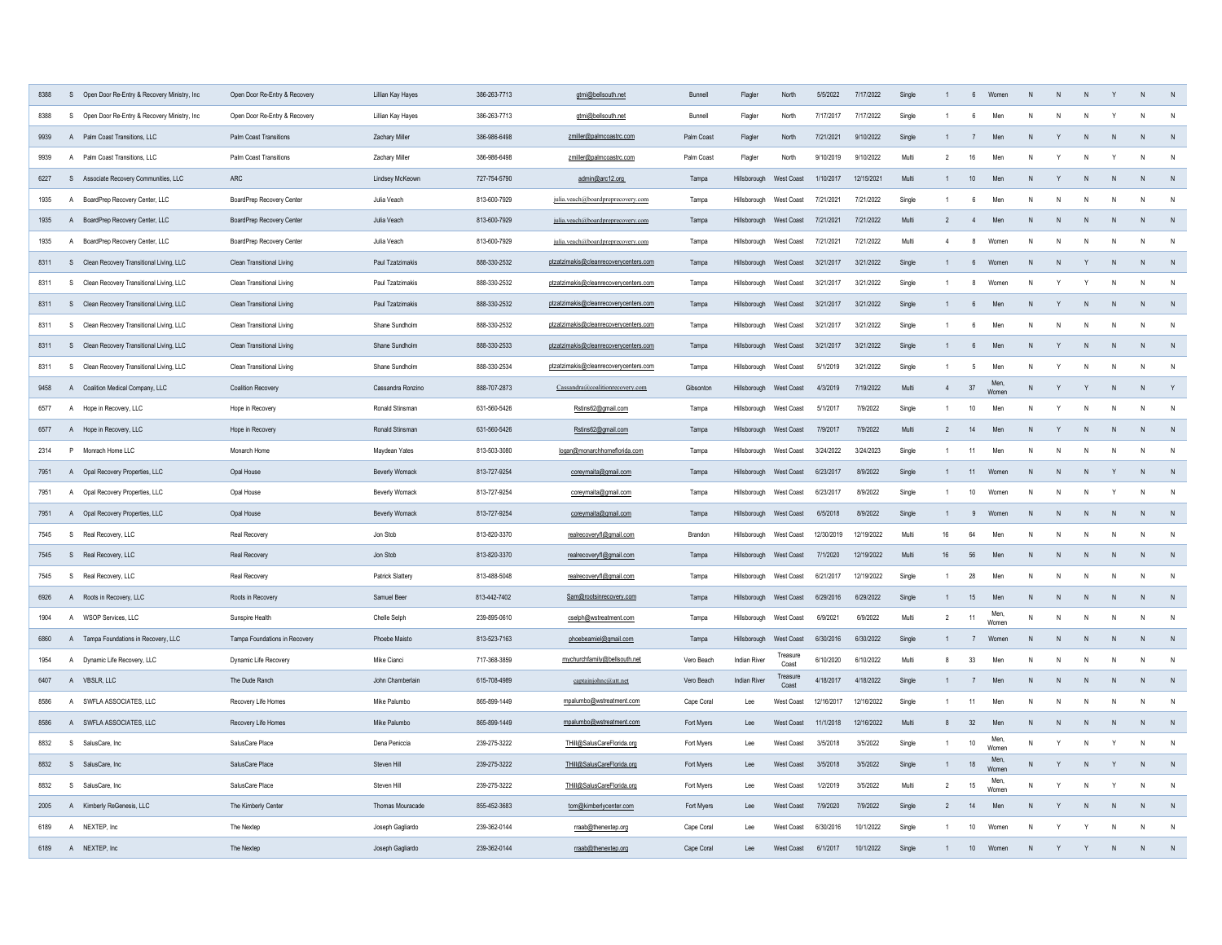| 8388 |              | S Open Door Re-Entry & Recovery Ministry, Inc. | Open Door Re-Entry & Recovery | Lillian Kay Hayes     | 386-263-7713 | gtmi@bellsouth.net                    | Bunnell    | Flagler                 | North             | 5/5/2022   | 7/17/2022  | Single |                | 6 <sup>5</sup>  | Women         |              |                |                |              |              |              |
|------|--------------|------------------------------------------------|-------------------------------|-----------------------|--------------|---------------------------------------|------------|-------------------------|-------------------|------------|------------|--------|----------------|-----------------|---------------|--------------|----------------|----------------|--------------|--------------|--------------|
| 8388 | S            | Open Door Re-Entry & Recovery Ministry, Inc.   | Open Door Re-Entry & Recovery | Lillian Kay Hayes     | 386-263-7713 | gtmi@bellsouth.net                    | Bunnell    | Flagler                 | North             | 7/17/2017  | 7/17/2022  | Single |                | 6               | Men           | N            |                |                |              | $\mathsf{N}$ |              |
| 9939 |              | A Palm Coast Transitions, LLC                  | Palm Coast Transitions        | Zachary Miller        | 386-986-6498 | zmiller@palmcoastrc.com               | Palm Coast | Flagler                 | North             | 7/21/2021  | 9/10/2022  | Single |                | 7               | Men           |              |                |                |              | $\mathsf{N}$ | N            |
| 9939 |              | A Palm Coast Transitions, LLC                  | Palm Coast Transitions        | Zachary Miller        | 386-986-6498 | zmiller@palmcoastrc.com               | Palm Coast | Flagler                 | North             | 9/10/2019  | 9/10/2022  | Multi  | $\mathfrak{p}$ | 16              | Men           | N            |                |                |              | $\mathsf{N}$ | N            |
| 6227 |              | S Associate Recovery Communities, LLC          | ARC                           | Lindsey McKeown       | 727-754-5790 | admin@arc12.org                       | Tamna      | Hillsborough            | West Coast        | 1/10/2017  | 12/15/2021 | Multi  |                | 10              | Men           | $\mathsf{N}$ | $\mathbf{v}$   |                | $\mathsf{N}$ | N            | N            |
| 1935 | $\mathsf{A}$ | BoardPrep Recovery Center, LLC                 | BoardPrep Recovery Center     | Julia Veach           | 813-600-7929 | julia.veach@boardpreprecovery.com     | Tampa      | Hillsborough            | West Coast        | 7/21/2021  | 7/21/2022  | Single |                | -6              | Men           | N            | N              |                | N            | $\mathsf{N}$ | N            |
| 1935 |              | A BoardPrep Recovery Center, LLC               | BoardPrep Recovery Center     | Julia Veach           | 813-600-7929 | julia.veach@boardpreprecovery.com     | Tampa      | Hillsborough West Coast |                   | 7/21/2021  | 7/21/2022  | Multi  | $\overline{2}$ | $\overline{4}$  | Men           | N            | N              |                | $\mathsf{N}$ | N            | N            |
| 1935 | $\mathsf{A}$ | BoardPrep Recovery Center, LLC                 | BoardPrep Recovery Center     | Julia Veach           | 813-600-7929 | julia.veach@boardpreprecovery.com     | Tampa      | Hillsborough            | West Coast        | 7/21/2021  | 7/21/2022  | Multi  | $\overline{4}$ | 8               | Womer         | N            |                |                | N            | $\mathsf{N}$ | N            |
| 8311 |              | S Clean Recovery Transitional Living, LLC      | Clean Transitional Living     | Paul Tzatzimakis      | 888-330-2532 | ptzatzimakis@cleanrecoverycenters.com | Tampa      | Hillsborough West Coast |                   | 3/21/2017  | 3/21/2022  | Single |                | $6\overline{6}$ | Women         | N            | N <sub>N</sub> |                | ${\sf N}$    | N            | N            |
| 8311 | $\mathbf{s}$ | Clean Recovery Transitional Living, LLC        | Clean Transitional Living     | Paul Tzatzimakis      | 888-330-2532 | ptzatzimakis@cleanrecoverycenters.com | Tampa      | Hillsborough            | West Coast        | 3/21/2017  | 3/21/2022  | Single |                | 8               | Women         | N            | Y              |                | $\mathsf{N}$ | $\mathsf{N}$ | N            |
| 8311 |              | S Clean Recovery Transitional Living, LLC      | Clean Transitional Living     | Paul Tzatzimakis      | 888-330-2532 | ptzatzimakis@cleanrecoverycenters.com | Tampa      | Hillsborough            | West Coast        | 3/21/2017  | 3/21/2022  | Single |                | 6               | Men           | $\mathsf{N}$ | Y              | $\mathsf{N}$   | $\mathsf{N}$ | N            | N            |
| 8311 | S            | Clean Recovery Transitional Living, LLC        | Clean Transitional Living     | Shane Sundholm        | 888-330-2532 | ptzatzimakis@cleanrecoverycenters.com | Tampa      | Hillsborough            | West Coast        | 3/21/2017  | 3/21/2022  | Single |                | 6               | Men           | N            | N              | N              | N            | N            | $\mathsf{N}$ |
| 8311 |              | S Clean Recovery Transitional Living, LLC      | Clean Transitional Living     | Shane Sundholm        | 888-330-2533 | ptzatzimakis@cleanrecoverycenters.com | Tampa      | Hillsborough            | West Coast        | 3/21/2017  | 3/21/2022  | Single |                | 6               | Men           | N            | Y              | N              | N            | N            | N            |
| 8311 |              | S Clean Recovery Transitional Living, LLC      | Clean Transitional Living     | Shane Sundholm        | 888-330-2534 | ptzatzimakis@cleanrecoverycenters.com | Tamna      | Hillshorough            | West Coast        | 5/1/2019   | 3/21/2022  | Single | $\overline{1}$ | -5              | Men           | N            | $\mathsf Y$    | $\mathsf{N}$   | $\mathsf{N}$ | $\mathsf{N}$ | $\mathsf{N}$ |
| 9458 |              | A Coalition Medical Company, LLC               | Coalition Recovery            | Cassandra Ronzino     | 888-707-2873 | Cassandra@coalitionrecovery.com       | Gibsonton  | Hillsborough West Coast |                   | 4/3/2019   | 7/19/2022  | Multi  | $\overline{4}$ | 37              | Men.<br>Womer | N            | Y              | Y              | N            | $\mathsf{N}$ | Y            |
| 6577 |              | A Hope in Recovery, LLC                        | Hope in Recovery              | Ronald Stinsman       | 631-560-5426 | Rstins62@gmail.com                    | Tampa      | Hillsborough            | West Coast        | 5/1/2017   | 7/9/2022   | Single | $\overline{1}$ | 10              | Men           | N            | Y              | N              | $\mathsf{N}$ | $\mathsf{N}$ | $\mathsf{N}$ |
| 6577 |              | A Hope in Recovery, LLC                        | Hope in Recovery              | Ronald Stinsman       | 631-560-5426 | Rstins62@gmail.com                    | Tampa      | Hillsborough            | West Coast        | 7/9/2017   | 7/9/2022   | Multi  | $\overline{2}$ | 14              | Men           | N            | Y              | N              | N            | N            | N            |
| 2314 |              | P Monrach Home LLC                             | Monarch Home                  | Maydean Yates         | 813-503-3080 | logan@monarchhomeflorida.com          | Tampa      | Hillsborough            | West Coast        | 3/24/2022  | 3/24/2023  | Single | $\overline{1}$ | 11              | Men           | N            | N              | N              | N            | N            | $\mathsf{N}$ |
| 7951 |              | A Opal Recovery Properties, LLC                | Opal House                    | <b>Beverly Womack</b> | 813-727-9254 | coreymaita@gmail.com                  | Tampa      | Hillsborough            | West Coast        | 6/23/2017  | 8/9/2022   | Single |                | 11              | Women         | $\mathsf{N}$ | N              | N              | Y            | $\mathsf{N}$ | N            |
| 7951 |              | A Opal Recovery Properties, LLC                | Opal House                    | <b>Beverly Womack</b> | 813-727-9254 | coreymaita@gmail.com                  | Tampa      | Hillsborough            | West Coast        | 6/23/2017  | 8/9/2022   | Single |                | 10              | Women         | N            | N              | N              | Y            | $\mathsf{N}$ | $\mathsf{N}$ |
| 7951 |              | A Opal Recovery Properties, LLC                | Opal House                    | <b>Beverly Womack</b> | 813-727-9254 | coreymaita@gmail.com                  | Tampa      | Hillsborough            | <b>West Coast</b> | 6/5/2018   | 8/9/2022   | Single |                | 9               | Womer         | N            | N              | N              | N            | N            | N            |
| 7545 |              | S Real Recovery, LLC                           | Real Recovery                 | Jon Stob              | 813-820-3370 | realrecoveryfl@gmail.com              | Brandon    | Hillsborough            | West Coast        | 12/30/2019 | 12/19/2022 | Multi  | 16             | 64              | Men           | N            | N              | N              | N            | $\mathsf{N}$ | N            |
| 7545 |              | S Real Recovery, LLC                           | Real Recovery                 | Jon Stob              | 813-820-3370 | realrecoveryfl@gmail.com              | Tampa      | Hillsborough            | West Coast        | 7/1/2020   | 12/19/2022 | Multi  | 16             | 56              | Men           | N            | N              | N              | ${\sf N}$    | N            | N            |
| 7545 |              | S Real Recovery, LLC                           | Real Recovery                 | Patrick Slattery      | 813-488-5048 | realrecoveryfl@gmail.com              | Tamna      | Hillsborough            | West Coast        | 6/21/2017  | 12/19/2022 | Single |                | 28              | Men           | $\mathsf{N}$ | N              | N              | N            | $\mathsf{N}$ | N            |
| 6926 |              | A Roots in Recovery, LLC                       | Roots in Recovery             | Samuel Beer           | 813-442-7402 | Sam@rootsinrecovery.com               | Tampa      | Hillsborough            | West Coast        | 6/29/2016  | 6/29/2022  | Single |                | 15              | Men           | N            | N              | N              | N            | $\mathsf{N}$ | N            |
| 1904 |              | A WSOP Services, LLC                           | Sunspire Health               | Chelle Selph          | 239-895-0610 | cselph@wstreatment.com                | Tampa      | Hillsborough            | West Coast        | 6/9/2021   | 6/9/2022   | Multi  | $\overline{2}$ | 11              | Men,<br>Women | ${\sf N}$    | N              | N              | N            | N            | N            |
| 6860 |              | A Tampa Foundations in Recovery, LLC           | Tampa Foundations in Recovery | Phoebe Maisto         | 813-523-7163 | phoebeamiel@gmail.com                 | Tampa      | Hillsborough            | West Coast        | 6/30/2016  | 6/30/2022  | Single |                | 7               | Womer         | N            | N              | N              | N            | N            | N            |
| 1954 |              | A Dynamic Life Recovery, LLC                   | Dynamic Life Recovery         | Mike Cianci           | 717-368-3859 | mychurchfamily@bellsouth.net          | Vero Beach | Indian River            | Treasure<br>Coast | 6/10/2020  | 6/10/2022  | Multi  | 8              | 33              | Men           | $\mathsf{N}$ | N              | N              | ${\sf N}$    | N            | N            |
| 6407 |              | A VBSLR, LLC                                   | The Dude Ranch                | John Chamberlain      | 615-708-4989 | captainjohnc@att.net                  | Vero Beach | <b>Indian River</b>     | Treasure<br>Coast | 4/18/2017  | 4/18/2022  | Single |                | $\overline{7}$  | Men           | N            | N              | N              | N            | N            | N            |
|      | $\mathsf{A}$ | SWFLA ASSOCIATES, LLC                          | Recovery Life Homes           | Mike Palumbo          | 865-899-1449 | mpalumbo@wstreatment.com              | Cape Coral | Lee                     | <b>West Coast</b> | 12/16/2017 | 12/16/2022 | Single |                | 11              | Men           | N            | N              | N              | N            | N            | N            |
| 8586 |              | A SWFLA ASSOCIATES, LLC                        | Recovery Life Homes           | Mike Palumbo          | 865-899-1449 | mpalumbo@wstreatment.com              | Fort Myers | Lee                     | West Coast        | 11/1/2018  | 12/16/2022 | Multi  | 8              | 32              | Men           | N            | N              | N              | N            | N            | N            |
| 8832 | S            | SalusCare, Inc.                                | SalusCare Place               | Dena Peniccia         | 239-275-3222 | THill@SalusCareFlorida.org            | Fort Myers | Lee                     | West Coast        | 3/5/2018   | 3/5/2022   | Single |                | 10              | Men.<br>Womer | N            | Y              | $\mathsf{N}$   | Y            | N            | N            |
| 8832 |              | S SalusCare, Inc.                              | SalusCare Place               | Steven Hill           | 239-275-3222 | THill@SalusCareFlorida.org            | Fort Myers | I ee                    | West Coast        | 3/5/2018   | 3/5/2022   | Single |                | 18              | Men<br>Wome   | N            | Y              | N              | Y            | N            | N            |
| 8832 | S.           | SalusCare, Inc.                                | SalusCare Place               | Steven Hill           | 239-275-3222 | THill@SalusCareFlorida.org            | Fort Myers | Lee                     | West Coast        | 1/2/2019   | 3/5/2022   | Multi  | $\overline{2}$ | 15              | Men<br>Women  | $\mathsf{N}$ | Y              | N              | Y            | N            | N            |
| 2005 |              | A Kimberly ReGenesis, LLC                      | The Kimberly Center           | Thomas Mouracade      | 855-452-3683 | tom@kimberlycenter.com                | Fort Myers | Lee                     | West Coast        | 7/9/2020   | 7/9/2022   | Single | $\overline{2}$ | 14              | Men           | N            | Y              | N <sub>1</sub> | $\mathsf{N}$ | N            | N            |
| 6189 |              | A NEXTEP, Inc.                                 | The Nextep                    | Joseph Gagliardo      | 239-362-0144 | rraab@thenextep.org                   | Cape Coral | Lee                     | West Coast        | 6/30/2016  | 10/1/2022  | Single |                | 10              | Women         | N            | Y              |                |              | N            | $\mathsf{N}$ |
| 6189 |              | A NEXTEP, Inc.                                 | The Nexten                    | Joseph Gagliardo      | 239-362-0144 | rraab@thenextep.org                   | Cane Coral | $1 \rho \rho$           | West Coast        | 6/1/2017   | 10/1/2022  | Single |                | 10 <sup>1</sup> | Womer         | N            |                |                |              | $\mathsf{N}$ | N            |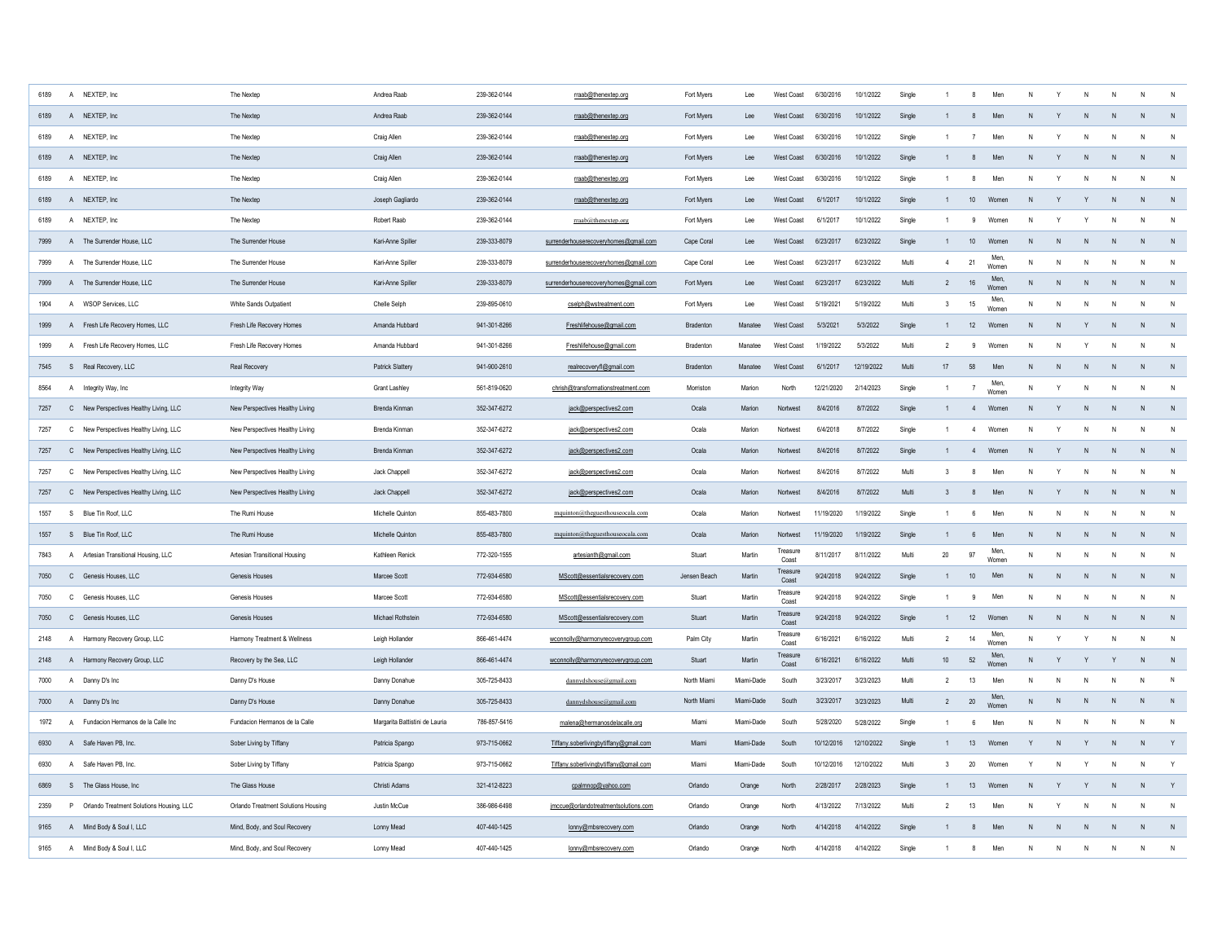| 6189 | A              | NEXTEP, Inc                                | The Nextep                          | Andrea Raab                    | 239-362-0144 | rraab@thenextep.org                    | Fort Myers       | Lee            | West Coast        | 6/30/2016  | 10/1/2022  | Single |                  | -я             | Men           |              |              |                |                | N            | N              |
|------|----------------|--------------------------------------------|-------------------------------------|--------------------------------|--------------|----------------------------------------|------------------|----------------|-------------------|------------|------------|--------|------------------|----------------|---------------|--------------|--------------|----------------|----------------|--------------|----------------|
| 6189 |                | A NEXTEP, Inc.                             | The Nextep                          | Andrea Raab                    | 239-362-0144 | rraab@thenextep.org                    | Fort Myers       | Lee            | West Coast        | 6/30/2016  | 10/1/2022  | Single |                  | $\mathbf{8}$   | Men           | N            |              | N              | N              | N            | N              |
| 6189 | $\mathsf{A}$   | NEXTEP, Inc                                | The Nextep                          | Craig Allen                    | 239-362-0144 | rraab@thenextep.org                    | Fort Myers       | Lee            | West Coast        | 6/30/2016  | 10/1/2022  | Single |                  | $\overline{7}$ | Mer           |              |              |                |                | N            | N              |
| 6189 |                | A NEXTEP, Inc.                             | The Nextep                          | Craig Allen                    | 239-362-0144 | rraab@thenextep.org                    | Fort Myers       | Lee            | West Coast        | 6/30/2016  | 10/1/2022  | Single |                  | 8              | Men           | N            | Y            |                | N              | N            | N              |
| 6189 | $\mathsf{A}$   | NEXTEP, Inc                                | The Nextep                          | Craig Allen                    | 239-362-0144 | rraab@thenextep.org                    | Fort Myers       | Lee            | West Coast        | 6/30/2016  | 10/1/2022  | Single | $\overline{1}$   | 8              | Men           | N            | Y            |                |                | N            | N              |
| 6189 |                | A NEXTEP, Inc.                             | The Nextep                          | Joseph Gagliardo               | 239-362-0144 | rraab@thenextep.org                    | Fort Myers       | Lee            | <b>West Coast</b> | 6/1/2017   | 10/1/2022  | Single |                  | 10             | Women         | N            | Y            | Y              | N              | N            | N              |
| 6189 | $\overline{A}$ | NEXTEP, Inc                                | The Nextep                          | Robert Raab                    | 239-362-0144 | rraab@thenextep.org                    | Fort Myers       | Lee            | West Coast        | 6/1/2017   | 10/1/2022  | Single | $\overline{1}$   | 9              | Women         | N            | Y            |                |                | N            | N              |
| 7999 |                | A The Surrender House, LLC                 | The Surrender House                 | Kari-Anne Spiller              | 239-333-8079 | surrenderhouserecoveryhomes@gmail.com  | Cape Coral       | Lee            | West Coast        | 6/23/2017  | 6/23/2022  | Single | $\mathbf{1}$     | $10$           | Women         | N            | $\mathsf{N}$ | N              | N              | $\mathsf{N}$ | $\overline{N}$ |
| 7999 |                | A The Surrender House, LLC                 | The Surrender House                 | Kari-Anne Spiller              | 239-333-8079 | surrenderhouserecoveryhomes@gmail.com  | Cape Coral       | Lee            | West Coast        | 6/23/2017  | 6/23/2022  | Multi  | $\overline{4}$   | 21             | Men.<br>Womer | N            | N            | N              | N              | N            | $\mathsf{N}$   |
| 7999 |                | A The Surrender House, LLC                 | The Surrender House                 | Kari-Anne Spiller              | 239-333-8079 | surrenderhouserecoveryhomes@gmail.com  | Fort Myers       | Lee            | West Coast        | 6/23/2017  | 6/23/2022  | Multi  | $\overline{2}$   | $16\,$         | Men.<br>Womer | $\mathsf{N}$ | $\mathsf{N}$ | N              | N              | $\mathsf{N}$ | N              |
| 1904 |                | A WSOP Services, LLC                       | White Sands Outpatient              | Chelle Selph                   | 239-895-0610 | cselph@wstreatment.com                 | Fort Myers       | Lee            | West Coast        | 5/19/2021  | 5/19/2022  | Multi  | 3                | $15\,$         | Men,<br>Women | N            | N            | N              | N              | N            | $\mathsf{N}$   |
| 1999 |                | A Fresh Life Recovery Homes, LLC           | Fresh Life Recovery Homes           | Amanda Hubbard                 | 941-301-8266 | Freshlifehouse@gmail.com               | <b>Bradenton</b> | <b>Manatee</b> | West Coast        | 5/3/2021   | 5/3/2022   | Single | $\mathbf{1}$     | 12             | Women         | N            | N            | Y              | N              | $\mathsf{N}$ | $\overline{N}$ |
| 1999 |                | A Fresh Life Recovery Homes, LLC           | Fresh Life Recovery Homes           | Amanda Hubbard                 | 941-301-8266 | Freshlifehouse@gmail.com               | <b>Bradenton</b> | Manatee        | West Coast        | 1/19/2022  | 5/3/2022   | Multi  | 2                | -9             | Women         | N            | N            | Y              | N              | $\mathsf{N}$ | ${\sf N}$      |
| 7545 |                | S Real Recovery, LLC                       | Real Recovery                       | Patrick Slattery               | 941-900-2610 | realrecoveryfl@gmail.com               | <b>Bradenton</b> | Manatee        | West Coast        | 6/1/2017   | 12/19/2022 | Multi  | 17               | 58             | Men           | N            | N            | N              | N              | N            | $\overline{N}$ |
| 8564 |                | A Integrity Way, Inc.                      | Integrity Way                       | Grant Lashley                  | 561-819-0620 | chrish@transformationstreatment.com    | Morriston        | Marion         | North             | 12/21/2020 | 2/14/2023  | Single | $\mathbf{1}$     | $\overline{7}$ | Men,<br>Women | N            | Y            | N              | N              | $\mathsf{N}$ | N              |
| 7257 |                | C New Perspectives Healthy Living, LLC     | New Perspectives Healthy Living     | <b>Brenda Kinmar</b>           | 352-347-6272 | jack@perspectives2.com                 | Ocala            | Marion         | Nortwest          | 8/4/2016   | 8/7/2022   | Single | $\mathbf{1}$     | 4              | Women         | $\mathsf{N}$ | Y            | N              | N              | N            | N              |
| 7257 |                | C New Perspectives Healthy Living, LLC     | New Perspectives Healthy Living     | Brenda Kinman                  | 352-347-6272 | jack@perspectives2.com                 | Ocala            | Marion         | <b>Nortwes</b>    | 6/4/2018   | 8/7/2022   | Single |                  | $\overline{4}$ | Women         | N            | Y            | N              | N              | N            | N              |
| 7257 |                | C New Perspectives Healthy Living, LLC     | New Perspectives Healthy Living     | Brenda Kinman                  | 352-347-6272 | jack@perspectives2.com                 | Ocala            | Marion         | Nortwest          | 8/4/2016   | 8/7/2022   | Single |                  | $\overline{4}$ | Womer         |              | Y            | N              | N              | N            | $\overline{N}$ |
| 7257 |                | C New Perspectives Healthy Living, LLC     | New Perspectives Healthy Living     | Jack Chappell                  | 352-347-6272 | jack@perspectives2.com                 | Ocala            | Marion         | Nortwest          | 8/4/2016   | 8/7/2022   | Multi  | $\mathbf{3}$     | 8              | Men           | N            | Y            | N              | N              | N            | N              |
| 7257 |                | C New Perspectives Healthy Living, LLC     | New Perspectives Healthy Living     | Jack Chappell                  | 352-347-6272 | jack@perspectives2.com                 | Ocala            | Marion         | Nortwest          | 8/4/2016   | 8/7/2022   | Multi  | $\mathbf{3}$     | 8              | Men           | N            | Y            | N              | N              | N            | N              |
| 1557 | S              | Blue Tin Roof, LLC                         | The Rumi House                      | Michelle Quinton               | 855-483-7800 | mquinton@theguesthouseocala.com        | Ocala            | Marion         | Nortwest          | 11/19/2020 | 1/19/2022  | Single | $\overline{1}$   | 6              | Men           | N            | $\mathsf{N}$ |                | N              | N            | N              |
| 1557 |                | S Blue Tin Roof, LLC                       | The Rumi House                      | Michelle Quinton               | 855-483-7800 | mquinton@theguesthouseocala.com        | Ocala            | Marion         | Nortwest          | 11/19/2020 | 1/19/2022  | Single | $\mathbf{1}$     | 6              | Men           | $\mathsf{N}$ | N            | N <sub>1</sub> | N <sub>N</sub> | N            | N              |
| 7843 |                | A Artesian Transitional Housing, LLC       | Artesian Transitional Housing       | Kathleen Renick                | 772-320-1555 | artesianth@gmail.com                   | Stuart           | Martin         | Treasure<br>Coast | 8/11/2017  | 8/11/2022  | Multi  | 20               | 97             | Men,<br>Women | $\mathsf{N}$ | N            | N              | N              | N            | $\mathsf{N}$   |
| 7050 |                | C Genesis Houses, LLC                      | Genesis Houses                      | Marcee Scott                   | 772-934-6580 | MScott@essentialsrecovery.com          | Jensen Beach     | Martin         | Treasure<br>Coast | 9/24/2018  | 9/24/2022  | Single | $\overline{1}$   | 10             | Men           | $\mathsf{N}$ | N            | N              | N              | $\mathsf{N}$ | N              |
| 7050 |                | C Genesis Houses, LLC                      | <b>Genesis Houses</b>               | Marcee Scott                   | 772-934-6580 | MScott@essentialsrecovery.com          | Stuart           | Martin         | Treasure<br>Coast | 9/24/2018  | 9/24/2022  | Single |                  | 9              | Men           | N            | N            | N              | N              | N            | $\mathsf{N}$   |
| 7050 |                | C Genesis Houses, LLC                      | Genesis Houses                      | Michael Rothstein              | 772-934-6580 | MScott@essentialsrecovery.com          | Stuart           | Martin         | Treasure<br>Coast | 9/24/2018  | 9/24/2022  | Single | $\mathbf{1}$     | 12             | Women         | $\mathsf{N}$ | N            | N              | N              | $\mathsf{N}$ | N              |
| 2148 | $\mathsf{A}$   | Harmony Recovery Group, LLC                | Harmony Treatment & Wellness        | Leigh Hollander                | 866-461-4474 | wconnolly@harmonyrecoverygroup.com     | Palm City        | Martin         | Treasure<br>Coast | 6/16/2021  | 6/16/2022  | Multi  | $\overline{2}$   | 14             | Men.<br>Womer | N            | Y            | Y              | N              | $\mathsf{N}$ | $\mathsf{N}$   |
| 2148 |                | A Harmony Recovery Group, LLC              | Recovery by the Sea, LLC            | Leigh Hollander                | 866-461-4474 | wconnolly@harmonyrecoverygroup.com     | Stuart           | Martin         | Treasure<br>Coast | 6/16/2021  | 6/16/2022  | Multi  | 10 <sup>10</sup> | 52             | Men.<br>Womer | $\mathsf{N}$ | Y            | Y              |                | N            | N              |
| 7000 | $\mathsf{A}$   | Danny D's Inc                              | Danny D's House                     | Danny Donahue                  | 305-725-8433 | dannydshouse@gmail.com                 | North Miami      | Miami-Dade     | South             | 3/23/2017  | 3/23/2023  | Multi  | $\overline{2}$   | 13             | Men           | N            | N            | Ν              | N.             | N            | N              |
| 7000 |                | A Danny D's Inc                            | Danny D's House                     | Danny Donahue                  | 305-725-8433 | dannydshouse@gmail.com                 | North Miam       | Miami-Dade     | South             | 3/23/2017  | 3/23/2023  | Multi  | $\overline{2}$   | 20             | Men.<br>Wome  | N            | ${\sf N}$    | N              | N              | $\mathsf{N}$ | N              |
| 1972 | $\mathsf{A}$   | Fundacion Hermanos de la Calle Inc         | Fundacion Hermanos de la Calle      | Margarita Battistini de Lauria | 786-857-5416 | malena@hermanosdelacalle.org           | Miami            | Miami-Dade     | South             | 5/28/2020  | 5/28/2022  | Single |                  | 6              | Men           | N            | N            | N              |                | N            | N              |
| 6930 |                | A Safe Haven PB, Inc.                      | Sober Living by Tiffany             | Patricia Spango                | 973-715-0662 | Tiffany.soberlivingbytiffany@gmail.com | Miami            | Miami-Dade     | South             | 10/12/2016 | 12/10/2022 | Single |                  | 13             | Women         | Y            | ${\sf N}$    |                | N              | N            | Y              |
| 6930 |                | A Safe Haven PB, Inc.                      | Sober Living by Tiffany             | Patricia Spango                | 973-715-0662 | Tiffany.soberlivingbytiffany@gmail.com | Miami            | Miami-Dade     | South             | 10/12/2016 | 12/10/2022 | Multi  | 3                | 20             | Women         | Y            | N            |                | N              | N            | Y              |
| 6869 |                | S The Glass House, Inc.                    | The Glass House                     | Christi Adams                  | 321-412-8223 | cpalmnop@yahoo.com                     | Orlando          | Orange         | North             | 2/28/2017  | 2/28/2023  | Single |                  | 13             | Women         | N            | Y            |                |                | N            | Y              |
| 2359 |                | P Orlando Treatment Solutions Housing, LLC | Orlando Treatment Solutions Housing | Justin McCue                   | 386-986-6498 | jmccue@orlandotreatmentsolutions.com   | Orlando          | Orange         | North             | 4/13/2022  | 7/13/2022  | Multi  | $\overline{2}$   | 13             | Men           | N            |              |                | N              | N            | $\mathsf{N}$   |
| 9165 |                | A Mind Body & Soul I, LLC                  | Mind, Body, and Soul Recovery       | Lonny Mead                     | 407-440-1425 | lonny@mbsrecovery.com                  | Orlando          | Orange         | North             | 4/14/2018  | 4/14/2022  | Single |                  | $\mathbf{R}$   | Men           | $\mathbf{N}$ | $\mathbf{N}$ |                |                | $\mathbf{N}$ | $\overline{N}$ |
| 9165 |                | A Mind Body & Soul I, LLC                  | Mind, Body, and Soul Recovery       | Lonny Mead                     | 407-440-1425 | lonny@mbsrecovery.com                  | Orlando          | Orange         | North             | 4/14/2018  | 4/14/2022  | Single |                  | $\mathbf{R}$   | Mer           | N            | $\mathbf{N}$ | N              | N              | N            | $\mathsf{N}$   |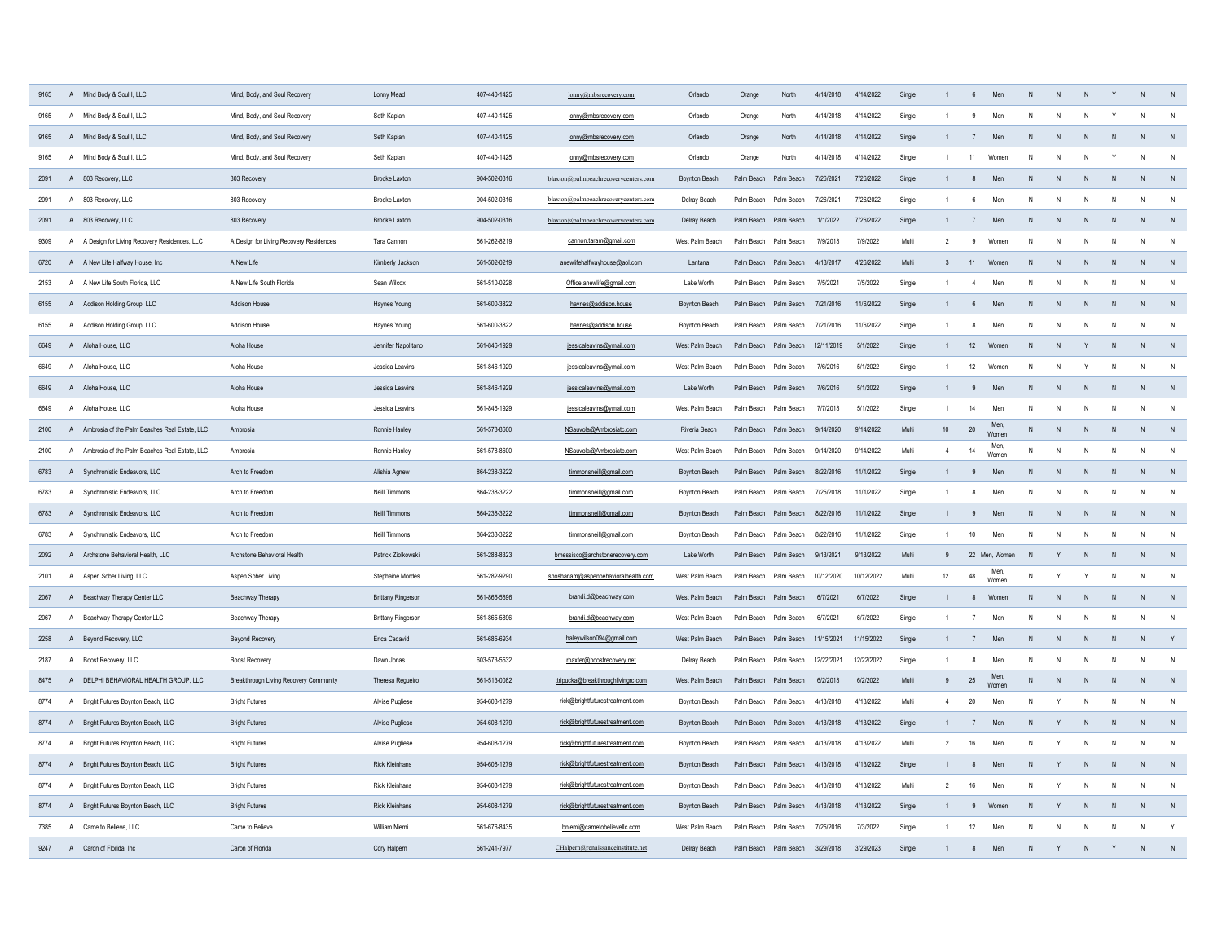| 9165 |              | A Mind Body & Soul I, LLC                       | Mind, Body, and Soul Recovery           | Lonny Mead                | 407-440-1425 | lonny@mbsrecovery.com                | Orlando              | Orange                | North                 | 4/14/2018  | 4/14/2022  | Single |                 | 6 <sup>5</sup>   | Men           |              |              |              |              | N            |                |
|------|--------------|-------------------------------------------------|-----------------------------------------|---------------------------|--------------|--------------------------------------|----------------------|-----------------------|-----------------------|------------|------------|--------|-----------------|------------------|---------------|--------------|--------------|--------------|--------------|--------------|----------------|
| 9165 | $\mathsf{A}$ | Mind Body & Soul I, LLC                         | Mind, Body, and Soul Recovery           | Seth Kaplan               | 407-440-1425 | lonny@mbsrecovery.com                | Orlando              | Orange                | North                 | 4/14/2018  | 4/14/2022  | Single |                 | 9                | Men           | N            |              |              |              | N            |                |
| 9165 |              | A Mind Body & Soul I, LLC                       | Mind, Body, and Soul Recovery           | Seth Kaplan               | 407-440-1425 | lonny@mbsrecovery.com                | Orlando              | Orange                | North                 | 4/14/2018  | 4/14/2022  | Single |                 | $\overline{7}$   | Men           |              |              |              |              | N            |                |
| 9165 |              | A Mind Body & Soul I, LLC                       | Mind, Body, and Soul Recovery           | Seth Kaplan               | 407-440-1425 | lonny@mbsrecovery.com                | Orlando              | Orange                | North                 | 4/14/2018  | 4/14/2022  | Single |                 | 11               | Women         | N            | N            |              |              | N            | N              |
| 2091 |              | A 803 Recovery, LLC                             | 803 Recovery                            | Brooke Laxton             | 904-502-0316 | blaxton@palmbeachrecoverycenters.com | <b>Boynton Beach</b> | Palm Beach            | Palm Beach            | 7/26/2021  | 7/26/2022  | Single |                 | 8                | Men           | $\mathsf{N}$ | N            |              | N            | ${\sf N}$    | N              |
| 2091 |              | A 803 Recovery, LLC                             | 803 Recovery                            | Brooke Laxton             | 904-502-0316 | blaxton@palmbeachrecoverycenters.com | Delray Beach         | Palm Beach            | Palm Beach            | 7/26/2021  | 7/26/2022  | Single |                 | -6               | Men           | N            | N            |              | N            | N            | N              |
| 2091 |              | A 803 Recovery, LLC                             | 803 Recovery                            | Brooke Laxton             | 904-502-0316 | blaxton@palmbeachrecoverycenters.com | Delray Beach         | Palm Beach Palm Beach |                       | 1/1/2022   | 7/26/2022  | Single |                 | $\overline{7}$   | Men           | N            | N            |              | $\mathsf{N}$ | N            | N              |
| 9309 |              | A A Design for Living Recovery Residences, LLC  | A Design for Living Recovery Residences | Tara Cannon               | 561-262-8219 | cannon.taram@gmail.com               | West Palm Beach      | Palm Beach            | Palm Beach            | 7/9/2018   | 7/9/2022   | Multi  | $\overline{2}$  | 9                | Womer         | N            | N            |              | N            | $\mathsf{N}$ | N              |
| 6720 |              | A A New Life Halfway House, Inc.                | A New Life                              | Kimberly Jackson          | 561-502-0219 | anewlifehalfwayhouse@aol.com         | Lantana              | Palm Beach Palm Beach |                       | 4/18/2017  | 4/26/2022  | Multi  | 3               | 11               | Women         | N            | N            | N            | N            | N            | N              |
| 2153 |              | A A New Life South Florida, LLC                 | A New Life South Florida                | Sean Wilcox               | 561-510-0228 | Office.anewlife@gmail.com            | Lake Worth           | Palm Beach Palm Beach |                       | 7/5/2021   | 7/5/2022   | Single |                 | $\overline{4}$   | Men           | N            | $\mathsf{N}$ | $\mathsf{N}$ | ${\sf N}$    | N            | $\mathsf{N}$   |
| 6155 |              | A Addison Holding Group, LLC                    | Addison House                           | Haynes Young              | 561-600-3822 | haynes@addison.house                 | Boynton Beach        | Palm Beach Palm Beach |                       | 7/21/2016  | 11/6/2022  | Single |                 | 6 <sup>5</sup>   | Men           | N            | N            | N            | N            | N            | $\,$ N         |
| 6155 |              | A Addison Holding Group, LLC                    | Addison House                           | Haynes Young              | 561-600-3822 | haynes@addison.house                 | Boynton Beach        |                       | Palm Beach Palm Beach | 7/21/2016  | 11/6/2022  | Single |                 | 8                | Men           | N            | N            | N            | $\mathsf{N}$ | N            | N              |
| 6649 |              | A Aloha House, LLC                              | Aloha House                             | Jennifer Napolitano       | 561-846-1929 | jessicaleavins@ymail.com             | West Palm Beach      |                       | Palm Beach Palm Beach | 12/11/2019 | 5/1/2022   | Single | $\overline{1}$  | 12               | Women         | $\mathsf{N}$ | N            |              | $\mathsf{N}$ | N            | N              |
| 6649 |              | A Aloha House, LLC                              | Aloha House                             | Jessica Leavins           | 561-846-1929 | jessicaleavins@ymail.com             | West Palm Beach      | Palm Beach Palm Beach |                       | 7/6/2016   | 5/1/2022   | Single | $\overline{1}$  | 12               | Women         | N            | N            | Y            | N            | N            | N              |
| 6649 |              | A Aloha House, LLC                              | Aloha House                             | Jessica Leavins           | 561-846-1929 | jessicaleavins@ymail.com             | Lake Worth           |                       | Palm Beach Palm Beach | 7/6/2016   | 5/1/2022   | Single |                 | 9                | Men           | $\mathsf{N}$ | N            | $\mathsf{N}$ | $\mathsf{N}$ | ${\sf N}$    | $\,$ N         |
| 6649 |              | A Aloha House, LLC                              | Aloha House                             | Jessica Leavins           | 561-846-1929 | jessicaleavins@ymail.com             | West Palm Beach      | Palm Beach Palm Beach |                       | 7/7/2018   | 5/1/2022   | Single | $\overline{1}$  | 14               | Men           | N            | N            | $\mathsf{N}$ | $\mathsf{N}$ | $\mathsf{N}$ | N              |
| 2100 |              | A Ambrosia of the Palm Beaches Real Estate, LLC | Ambrosia                                | Ronnie Hanley             | 561-578-8600 | NSauvola@Ambrosiatc.com              | Riveria Beach        |                       | Palm Beach Palm Beach | 9/14/2020  | 9/14/2022  | Multi  | 10 <sub>1</sub> | 20               | Men<br>Women  | N            | N            | N            | N            | $\mathsf{N}$ | N              |
| 2100 |              | A Ambrosia of the Palm Beaches Real Estate, LLC | Ambrosia                                | Ronnie Hanley             | 561-578-8600 | NSauvola@Ambrosiatc.com              | West Palm Beach      | Palm Beach Palm Beach |                       | 9/14/2020  | 9/14/2022  | Multi  | $\overline{4}$  | 14               | Men,<br>Women | N            | N            | N            | N            | N            | $\mathsf{N}$   |
| 6783 |              | A Synchronistic Endeavors, LLC                  | Arch to Freedom                         | Alishia Agnew             | 864-238-3222 | timmonsneill@gmail.com               | <b>Boynton Beach</b> | Palm Beach Palm Beach |                       | 8/22/2016  | 11/1/2022  | Single |                 | 9                | Men           | ${\sf N}$    | N            | N            | N            | ${\sf N}$    | N              |
| 6783 |              | A Synchronistic Endeavors, LLC                  | Arch to Freedom                         | Neill Timmons             | 864-238-3222 | timmonsneill@gmail.com               | <b>Boynton Beach</b> | Palm Beach Palm Beach |                       | 7/25/2018  | 11/1/2022  | Single |                 | 8                | Men           | N            | N            | N            | N            | N            | $\mathsf{N}$   |
| 6783 |              | A Synchronistic Endeavors, LLC                  | Arch to Freedom                         | Neill Timmons             | 864-238-3222 | timmonsneill@gmail.com               | <b>Boynton Beach</b> |                       | Palm Beach Palm Beach | 8/22/2016  | 11/1/2022  | Single |                 | 9                | Men           | $\mathsf{N}$ | N            | N            | N            | $\mathsf{N}$ | N              |
| 6783 |              | A Synchronistic Endeavors, LLC                  | Arch to Freedom                         | Neill Timmons             | 864-238-3222 | timmonsneill@gmail.com               | Boynton Beach        | Palm Beach            | Palm Beach            | 8/22/2016  | 11/1/2022  | Single |                 | 10 <sup>10</sup> | Men           | N            | $\mathsf{N}$ |              | N            | $\mathsf{N}$ | N              |
| 2092 |              | A Archstone Behavioral Health, LLC              | Archstone Behavioral Health             | Patrick Ziolkowski        | 561-288-8323 | bmessisco@archstonerecovery.com      | Lake Worth           |                       | Palm Beach Palm Beach | 9/13/2021  | 9/13/2022  | Multi  | 9               |                  | 22 Men, Women | N            | Y            |              | N            | $\mathsf{N}$ | N              |
| 2101 |              | A Aspen Sober Living, LLC                       | Aspen Sober Living                      | Stephaine Mordes          | 561-282-9290 | shoshanam@aspenbehavioralhealth.com  | West Palm Beach      | Palm Beach            | Palm Beach            | 10/12/2020 | 10/12/2022 | Multi  | 12              | 48               | Men,<br>Women | N            | Y            |              | N            | N            | $\overline{N}$ |
| 2067 |              | A Beachway Therapy Center LLC                   | Beachway Therapy                        | <b>Brittany Ringerson</b> | 561-865-5896 | brandi.d@beachway.com                | West Palm Beach      | Palm Beach            | Palm Beach            | 6/7/2021   | 6/7/2022   | Single |                 | 8                | Women         | N            | N            | N            | N            | N            | $\overline{N}$ |
| 2067 | A            | Beachway Therapy Center LLC                     | Beachway Therapy                        | <b>Brittany Ringerson</b> | 561-865-5896 | brandi.d@beachway.com                | West Palm Beach      | Palm Beach            | Palm Beach            | 6/7/2021   | 6/7/2022   | Single |                 | $\overline{7}$   | Men           | N            | ${\sf N}$    | $\mathsf{N}$ | $\,$ N       | ${\sf N}$    | N              |
| 2258 |              | A Beyond Recovery, LLC                          | <b>Beyond Recovery</b>                  | Erica Cadavid             | 561-685-6934 | haleywilson094@gmail.com             | West Palm Beach      | Palm Beach Palm Beach |                       | 11/15/2021 | 11/15/2022 | Single |                 | 7                | Men           | N            | N            | N            | N            | N            | Y              |
| 2187 | $\mathsf{A}$ | Boost Recovery, LLC                             | <b>Boost Recovery</b>                   | Dawn Jonas                | 603-573-5532 | rbaxter@boostrecovery.net            | Delray Beach         | Palm Beach            | Palm Beach            | 12/22/2021 | 12/22/2022 | Single |                 | 8                | Men           | $\mathsf{N}$ | N            | N            | N            | N            | N              |
| 8475 |              | A DELPHI BEHAVIORAL HEALTH GROUP, LLC           | Breakthrough Living Recovery Community  | Theresa Regueiro          | 561-513-0082 | ttripucka@breakthroughlivingrc.com   | West Palm Beach      | Palm Beach            | Palm Beach            | 6/2/2018   | 6/2/2022   | Multi  | 9               | 25               | Men,<br>Women | N            | N            | ${\sf N}$    | ${\sf N}$    | N            | N              |
| 8774 | $\mathsf{A}$ | Bright Futures Boynton Beach, LLC               | <b>Bright Futures</b>                   | Alvise Pugliese           | 954-608-1279 | rick@brightfuturestreatment.com      | <b>Boynton Beach</b> | Palm Beach            | Palm Beach            | 4/13/2018  | 4/13/2022  | Multi  | $\overline{4}$  | $20\,$           | Men           | N            | Y            | N            | N            | N            | N              |
| 8774 |              | A Bright Futures Boynton Beach, LLC             | <b>Bright Futures</b>                   | Alvise Pugliese           | 954-608-1279 | rick@brightfuturestreatment.com      | <b>Boynton Beach</b> |                       | Palm Beach Palm Beach | 4/13/2018  | 4/13/2022  | Single |                 | 7                | Men           | ${\sf N}$    | Y            | ${\sf N}$    | ${\sf N}$    | N            | N              |
| 8774 | $\mathsf{A}$ | Bright Futures Boynton Beach, LLC               | <b>Bright Futures</b>                   | Alvise Pugliese           | 954-608-1279 | rick@brightfuturestreatment.com      | <b>Boynton Beach</b> | Palm Beach            | Palm Beach            | 4/13/2018  | 4/13/2022  | Multi  | $\overline{2}$  | 16               | Men           | $\mathsf{N}$ | Y            | N            | $\mathsf{N}$ | $\mathsf{N}$ | N              |
| 8774 | $\mathsf{A}$ | Bright Futures Boynton Beach, LLC               | <b>Bright Futures</b>                   | <b>Rick Kleinhans</b>     | 954-608-1279 | rick@brightfuturestreatment.com      | Boynton Beach        | Palm Beach            | Palm Beach            | 4/13/2018  | 4/13/2022  | Single |                 | 8                | Men           | ${\sf N}$    | Y            | $\mathsf{N}$ | $\mathsf{N}$ | $\mathsf{N}$ | N              |
| 8774 | $\mathsf{A}$ | Bright Futures Boynton Beach, LLC               | <b>Bright Futures</b>                   | <b>Rick Kleinhans</b>     | 954-608-1279 | rick@brightfuturestreatment.com      | <b>Boynton Beach</b> | Palm Beach            | Palm Beach            | 4/13/2018  | 4/13/2022  | Multi  | $\overline{2}$  | 16               | Men           | $\mathsf{N}$ | Y            | N            | N            | $\mathsf{N}$ | N              |
| 8774 |              | A Bright Futures Boynton Beach, LLC             | <b>Bright Futures</b>                   | <b>Rick Kleinhans</b>     | 954-608-1279 | rick@brightfuturestreatment.com      | <b>Boynton Beach</b> |                       | Palm Beach Palm Beach | 4/13/2018  | 4/13/2022  | Single |                 | 9                | Women         | ${\sf N}$    | Y            | N            | $\mathsf{N}$ | $\mathsf{N}$ | N              |
| 7385 |              | A Came to Believe, LLC                          | Came to Believe                         | William Niemi             | 561-676-8435 | bniemi@cametobelievellc.com          | West Palm Beach      | Palm Beach            | Palm Beach            | 7/25/2016  | 7/3/2022   | Single |                 | 12               | Men           | N            | N            |              | $\mathsf{N}$ | $\mathsf{N}$ | Y              |
| 9247 |              | A Caron of Florida, Inc.                        | Caron of Florida                        | Cory Halpern              | 561-241-7977 | CHalpern@renaissanceinstitute.net    | Delray Beach         |                       | Palm Beach Palm Beach | 3/29/2018  | 3/29/2023  | Single |                 | $\mathbf{R}$     | Men           | $\mathsf{N}$ | Y            | N            | Y            | N            | N              |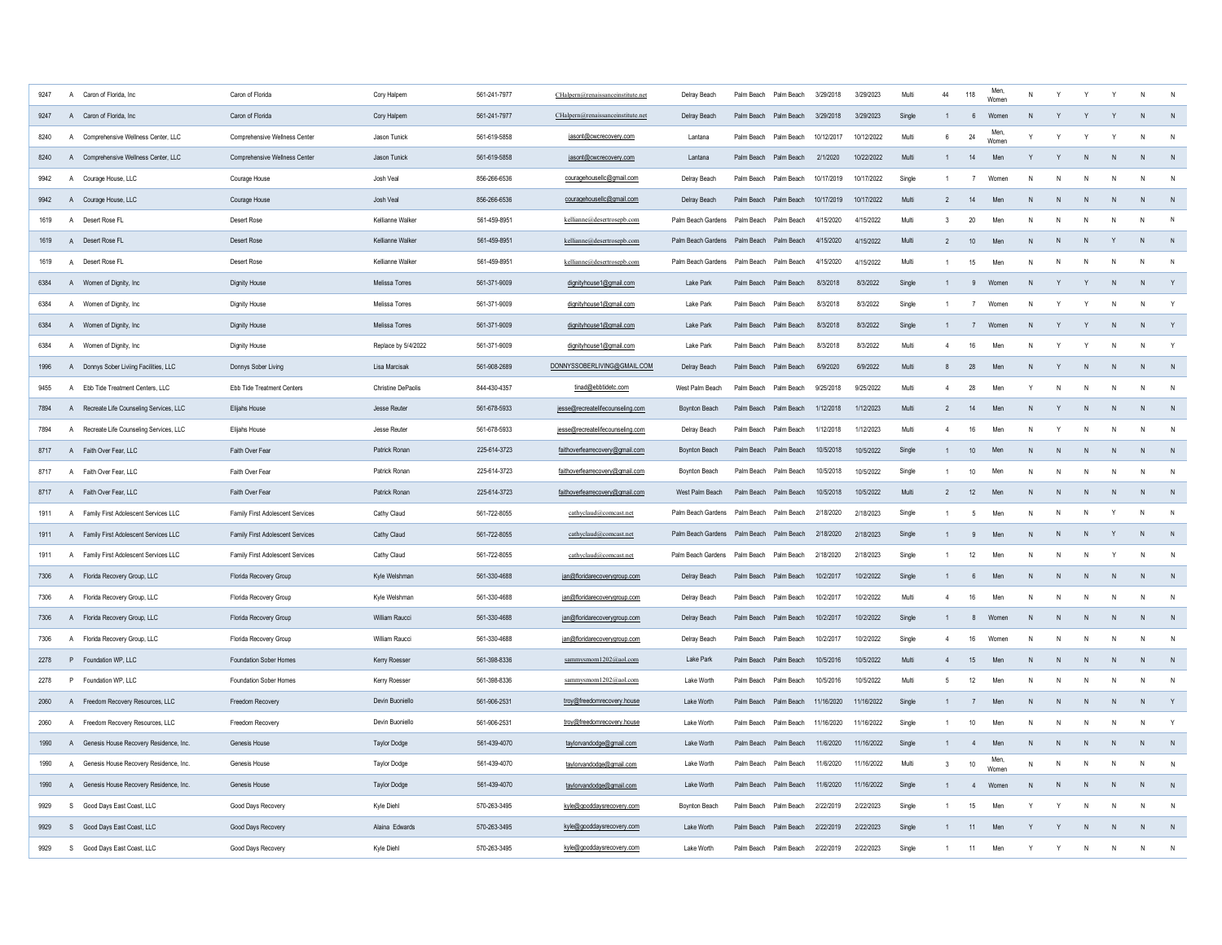| 9247 |              | A Caron of Florida, Inc.                 | Caron of Florida                 | Cory Halpern        | 561-241-7977 | CHalpern@renaissanceinstitute.net | Delray Beach                             | Palm Beach Palm Beach |                       | 3/29/2018  | 3/29/2023  | Multi  | 44             | 118            | Men.<br>Womer |              |              |              |              | N            |                |
|------|--------------|------------------------------------------|----------------------------------|---------------------|--------------|-----------------------------------|------------------------------------------|-----------------------|-----------------------|------------|------------|--------|----------------|----------------|---------------|--------------|--------------|--------------|--------------|--------------|----------------|
| 9247 |              | A Caron of Florida, Inc.                 | Caron of Florida                 | Cory Halpern        | 561-241-7977 | CHalpern@renaissanceinstitute.net | Delray Beach                             | Palm Beach Palm Beach |                       | 3/29/2018  | 3/29/2023  | Single |                | $6^{\circ}$    | Women         | N            |              |              |              |              |                |
| 8240 |              | A Comprehensive Wellness Center, LLC     | Comprehensive Wellness Center    | Jason Tunick        | 561-619-5858 | jasont@cwcrecovery.com            | Lantana                                  | Palm Beach Palm Beach |                       | 10/12/2017 | 10/12/2022 | Multi  | 6              | 24             | Men.<br>Womer |              |              |              |              |              |                |
| 8240 |              | A Comprehensive Wellness Center, LLC     | Comprehensive Wellness Center    | Jason Tunick        | 561-619-5858 | jasont@cwcrecovery.com            | Lantana                                  | Palm Beach Palm Beach |                       | 2/1/2020   | 10/22/2022 | Multi  |                | 14             | Men           |              | Y            |              | N            | $\mathsf{N}$ |                |
| 9942 |              | A Courage House, LLC                     | Courage House                    | Josh Veal           | 856-266-6536 | couragehousellc@gmail.com         | Delray Beach                             | Palm Beach Palm Beach |                       | 10/17/2019 | 10/17/2022 | Single |                | $\overline{7}$ | Women         | N            | N            |              |              | N            | N              |
| 9942 |              | A Courage House, LLC                     | Courage House                    | Josh Veal           | 856-266-6536 | couragehousellc@gmail.com         | Delray Beach                             | Palm Beach Palm Beach |                       | 10/17/2019 | 10/17/2022 | Multi  | $\mathcal{P}$  | 14             | Men           | N            | N            | N            | N            | N            | N              |
| 1619 |              | A Desert Rose FL                         | Desert Rose                      | Kellianne Walker    | 561-459-8951 | kellianne@desertrosepb.com        | Palm Beach Gardens                       | Palm Beach Palm Beach |                       | 4/15/2020  | 4/15/2022  | Multi  | 3              | 20             | Mer           | N            | N            | N            |              | N            | N              |
| 1619 |              | A Desert Rose FL                         | <b>Desert Rose</b>               | Kellianne Walker    | 561-459-8951 | kellianne@desertrosepb.com        | Palm Beach Gardens Palm Beach Palm Beach |                       |                       | 4/15/2020  | 4/15/2022  | Multi  | $\overline{2}$ | 10             | Men           | N            | N            | N.           |              | N            | N              |
| 1619 | $\mathsf{A}$ | Desert Rose FL                           | Desert Rose                      | Kellianne Walker    | 561-459-8951 | kellianne@desertrosepb.com        | Palm Beach Gardens                       | Palm Beach Palm Beach |                       | 4/15/2020  | 4/15/2022  | Multi  |                | 15             | Mer           | N            | N            | N            | N            | N            | N              |
| 6384 |              | A Women of Dignity, Inc.                 | Dignity House                    | Melissa Torres      | 561-371-9009 | dignityhouse1@gmail.com           | Lake Park                                | Palm Beach Palm Beach |                       | 8/3/2018   | 8/3/2022   | Single |                | 9              | Women         | N            | Y            | Y            | $\mathsf{N}$ | N            | Y              |
| 6384 |              | A Women of Dignity, Inc.                 | Dignity House                    | Melissa Torres      | 561-371-9009 | dignityhouse1@gmail.com           | Lake Park                                | Palm Beach Palm Beach |                       | 8/3/2018   | 8/3/2022   | Single | $\overline{1}$ | $\overline{7}$ | Women         | N            | Y            | Y            | N            | $\mathsf{N}$ | Y              |
| 6384 |              | A Women of Dignity, Inc.                 | <b>Dignity House</b>             | Melissa Torres      | 561-371-9009 | dignityhouse1@gmail.com           | Lake Park                                | Palm Beach Palm Beach |                       | 8/3/2018   | 8/3/2022   | Single | $\mathbf{1}$   | 7              | Women         | N            | Y            | Y            | N            | N            | Y              |
| 6384 |              | A Women of Dignity, Inc.                 | <b>Dignity House</b>             | Replace by 5/4/2022 | 561-371-9009 | dignityhouse1@gmail.com           | Lake Park                                | Palm Beach Palm Beach |                       | 8/3/2018   | 8/3/2022   | Multi  | $\overline{4}$ | 16             | Men           | N            | Y            | Y            | N            | $\mathsf{N}$ | Y              |
| 1996 |              | A Donnys Sober Liviing Facilities, LLC   | Donnys Sober Living              | Lisa Marcisak       | 561-908-2689 | DONNYSSOBERLIVING@GMAIL.COM       | Delray Beach                             | Palm Beach Palm Beach |                       | 6/9/2020   | 6/9/2022   | Multi  | 8              | 28             | Men           | N            | Y            | N            | N            | $\mathsf{N}$ | $\overline{N}$ |
| 9455 |              | A Ebb Tide Treatment Centers, LLC        | Ebb Tide Treatment Centers       | Christine DePaolis  | 844-430-4357 | tinad@ebbtidetc.com               | West Palm Beach                          | Palm Beach Palm Beach |                       | 9/25/2018  | 9/25/2022  | Multi  | $\overline{4}$ | 28             | Men           | $\mathsf{v}$ | $\mathsf{N}$ | N            | N            | N            | $\mathsf{N}$   |
| 7894 |              | A Recreate Life Counseling Services, LLC | Elijahs House                    | Jesse Reuter        | 561-678-5933 | jesse@recreatelifecounseling.com  | <b>Boynton Beach</b>                     | Palm Beach Palm Beach |                       | 1/12/2018  | 1/12/2023  | Multi  | $\overline{2}$ | 14             | Men           | $\mathsf{N}$ | Y            | N            | N            | $\mathsf{N}$ | $\overline{N}$ |
| 7894 |              | A Recreate Life Counseling Services, LLC | Elijahs House                    | Jesse Reuter        | 561-678-5933 | jesse@recreatelifecounseling.com  | Delray Beach                             | Palm Beach Palm Beach |                       | 1/12/2018  | 1/12/2023  | Multi  | $\overline{4}$ | 16             | Men           | N            | Y            | N            | N            | N            | N              |
| 8717 |              | A Faith Over Fear, LLC                   | Faith Over Fear                  | Patrick Ronan       | 225-614-3723 | faithoverfearrecovery@gmail.com   | <b>Boynton Beach</b>                     | Palm Reach Palm Reach |                       | 10/5/2018  | 10/5/2022  | Single |                | 10             | Men           | N            | ${\sf N}$    | N            | N            | N            | $\mathsf{N}$   |
| 8717 |              | A Faith Over Fear, LLC                   | Faith Over Fear                  | Patrick Ronan       | 225-614-3723 | faithoverfearrecovery@gmail.com   | Bovnton Beach                            | Palm Beach Palm Beach |                       | 10/5/2018  | 10/5/2022  | Single | $\overline{1}$ | $10$           | Men           | N            | $\mathsf{N}$ | N            | N            | N            | N              |
| 8717 |              | A Faith Over Fear, LLC                   | Faith Over Fear                  | Patrick Ronan       | 225-614-3723 | faithoverfearrecovery@gmail.com   | West Palm Beach                          | Palm Beach Palm Beach |                       | 10/5/2018  | 10/5/2022  | Multi  | $\overline{2}$ | 12             | Men           | N            | N            | N            | N            | N            | N              |
| 1911 |              | A Family First Adolescent Services LLC   | Family First Adolescent Services | Cathy Claud         | 561-722-8055 | cathyclaud@comcast.net            | Palm Beach Gardens                       | Palm Beach Palm Beach |                       | 2/18/2020  | 2/18/2023  | Single |                | -5             | Men           | N            | N            | N            |              | N            | $\mathsf{N}$   |
| 1911 |              | A Family First Adolescent Services LLC   | Family First Adolescent Services | Cathy Claud         | 561-722-8055 | cathyclaud@comcast.net            | Palm Beach Gardens                       | Palm Beach            | Palm Beach            | 2/18/2020  | 2/18/2023  | Single |                | 9              | Men           | N            | ${\sf N}$    | N            |              | N            | $\overline{N}$ |
| 1911 |              | A Family First Adolescent Services LLC   | Family First Adolescent Services | Cathy Claud         | 561-722-8055 | cathyclaud@comcast.net            | Palm Beach Gardens                       | Palm Beach            | Palm Beach            | 2/18/2020  | 2/18/2023  | Single | $\overline{1}$ | 12             | Men           | N            | ${\sf N}$    | N            |              | N            | N              |
| 7306 |              | A Florida Recovery Group, LLC            | Florida Recovery Group           | Kyle Welshman       | 561-330-4688 | jan@floridarecoverygroup.com      | Delray Beach                             | Palm Beach Palm Beach |                       | 10/2/2017  | 10/2/2022  | Single | $\overline{1}$ | $6^{\circ}$    | Men           | $\mathsf{N}$ | N            | N.           | N            | N            | N              |
| 7306 |              | A Florida Recovery Group, LLC            | Florida Recovery Group           | Kyle Welshman       | 561-330-4688 | jan@floridarecoverygroup.com      | Delray Beach                             | Palm Beach            | Palm Beach            | 10/2/2017  | 10/2/2022  | Multi  | $\overline{4}$ | 16             | Men           | N            | N            | N            | N            | N            | $\mathsf{N}$   |
| 7306 |              | A Florida Recovery Group, LLC            | Florida Recovery Group           | William Raucci      | 561-330-4688 | jan@floridarecoverygroup.com      | Delray Beach                             | Palm Beach Palm Beach |                       | 10/2/2017  | 10/2/2022  | Single | $\mathbf{1}$   | 8              | Women         | N            | N            | N            | N            | N            | N              |
| 7306 |              | A Florida Recovery Group, LLC            | Florida Recovery Group           | William Raucci      | 561-330-4688 | jan@floridarecoverygroup.com      | Delray Beach                             | Palm Beach Palm Beach |                       | 10/2/2017  | 10/2/2022  | Single | $\overline{4}$ | $16\,$         | Women         | N            | N            | N            | N            | ${\sf N}$    | $\mathsf{N}$   |
| 2278 |              | P Foundation WP, LLC                     | Foundation Sober Homes           | Kerry Roesser       | 561-398-8336 | sammysmom1202@aol.com             | Lake Park                                | Palm Beach Palm Beach |                       | 10/5/2016  | 10/5/2022  | Multi  | $\overline{4}$ | 15             | Men           | N            | ${\sf N}$    | ${\sf N}$    | ${\sf N}$    | ${\sf N}$    | N              |
| 2278 |              | P Foundation WP, LLC                     | Foundation Sober Homes           | Kerry Roesser       | 561-398-8336 | sammysmom1202@aol.com             | Lake Worth                               | Palm Beach            | Palm Beach            | 10/5/2016  | 10/5/2022  | Multi  | 5              | 12             | Men           | N            | $\mathsf{N}$ | N            | N            | N            | $\mathsf{N}$   |
| 2060 |              | A Freedom Recovery Resources, LLC        | Freedom Recovery                 | Devin Buoniello     | 561-906-2531 | troy@freedomrecovery.house        | Lake Worth                               |                       | Palm Beach Palm Beach | 11/16/2020 | 11/16/2022 | Single |                | $\overline{7}$ | Men           | N            | N            | N            | N            | N            | Y              |
| 2060 |              | A Freedom Recovery Resources, LLC        | Freedom Recovery                 | Devin Buoniello     | 561-906-2531 | troy@freedomrecovery.house        | Lake Worth                               | Palm Beach            | Palm Beach            | 11/16/2020 | 11/16/2022 | Single |                | 10             | Men           | N            | N            | N            |              | N            | Y              |
| 1990 |              | A Genesis House Recovery Residence, Inc. | Genesis House                    | <b>Taylor Dodge</b> | 561-439-4070 | taylorvandodge@gmail.com          | Lake Worth                               |                       | Palm Beach Palm Beach | 11/6/2020  | 11/16/2022 | Single | $\mathbf{1}$   | $\overline{4}$ | Men           | N            | $\mathsf{N}$ | $\mathsf{N}$ | $\mathsf{N}$ | $\mathsf{N}$ | $\mathsf{N}$   |
| 1990 | $\mathsf{A}$ | Genesis House Recovery Residence, Inc.   | Genesis House                    | <b>Taylor Dodge</b> | 561-439-4070 | taylorvandodge@gmail.com          | Lake Worth                               |                       | Palm Beach Palm Beach | 11/6/2020  | 11/16/2022 | Multi  | $\mathbf{3}$   | $10\,$         | Men,<br>Women | $\mathsf{N}$ | N            | N            | N            | N            | N              |
| 1990 |              | A Genesis House Recovery Residence, Inc. | Genesis House                    | <b>Taylor Dodge</b> | 561-439-4070 | taylorvandodge@gmail.com          | Lake Worth                               |                       | Palm Beach Palm Beach | 11/6/2020  | 11/16/2022 | Single |                | $\overline{4}$ | Women         | N            | N            | $\mathsf{N}$ |              | $\mathsf{N}$ | $\overline{N}$ |
| 9929 |              | S Good Days East Coast, LLC              | Good Days Recovery               | Kyle Diehl          | 570-263-3495 | kyle@gooddaysrecovery.com         | Boynton Beach                            | Palm Beach Palm Beach |                       | 2/22/2019  | 2/22/2023  | Single |                | 15             | Men           | Y            | Y            | N            | N            | $\mathsf{N}$ | $\mathsf{N}$   |
| 9929 |              | S Good Days East Coast, LLC              | Good Days Recovery               | Alaina Edwards      | 570-263-3495 | kyle@gooddaysrecovery.com         | Lake Worth                               |                       | Palm Reach Palm Reach | 2/22/2019  | 2/22/2023  | Single |                | 11             | Men           | Y            | Y            |              | N            | $\mathbf{N}$ | N              |
| 9929 |              | S Good Days East Coast, LLC              | Good Days Recovery               | Kyle Diehl          | 570-263-3495 | kyle@gooddaysrecovery.com         | Lake Worth                               | Palm Beach            | Palm Beach            | 2/22/2019  | 2/22/2023  | Single |                | 11             | Men           | $\mathsf{v}$ | $\mathsf{v}$ | N            | N            | N            | $\mathsf{N}$   |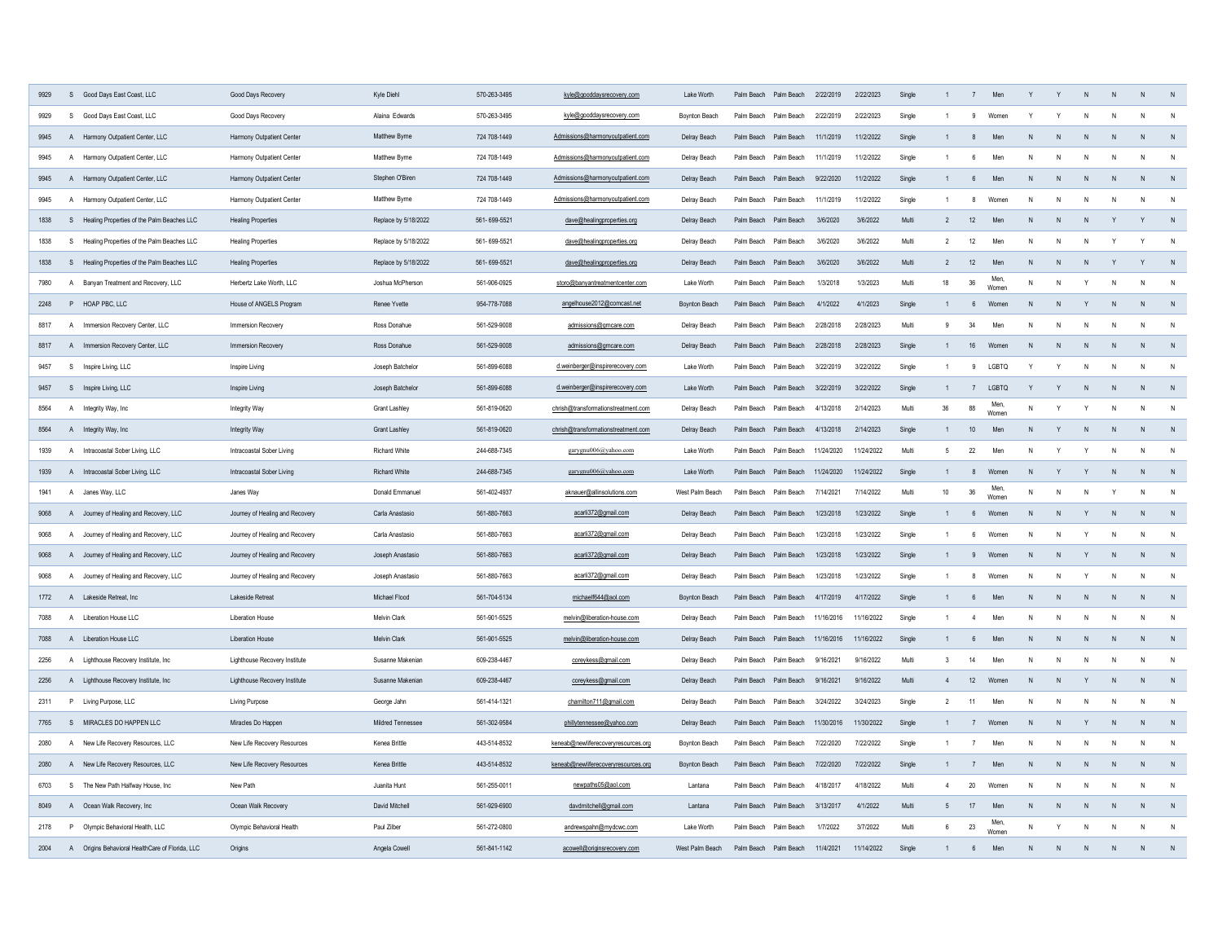| 9929 | S Good Days East Coast, LLC                      | Good Days Recovery              | Kyle Diehl           | 570-263-3495 | kyle@gooddaysrecovery.com           | Lake Worth           |                       | Palm Beach Palm Beach 2/22/2019 |            | 2/22/2023  | Single |                 |                 |               |              |              |              |              | N              |                |
|------|--------------------------------------------------|---------------------------------|----------------------|--------------|-------------------------------------|----------------------|-----------------------|---------------------------------|------------|------------|--------|-----------------|-----------------|---------------|--------------|--------------|--------------|--------------|----------------|----------------|
| 9929 | $\mathbf{s}$<br>Good Days East Coast, LLC        | Good Days Recovery              | Alaina Edwards       | 570-263-3495 | kyle@gooddaysrecovery.com           | Boynton Beach        |                       | Palm Beach Palm Beach           | 2/22/2019  | 2/22/2023  | Single |                 | 9               | Women         |              |              |              |              | N              |                |
| 9945 | A Harmony Outpatient Center, LLC                 | Harmony Outpatient Center       | Matthew Byrne        | 724 708-1449 | Admissions@harmonyoutpatient.com    | Delray Beach         |                       | Palm Beach Palm Beach           | 11/1/2019  | 11/2/2022  | Single |                 | $\mathbf{g}$    | Mer           |              |              |              |              | N              |                |
| 9945 | Harmony Outpatient Center, LLC<br>$\mathsf{A}$   | Harmony Outpatient Center       | Matthew Byrne        | 724 708-1449 | Admissions@harmonyoutpatient.com    | Delray Beach         | Palm Beach            | Palm Beach                      | 11/1/2019  | 11/2/2022  | Single | $\overline{1}$  | 6               | Men           |              | N            |              |              | N              | N              |
| 9945 | A Harmony Outpatient Center, LLC                 | Harmony Outpatient Center       | Stephen O'Biren      | 724 708-1449 | Admissions@harmonyoutpatient.com    | Delray Beach         |                       | Palm Beach Palm Beach           | 9/22/2020  | 11/2/2022  | Single | $\overline{1}$  | $6\overline{6}$ | Men           | $\mathbf{N}$ | $\mathsf{N}$ |              | $\mathsf{N}$ | $\mathbf N$    |                |
| 9945 | Harmony Outpatient Center, LLC<br>$\overline{A}$ | Harmony Outpatient Center       | Matthew Byrne        | 724 708-1449 | Admissions@harmonyoutpatient.com    | Delray Beach         | Palm Beach Palm Beach |                                 | 11/1/2019  | 11/2/2022  | Single | $\overline{1}$  | $\mathbf{g}$    | Women         | N            | N            |              |              | N              | N              |
| 1838 | S Healing Properties of the Palm Beaches LLC     | <b>Healing Properties</b>       | Replace by 5/18/2022 | 561-699-5521 | dave@healingproperties.org          | Delray Beach         | Palm Beach Palm Beach |                                 | 3/6/2020   | 3/6/2022   | Multi  | $\mathcal{P}$   | 12              | Men           | N            | N            |              |              | Y              | N              |
| 1838 | Healing Properties of the Palm Beaches LLC<br>S. | <b>Healing Properties</b>       | Replace by 5/18/2022 | 561-699-5521 | dave@healingproperties.org          | Delray Beach         | Palm Beach            | Palm Beach                      | 3/6/2020   | 3/6/2022   | Multi  | $\overline{2}$  | 12              | Mer           | N            | N            |              |              | Υ              | N              |
| 1838 | S Healing Properties of the Palm Beaches LLC     | <b>Healing Properties</b>       | Replace by 5/18/2022 | 561-699-5521 | dave@healingproperties.org          | Delray Beach         | Palm Beach Palm Beach |                                 | 3/6/2020   | 3/6/2022   | Multi  | $\overline{2}$  | 12              | Men           | N            | N            |              |              | Y              | N              |
| 7980 | A<br>Banyan Treatment and Recovery, LLC          | Herbertz Lake Worth, LLC        | Joshua McPherson     | 561-906-0925 | storo@banyantreatmentcenter.com     | Lake Worth           | Palm Beach            | Palm Beach                      | 1/3/2018   | 1/3/2023   | Multi  | 18              | 36              | Men.<br>Womer | N            | N            |              | N            | N              | $\mathsf{N}$   |
| 2248 | P HOAP PBC, LLC                                  | House of ANGELS Program         | Renee Yvette         | 954-778-7088 | angelhouse2012@comcast.net          | Boynton Beach        | Palm Beach            | Palm Beach                      | 4/1/2022   | 4/1/2023   | Single | $\mathbf{1}$    | $6\phantom{.0}$ | Women         | N            | N            | Y            | N            | N              | $\mathsf{N}$   |
| 8817 | Immersion Recovery Center, LLC<br>A              | Immersion Recovery              | Ross Donahue         | 561-529-9008 | admissions@grncare.com              | Delray Beach         | Palm Beach            | Palm Beach                      | 2/28/2018  | 2/28/2023  | Multi  | 9               | 34              | Men           |              | N            | N            | N            | N              | $\mathsf{N}$   |
| 8817 | A Immersion Recovery Center, LLC                 | Immersion Recovery              | Ross Donahue         | 561-529-9008 | admissions@grncare.com              | Delray Beach         |                       | Palm Beach Palm Beach           | 2/28/2018  | 2/28/2023  | Single | $\mathbf{1}$    | 16              | Women         | N            | ${\sf N}$    | N            | N            | $\mathsf{N}$   | $\mathsf{N}$   |
| 9457 | S Inspire Living, LLC                            | Inspire Living                  | Joseph Batchelor     | 561-899-6088 | d.weinberger@inspirerecovery.com    | Lake Worth           |                       | Palm Beach Palm Beach           | 3/22/2019  | 3/22/2022  | Single | $\mathbf{1}$    | 9               | LGBTQ         | Y            | Y            | N            | N            | N              | N              |
| 9457 | S Inspire Living, LLC                            | Inspire Living                  | Joseph Batchelor     | 561-899-6088 | d.weinberger@inspirerecovery.com    | Lake Worth           |                       | Palm Beach Palm Beach           | 3/22/2019  | 3/22/2022  | Single | $\mathbf{1}$    | 7               | LGBTQ         | Y            | Y            | $\mathsf{N}$ | N            | $\mathsf{N}$   | $\mathsf{N}$   |
| 8564 | A Integrity Way, Inc.                            | <b>Integrity Way</b>            | <b>Grant Lashlev</b> | 561-819-0620 | chrish@transformationstreatment.com | Delray Beach         |                       | Palm Beach Palm Beach           | 4/13/2018  | 2/14/2023  | Multi  | $36\,$          | 88              | Men<br>Women  | N            | Y            | Y            | N            | $\mathsf{N}$   | ${\sf N}$      |
| 8564 | A Integrity Way, Inc.                            | <b>Integrity Way</b>            | <b>Grant Lashley</b> | 561-819-0620 | chrish@transformationstreatment.com | Delray Beach         |                       | Palm Beach Palm Beach           | 4/13/2018  | 2/14/2023  | Single | $\mathbf{1}$    | 10              | Men           | $\mathsf{N}$ | Y            | N            | N            | N              | $\overline{N}$ |
| 1939 | A Intracoastal Sober Living, LLC                 | Intracoastal Sober Living       | <b>Richard White</b> | 244-688-7345 | garygnu006@yahoo.com                | Lake Worth           |                       | Palm Beach Palm Beach           | 11/24/2020 | 11/24/2022 | Multi  | 5               | 22              | Men           | N            | Y            |              | N            | N              | N              |
| 1939 | A Intracoastal Sober Living, LLC                 | Intracoastal Sober Living       | <b>Richard White</b> | 244-688-7345 | garygnu006@yahoo.com                | Lake Worth           | Palm Beach Palm Beach |                                 | 11/24/2020 | 11/24/2022 | Single | $\overline{1}$  | 8               | Women         | N            | Y            |              | N            | $\mathsf{N}$   | N              |
| 1941 | A Janes Way, LLC                                 | Janes Way                       | Donald Emmanuel      | 561-402-4937 | aknauer@allinsolutions.com          | West Palm Beach      | Palm Beach            | Palm Beach                      | 7/14/2021  | 7/14/2022  | Multi  | 10 <sub>1</sub> | 36              | Men.<br>Womer | N            | N            | N            |              | N              | N              |
| 9068 | A Journey of Healing and Recovery, LLC           | Journey of Healing and Recovery | Carla Anastasio      | 561-880-7663 | acarli372@gmail.com                 | Delray Beach         | Palm Beach            | Palm Beach                      | 1/23/2018  | 1/23/2022  | Single | $\overline{1}$  | $6\phantom{.}6$ | Women         | N            | $\mathsf{N}$ | Y            | N            | N              | N              |
| 9068 | A Journey of Healing and Recovery, LLC           | Journey of Healing and Recovery | Carla Anastasio      | 561-880-7663 | acarli372@gmail.com                 | Delray Beach         | Palm Beach            | Palm Beach                      | 1/23/2018  | 1/23/2022  | Single | $\overline{1}$  | 6               | Women         | N            | $\mathsf{N}$ |              |              | N              | N              |
| 9068 | A Journey of Healing and Recovery, LLC           | Journey of Healing and Recovery | Joseph Anastasio     | 561-880-7663 | acarli372@gmail.com                 | Delray Beach         | Palm Beach            | Palm Beach                      | 1/23/2018  | 1/23/2022  | Single | $\overline{1}$  | 9               | Womer         | N            | N            | Y            | N            | N              | N              |
| 9068 | A Journey of Healing and Recovery, LLC           | Journey of Healing and Recovery | Joseph Anastasio     | 561-880-7663 | acarli372@gmail.com                 | Delray Beach         | Palm Beach            | Palm Beach                      | 1/23/2018  | 1/23/2022  | Single | $\overline{1}$  | 8               | Women         | N            | N            | Y            | N            | N              | N              |
| 1772 | A Lakeside Retreat, Inc.                         | Lakeside Retreat                | Michael Flood        | 561-704-5134 | michaelf644@aol.com                 | <b>Boynton Beach</b> | Palm Beach            | Palm Beach                      | 4/17/2019  | 4/17/2022  | Single | $\overline{1}$  | 6               | Men           | N            | N            | N            | N            | $\overline{N}$ | $\mathsf{N}$   |
| 7088 | A Liberation House LLC                           | <b>Liberation House</b>         | Melvin Clark         | 561-901-5525 | melvin@liberation-house.com         | Delray Beach         | Palm Beach            | Palm Beach                      | 11/16/2016 | 11/16/2022 | Single | $\overline{1}$  | $\overline{4}$  | Men           | N            | N            | N            | N            | N              | N              |
| 7088 | A Liberation House LLC                           | <b>Liberation House</b>         |                      |              |                                     |                      |                       |                                 |            | 11/16/2022 | Single | $\mathbf{1}$    | 6               | Men           | N            | N            | N            | N            | N              | N              |
|      |                                                  |                                 | Melvin Clark         | 561-901-5525 | melvin@liberation-house.com         | Delray Beach         | Palm Beach            | Palm Beach                      | 11/16/2016 |            |        |                 |                 |               |              |              |              | N            | N              | $\mathsf{N}$   |
| 2256 | A Lighthouse Recovery Institute, Inc.            | Lighthouse Recovery Institute   | Susanne Makenian     | 609-238-4467 | coreykess@gmail.com                 | Delray Beach         | Palm Beach            | Palm Beach                      | 9/16/2021  | 9/16/2022  | Multi  | 3               | 14              | Men           | N            | N            | N            |              |                |                |
| 2256 | A Lighthouse Recovery Institute, Inc.            | Lighthouse Recovery Institute   | Susanne Makenian     | 609-238-4467 | coreykess@gmail.com                 | Delray Beach         | Palm Beach            | Palm Beach                      | 9/16/2021  | 9/16/2022  | Multi  | $\overline{4}$  | 12              | Womer         | N            | N            | Y            | N            | N              | N              |
| 2311 | P Living Purpose, LLC                            | <b>Living Purpose</b>           | George Jahn          | 561-414-1321 | chamilton711@gmail.com              | Delray Beach         | Palm Beach            | Palm Beach                      | 3/24/2022  | 3/24/2023  | Single | $\overline{2}$  | 11              | Men           | N            | N            | N            | N            | N              | $\mathsf{N}$   |
| 7765 | S MIRACLES DO HAPPEN LLC                         | Miracles Do Happen              | Mildred Tennessee    | 561-302-9584 | phillytennessee@yahoo.com           | Delray Beach         | Palm Beach            | Palm Beach                      | 11/30/2016 | 11/30/2022 | Single |                 | 7               | Women         | N            | ${\sf N}$    | Y            | ${\sf N}$    | N              | N              |
| 2080 | A<br>New Life Recovery Resources, LLC            | New Life Recovery Resources     | Kenea Brittle        | 443-514-8532 | keneab@newliferecoveryresources.org | Boynton Beach        | Palm Beach            | Palm Beach                      | 7/22/2020  | 7/22/2022  | Single |                 | $\overline{7}$  | Men           | N            | $\mathsf{N}$ | N            | N            | N              | N              |
| 2080 | A New Life Recovery Resources, LLC               | New Life Recovery Resources     | Kenea Brittle        | 443-514-8532 | keneab@newliferecoveryresources.org | Boynton Beach        | Palm Beach            | Palm Beach                      | 7/22/2020  | 7/22/2022  | Single | $\overline{1}$  | $\overline{7}$  | Men           | N            | N            | N            | $\mathsf{N}$ | N              | N              |
| 6703 | S<br>The New Path Halfway House, Inc             | New Path                        | Juanita Hunt         | 561-255-0011 | newpaths05@aol.com                  | Lantana              | Palm Beach            | Palm Beach                      | 4/18/2017  | 4/18/2022  | Multi  | $\overline{4}$  | 20              | Women         | N            | $\mathsf{N}$ | N            | N            | N              | N              |
| 8049 | A Ocean Walk Recovery, Inc.                      | Ocean Walk Recovery             | David Mitchell       | 561-929-6900 | davdmitchell@gmail.com              | Lantana              | Palm Beach            | Palm Beach                      | 3/13/2017  | 4/1/2022   | Multi  | 5               | 17              | Men           | N            | ${\sf N}$    | N            | N            | N              | N              |
| 2178 | P Olympic Behavioral Health, LLC                 | Olympic Behavioral Health       | Paul Zilber          | 561-272-0800 | andrewspahn@mydcwc.com              | Lake Worth           | Palm Beach            | Palm Beach                      | 1/7/2022   | 3/7/2022   | Multi  | $6^{\circ}$     | 23              | Men,<br>Women | $\mathsf{N}$ | $\mathsf{v}$ | N            | N            | N              | N              |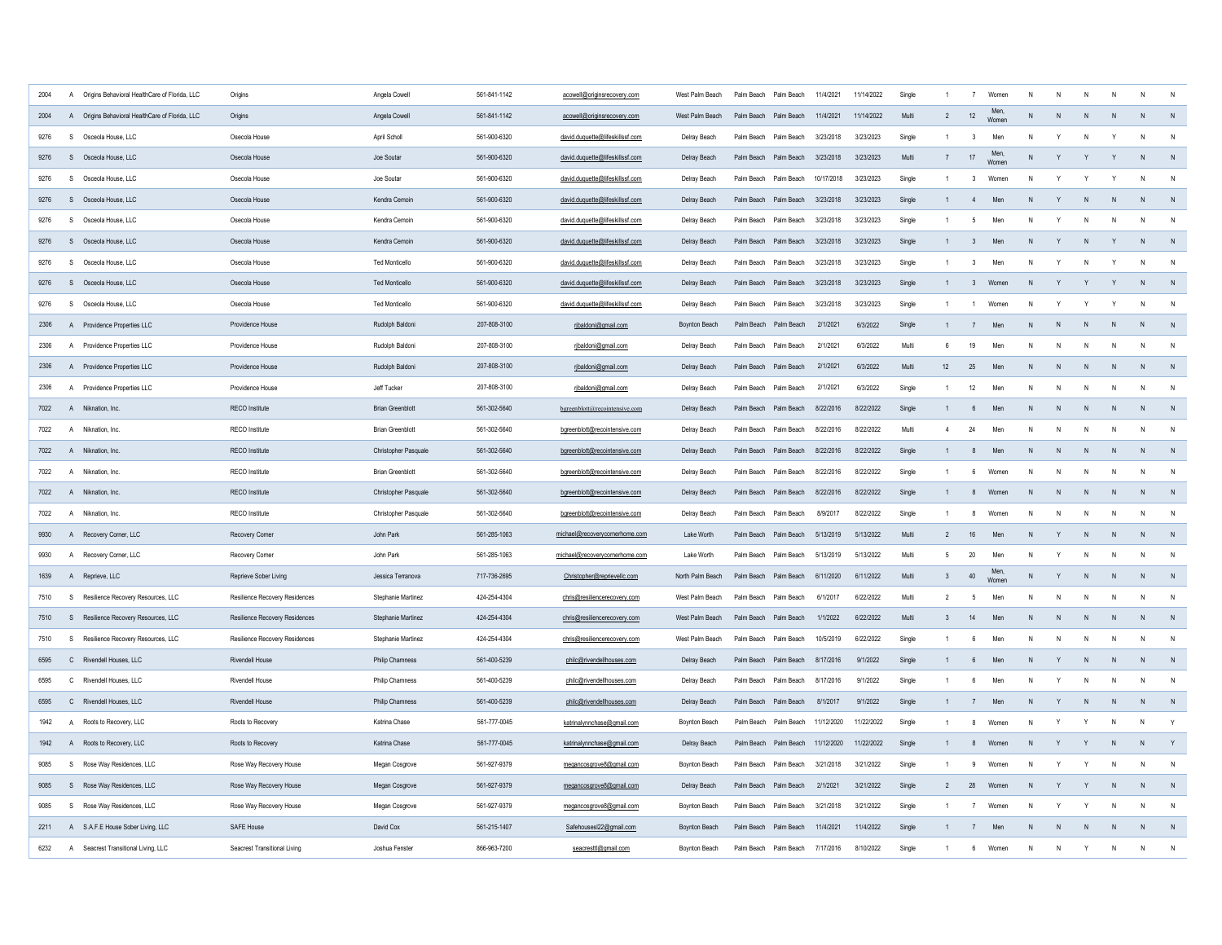| 2004 | $\mathsf{A}$   | Origins Behavioral HealthCare of Florida, LLC   | Origins                             | Angela Cowell           | 561-841-1142 | acowell@originsrecovery.com     | West Palm Beach      | Palm Beach Palm Beach |                       | 11/4/2021  | 11/14/2022 | Single |                  | $\overline{7}$          | Women        |              |              |                |              |              |                |
|------|----------------|-------------------------------------------------|-------------------------------------|-------------------------|--------------|---------------------------------|----------------------|-----------------------|-----------------------|------------|------------|--------|------------------|-------------------------|--------------|--------------|--------------|----------------|--------------|--------------|----------------|
| 2004 |                | A Origins Behavioral HealthCare of Florida, LLC | Origins                             | Angela Cowell           | 561-841-1142 | acowell@originsrecovery.com     | West Palm Beach      | Palm Beach Palm Beach |                       | 11/4/2021  | 11/14/2022 | Multi  | $\overline{2}$   | 12                      | Men.<br>Wome | N            | N            |                | N            | N            |                |
| 9276 | $\mathbf{s}$   | Osceola House, LLC                              | Osecola House                       | April Scholl            | 561-900-6320 | david.duquette@lifeskillssf.com | Delray Beach         | Palm Beach Palm Beach |                       | 3/23/2018  | 3/23/2023  | Single | $\overline{1}$   | 3                       | Men          | N            |              |                |              |              |                |
| 9276 |                | S Osceola House, LLC                            | Osecola House                       | Joe Soutar              | 561-900-6320 | david.duquette@lifeskillssf.com | Delray Beach         | Palm Beach Palm Beach |                       | 3/23/2018  | 3/23/2023  | Multi  | $\overline{7}$   | 17                      | Men<br>Womer | N            | Y            |                |              | N            |                |
| 9276 | S.             | Osceola House, LLC                              | Osecola House                       | Joe Soutar              | 561-900-6320 | david.duquette@lifeskillssf.com | Delray Beach         | Palm Beach Palm Beach |                       | 10/17/2018 | 3/23/2023  | Single | $\overline{1}$   | $\mathbf{3}$            | Women        | N            | $\mathsf{Y}$ |                |              | N            | N              |
| 9276 |                | S Osceola House, LLC                            | Osecola House                       | Kendra Cemoin           | 561-900-6320 | david.duquette@lifeskillssf.com | Delray Beach         | Palm Beach Palm Beach |                       | 3/23/2018  | 3/23/2023  | Single |                  | $\overline{4}$          | Men          | N            | Y            | N              | N            | N            | N              |
| 9276 | S.             | Osceola House, LLC                              | Osecola House                       | Kendra Cemoin           | 561-900-6320 | david.duquette@lifeskillssf.com | Delray Beach         | Palm Beach Palm Beach |                       | 3/23/2018  | 3/23/2023  | Single |                  | 5                       | Mer          | N            | Y            |                |              | N            | N              |
| 9276 |                | S Osceola House, LLC                            | Osecola House                       | Kendra Cemoin           | 561-900-6320 | david.duquette@lifeskillssf.com | Delray Beach         | Palm Beach Palm Beach |                       | 3/23/2018  | 3/23/2023  | Single |                  | $\overline{\mathbf{3}}$ | Men          | N            | Y            | N              |              | N            | N              |
| 9276 | S              | Osceola House, LLC                              | Osecola House                       | <b>Ted Monticello</b>   | 561-900-6320 | david.duquette@lifeskillssf.com | Delray Beach         | Palm Beach Palm Beach |                       | 3/23/2018  | 3/23/2023  | Single |                  | $\overline{\mathbf{3}}$ | Men          | N            | Y            |                |              | N            | $\mathsf{N}$   |
| 9276 |                | S Osceola House, LLC                            | Osecola House                       | <b>Ted Monticello</b>   | 561-900-6320 | david.duquette@lifeskillssf.com | Delray Beach         | Palm Beach Palm Beach |                       | 3/23/2018  | 3/23/2023  | Single |                  | 3                       | Women        | N            | Y            | Y              |              | N            | N              |
| 9276 | S              | Osceola House, LLC                              | Osecola House                       | <b>Ted Monticello</b>   | 561-900-6320 | david.duquette@lifeskillssf.com | Delray Beach         | Palm Beach Palm Beach |                       | 3/23/2018  | 3/23/2023  | Single | $\overline{1}$   | $\overline{1}$          | Women        | N            | Y            | Y              |              | N            | N              |
| 2306 |                | A Providence Properties LLC                     | Providence House                    | Rudolph Baldoni         | 207-808-3100 | rjbaldoni@gmail.com             | Boynton Beach        |                       | Palm Beach Palm Beach | 2/1/2021   | 6/3/2022   | Single | $\mathbf{1}$     | $\overline{7}$          | Men          | N            | N            | N              | $\mathsf{N}$ | N            | N              |
| 2306 |                | A Providence Properties LLC                     | Providence House                    | Rudolph Baldoni         | 207-808-3100 | ribaldoni@gmail.com             | Delray Beach         | Palm Beach Palm Beach |                       | 2/1/2021   | 6/3/2022   | Multi  | 6                | 19                      | Men          | N            | N            | N              | N            | N            | $\mathsf{N}$   |
| 2306 |                | A Providence Properties IIC                     | Providence House                    | Rudolph Baldoni         | 207-808-3100 | ribaldoni@gmail.com             | Delray Beach         | Palm Beach Palm Beach |                       | 2/1/2021   | 6/3/2022   | Multi  | 12 <sup>12</sup> | 25                      | Men          | N            | N            | N              | N            | $\mathsf{N}$ | $\mathsf{N}$   |
| 2306 |                | A Providence Properties LLC                     | Providence House                    | Jeff Tucker             | 207-808-3100 | rjbaldoni@gmail.com             | Delray Beach         | Palm Beach Palm Beach |                       | 2/1/2021   | 6/3/2022   | Single | $\overline{1}$   | 12                      | Men          | N            | N            | N              | N            | N            | $\mathsf{N}$   |
| 7022 |                | A Niknation, Inc.                               | RFCO Institute                      | <b>Brian Greenblott</b> | 561-302-5640 | bgreenblott@recointensive.com   | Delray Beach         | Palm Beach Palm Beach |                       | 8/22/2016  | 8/22/2022  | Single | $\mathbf{1}$     | $6^{\circ}$             | Men          | $\mathsf{N}$ | N            | N              | N            | $\mathsf{N}$ | N              |
| 7022 | $\mathsf{A}$   | Niknation, Inc.                                 | RECO Institute                      | <b>Brian Greenblott</b> | 561-302-5640 | bgreenblott@recointensive.com   | Delray Beach         | Palm Beach Palm Beach |                       | 8/22/2016  | 8/22/2022  | Multi  | $\overline{4}$   | 24                      | Men          | N            | N            | N              | N            | N            | N              |
| 7022 | A              | Niknation, Inc.                                 | RECO Institute                      | Christopher Pasquale    | 561-302-5640 | bgreenblott@recointensive.com   | Delray Beach         | Palm Beach Palm Beach |                       | 8/22/2016  | 8/22/2022  | Single | $\overline{1}$   | 8                       | Men          | N            | ${\sf N}$    | N              | N            | N            | $\overline{N}$ |
| 7022 | $\mathsf{A}$   | Niknation, Inc.                                 | RECO Institute                      | <b>Brian Greenblott</b> | 561-302-5640 | bgreenblott@recointensive.com   | Delray Beach         | Palm Beach Palm Beach |                       | 8/22/2016  | 8/22/2022  | Single | $\overline{1}$   | 6                       | Women        | N            | $\mathsf{N}$ | N              | $\mathsf{N}$ | N            | N              |
| 7022 | $\overline{A}$ | Niknation, Inc.                                 | RECO Institute                      | Christopher Pasquale    | 561-302-5640 | bgreenblott@recointensive.com   | Delray Beach         | Palm Beach            | Palm Beach            | 8/22/2016  | 8/22/2022  | Single |                  | 8                       | Womer        | N            | N            | N              | N            | N            | N              |
| 7022 | $\overline{A}$ | Niknation, Inc.                                 | RECO Institute                      | Christopher Pasquale    | 561-302-5640 | bgreenblott@recointensive.com   | Delray Beach         | Palm Beach            | Palm Beach            | 8/9/2017   | 8/22/2022  | Single |                  | 8                       | Womer        | N            | N            | N              | N            | N            | $\mathsf{N}$   |
| 9930 |                | A Recovery Corner, LLC                          | Recovery Corner                     | John Park               | 561-285-1063 | michael@recoverycomerhome.com   | Lake Worth           | Palm Beach Palm Beach |                       | 5/13/2019  | 5/13/2022  | Multi  | $\overline{2}$   | 16                      | Men          | N            | Y            | N              | N            | N            | N              |
| 9930 | $\mathsf{A}$   | Recovery Corner, LLC                            | Recovery Corner                     | John Park               | 561-285-1063 | michael@recoverycomerhome.com   | Lake Worth           | Palm Beach            | Palm Beach            | 5/13/2019  | 5/13/2022  | Multi  | -5               | 20                      | Men          | N            | Y            | N              | N            | N            | $\mathsf{N}$   |
| 1639 |                | A Reprieve, LLC                                 | Reprieve Sober Living               | Jessica Terranova       | 717-736-2695 | Christopher@reprievellc.com     | North Palm Beach     | Palm Beach Palm Beach |                       | 6/11/2020  | 6/11/2022  | Multi  | $\mathbf{3}$     | 40                      | Womer        | N            | Y            | N <sub>1</sub> | N            | N            | N              |
| 7510 | S.             | Resilience Recovery Resources, LLC              | Resilience Recovery Residences      | Stephanie Martinez      | 424-254-4304 | chris@resiliencerecovery.com    | West Palm Beach      | Palm Beach            | Palm Beach            | 6/1/2017   | 6/22/2022  | Multi  | $\overline{2}$   | -5                      | Men          | $\mathsf{N}$ | N            | N              | N            | N            | $\mathsf{N}$   |
| 7510 | S.             | Resilience Recovery Resources, LLC              | Resilience Recovery Residences      | Stephanie Martinez      | 424-254-4304 | chris@resiliencerecovery.com    | West Palm Beach      | Palm Beach Palm Beach |                       | 1/1/2022   | 6/22/2022  | Multi  | $\mathbf{3}$     | 14                      | Men          | N            | N            | N              | N            | N            | N              |
| 7510 | S.             | Resilience Recovery Resources, LLC              | Resilience Recovery Residences      | Stephanie Martinez      | 424-254-4304 | chris@resiliencerecovery.com    | West Palm Beach      | Palm Reach            | Palm Beach            | 10/5/2019  | 6/22/2022  | Single | $\overline{1}$   | 6                       | Men          | N            | N            | ${\sf N}$      | N            | ${\sf N}$    | $\mathsf{N}$   |
| 6595 |                | C Rivendell Houses, LLC                         | Rivendell House                     | Philip Chamness         | 561-400-5239 | philc@rivendellhouses.com       | Delray Beach         | Palm Beach            | Palm Beach            | 8/17/2016  | 9/1/2022   | Single |                  | $6\phantom{.0}$         | Men          | N            | Y            | ${\sf N}$      | ${\sf N}$    | ${\sf N}$    | N              |
| 6595 | $\mathsf{C}$   | Rivendell Houses, LLC                           | Rivendell House                     | Philip Chamness         | 561-400-5239 | philc@rivendellhouses.com       | Delray Beach         | Palm Beach            | Palm Beach            | 8/17/2016  | 9/1/2022   | Single |                  | 6                       | Men          | N            | Y            | N              | N            | N            | $\mathsf{N}$   |
| 6595 |                | C Rivendell Houses, LLC                         | Rivendell House                     | Philip Chamness         | 561-400-5239 | philc@rivendellhouses.com       | Delray Beach         | Palm Beach            | Palm Beach            | 8/1/2017   | 9/1/2022   | Single |                  | $\overline{7}$          | Men          | N            | Y            | N              | N            | N            | N              |
| 1942 | A              | Roots to Recovery, LLC                          | Roots to Recovery                   | Katrina Chase           | 561-777-0045 | katrinalynnchase@gmail.com      | Boynton Beach        | Palm Beach            | Palm Beach            | 11/12/2020 | 11/22/2022 | Single |                  | 8                       | Women        | N            | Y            | Υ              | N            | N            | Y              |
| 1942 | $\mathsf{A}$   | Roots to Recovery, LLC                          | Roots to Recovery                   | Katrina Chase           | 561-777-0045 | katrinalynnchase@gmail.com      | Delray Beach         |                       | Palm Beach Palm Beach | 11/12/2020 | 11/22/2022 | Single | $\mathbf{1}$     | $\mathbf{8}$            | Women        | N            | Y            | Y              | $\mathsf{N}$ | $\mathsf{N}$ | Y              |
| 9085 | S.             | Rose Way Residences, LLC                        | Rose Way Recovery House             | Megan Cosgrove          | 561-927-9379 | megancosgrove8@gmail.com        | Bovnton Beach        | Palm Beach            | Palm Beach            | 3/21/2018  | 3/21/2022  | Single |                  | 9                       | Women        | N            | Y            | Y              | N            | N            | N              |
| 9085 | $\mathbf{s}$   | Rose Way Residences, LLC                        | Rose Way Recovery House             | Megan Cosgrove          | 561-927-9379 | megancosgrove8@gmail.com        | Delray Beach         | Palm Beach Palm Beach |                       | 2/1/2021   | 3/21/2022  | Single | $\mathcal{P}$    | 28                      | Women        | N            | Y            |                | N            | N            | N              |
| 9085 | S.             | Rose Way Residences, LLC                        | Rose Way Recovery House             | Megan Cosgrove          | 561-927-9379 | megancosgrove8@gmail.com        | <b>Boynton Beach</b> | Palm Beach            | Palm Beach            | 3/21/2018  | 3/21/2022  | Single | -1               | $\overline{7}$          | Women        | N            | Y            | Y              | N.           | $\mathsf{N}$ | $\mathsf{N}$   |
| 2211 |                | A S.A.F.E House Sober Living, LLC               | SAFE House                          | David Cox               | 561-215-1407 | Safehousesl22@gmail.com         | <b>Boynton Beach</b> | Palm Reach Palm Reach |                       | 11/4/2021  | 11/4/2022  | Single | $\overline{1}$   | $\overline{7}$          | Men          | N            | N            | N              | N            | N            | N              |
| 6232 | A              | Seacrest Transitional Living, LLC               | <b>Seacrest Transitional Living</b> | Joshua Fenster          | 866-963-7200 | seacresttl@gmail.com            | Bovnton Beach        | Palm Beach            | Palm Beach            | 7/17/2016  | 8/10/2022  | Single |                  | $\boldsymbol{\kappa}$   | Women        | N            | $\mathsf{N}$ | Y              | N            | N            | N              |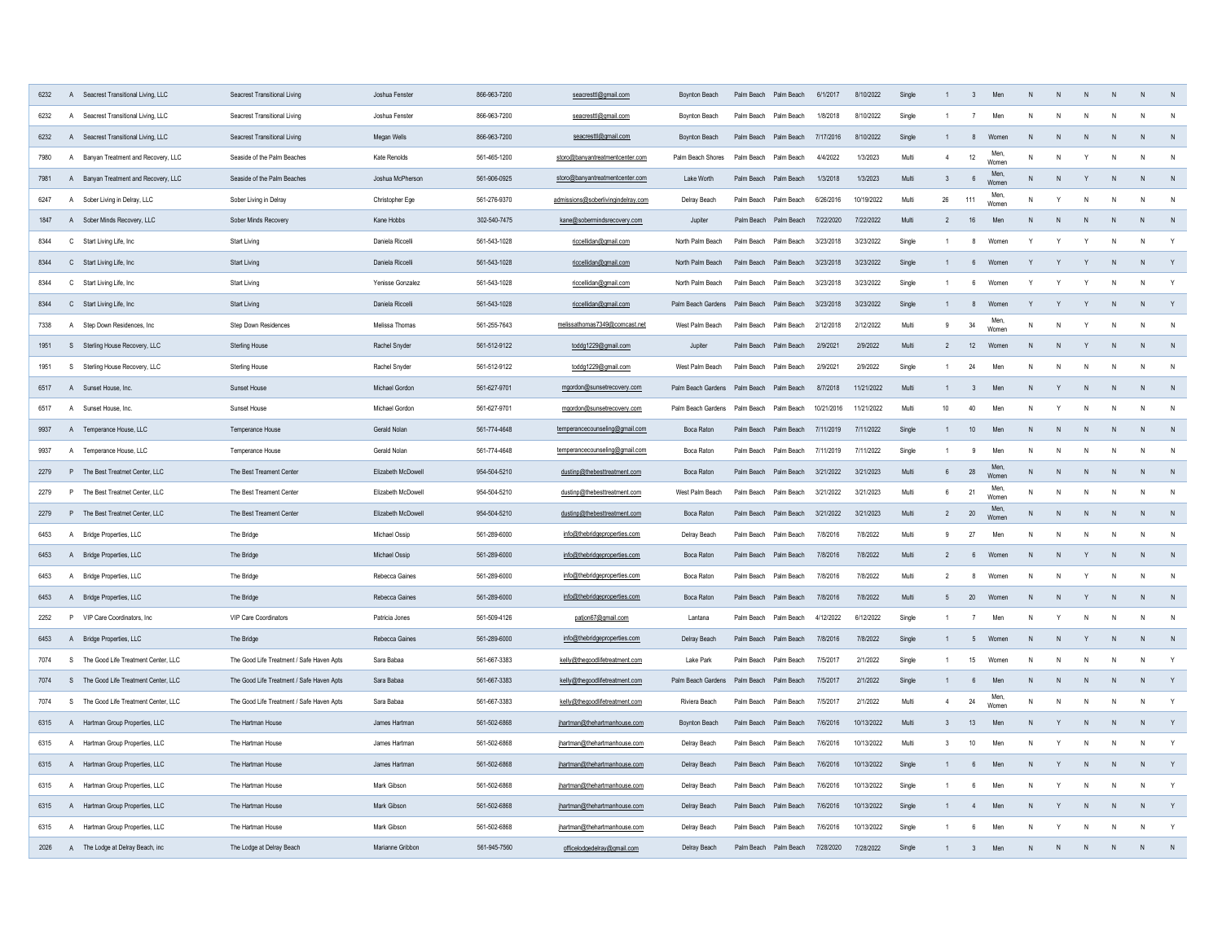| 6232 |              | A Seacrest Transitional Living, LLC   | Seacrest Transitional Living              | Joshua Fenster     | 866-963-7200 | seacresttl@gmail.com               | Boynton Beach                            |                       | Palm Beach Palm Beach | 6/1/2017   | 8/10/2022  | Single |                  | $\overline{3}$  | Men           |              |              |              |                | N            |              |
|------|--------------|---------------------------------------|-------------------------------------------|--------------------|--------------|------------------------------------|------------------------------------------|-----------------------|-----------------------|------------|------------|--------|------------------|-----------------|---------------|--------------|--------------|--------------|----------------|--------------|--------------|
| 6232 | $\mathsf{A}$ | Seacrest Transitional Living, LLC     | Seacrest Transitional Living              | Joshua Fenster     | 866-963-7200 | seacresttl@gmail.com               | Bovnton Beach                            |                       | Palm Beach Palm Beach | 1/8/2018   | 8/10/2022  | Single |                  | 7               | Men           | N            |              |              |                | N            |              |
| 6232 |              | A Seacrest Transitional Living, LLC   | Seacrest Transitional Living              | Megan Wells        | 866-963-7200 | seacresttl@gmail.com               | <b>Boynton Beach</b>                     |                       | Palm Beach Palm Beach | 7/17/2016  | 8/10/2022  | Single |                  | 8               | Women         | N            |              |              |                | N            |              |
| 7980 |              | A Banyan Treatment and Recovery, LLC  | Seaside of the Palm Beaches               | Kate Renolds       | 561-465-1200 | storo@banyantreatmentcenter.com    | Palm Beach Shores                        | Palm Beach Palm Beach |                       | 4/4/2022   | 1/3/2023   | Multi  | $\overline{4}$   | $12\,$          | Men<br>Womer  | N            | N            |              |                | ${\sf N}$    | N            |
| 7981 |              | A Banyan Treatment and Recovery, LLC  | Seaside of the Palm Beaches               | Joshua McPherson   | 561-906-0925 | storo@banyantreatmentcenter.com    | Lake Worth                               |                       | Palm Beach Palm Beach | 1/3/2018   | 1/3/2023   | Multi  | $\mathbf{3}$     | $\,6\,$         | Men<br>Women  | N            | N            |              | N              | N            |              |
| 6247 |              | A Sober Living in Delray, LLC         | Sober Living in Delray                    | Christopher Ege    | 561-276-9370 | admissions@soberlivingindelray.com | Delray Beach                             | Palm Beach Palm Beach |                       | 6/26/2016  | 10/19/2022 | Multi  | 26               | 111             | Men<br>Women  | N            | $\mathsf{v}$ |              | $\mathsf{N}$   | N            | N            |
| 1847 |              | A Sober Minds Recovery, LLC           | Sober Minds Recovery                      | Kane Hobbs         | 302-540-7475 | kane@sobermindsrecovery.com        | Jupiter                                  |                       | Palm Beach Palm Beach | 7/22/2020  | 7/22/2022  | Multi  | $\overline{2}$   | 16              | Men           | N            | N            |              | N              | N            | N            |
| 8344 |              | C Start Living Life, Inc              | Start Living                              | Daniela Riccelli   | 561-543-1028 | riccellidan@gmail.com              | North Palm Beach                         | Palm Beach Palm Beach |                       | 3/23/2018  | 3/23/2022  | Single |                  | 8               | Women         |              | Y            |              |                | N            | Y            |
| 8344 |              | C Start Living Life, Inc              | Start Living                              | Daniela Riccelli   | 561-543-1028 | riccellidan@gmail.com              | North Palm Beach                         | Palm Beach Palm Beach |                       | 3/23/2018  | 3/23/2022  | Single |                  | $6\overline{6}$ | Women         |              |              |              | ${\sf N}$      | N            | Y            |
| 8344 |              | C Start Living Life, Inc              | Start Living                              | Yenisse Gonzalez   | 561-543-1028 | riccellidan@gmail.com              | North Palm Beach                         | Palm Beach Palm Beach |                       | 3/23/2018  | 3/23/2022  | Single |                  | 6               | Women         |              |              |              | $\mathsf{N}$   | N            | Y            |
| 8344 |              | C Start Living Life, Inc              | Start Living                              | Daniela Riccelli   | 561-543-1028 | riccellidan@gmail.com              | Palm Beach Gardens                       | Palm Beach Palm Beach |                       | 3/23/2018  | 3/23/2022  | Single |                  | 8               | Women         | Y            | Y            |              | $\mathsf{N}$   | N            | Y            |
| 7338 |              | A Step Down Residences, Inc.          | Step Down Residences                      | Melissa Thomas     | 561-255-7643 | melissathomas7349@comcast.net      | West Palm Beach                          | Palm Beach Palm Beach |                       | 2/12/2018  | 2/12/2022  | Multi  | 9                | 34              | Men<br>Womer  | N            | N            |              | N              | N            | $\mathsf{N}$ |
| 1951 |              | S Sterling House Recovery, LLC        | Sterling House                            | Rachel Snyder      | 561-512-9122 | toddg1229@gmail.com                | Jupiter                                  |                       | Palm Beach Palm Beach | 2/9/2021   | 2/9/2022   | Multi  | $\overline{2}$   | 12              | Women         | N            | N            |              | N              | N            | N            |
| 1951 |              | S Sterling House Recovery, LLC        | Sterling House                            | Rachel Snyder      | 561-512-9122 | toddg1229@gmail.com                | West Palm Beach                          | Palm Beach Palm Beach |                       | 2/9/2021   | 2/9/2022   | Single |                  | 24              | Men           | N            | N            | $\mathsf{N}$ | $\mathsf{N}$   | $\mathsf{N}$ | $\mathsf{N}$ |
| 6517 |              | A Sunset House, Inc.                  | Sunset House                              | Michael Gordon     | 561-627-9701 | mgordon@sunsetrecovery.com         | Palm Beach Gardens Palm Beach Palm Beach |                       |                       | 8/7/2018   | 11/21/2022 | Multi  | $\overline{1}$   | $\overline{3}$  | Men           | N            | Y            | N            | N              | N            | N            |
| 6517 |              | A Sunset House, Inc.                  | Sunset House                              | Michael Gordon     | 561-627-9701 | mgordon@sunsetrecovery.com         | Palm Beach Gardens Palm Beach Palm Beach |                       |                       | 10/21/2016 | 11/21/2022 | Multi  | 10 <sup>10</sup> | 40              | Men           | N            | Y            | N            | $\mathsf{N}$   | $\mathsf{N}$ | N            |
| 9937 |              | A Temperance House, LLC               | Temperance House                          | Gerald Nolan       | 561-774-4648 | temperancecounseling@gmail.com     | Boca Rator                               |                       | Palm Beach Palm Beach | 7/11/2019  | 7/11/2022  | Single |                  | 10              | Men           | N            | N            | N            | N              | N            | N            |
| 9937 |              | A Temperance House, LLC               | Temperance House                          | Gerald Nolan       | 561-774-4648 | temperancecounseling@gmail.com     | Boca Raton                               |                       | Palm Beach Palm Beach | 7/11/2019  | 7/11/2022  | Single | $\overline{1}$   | 9               | Men           | N            | N            | N            | N              | N            | $\mathsf{N}$ |
| 2279 |              | P The Best Treatmet Center, LLC       | The Best Treament Center                  | Elizabeth McDowell | 954-504-5210 | dustinp@thebesttreatment.com       | Boca Raton                               |                       | Palm Beach Palm Beach | 3/21/2022  | 3/21/2023  | Multi  | $6\overline{6}$  | 28              | Men,<br>Womer | N            | N            | N            | N              | $\mathsf{N}$ | N            |
| 2279 |              | P The Best Treatmet Center, LLC       | The Best Treament Center                  | Elizabeth McDowell | 954-504-5210 | dustinp@thebesttreatment.com       | West Palm Beach                          |                       | Palm Beach Palm Beach | 3/21/2022  | 3/21/2023  | Multi  | 6                | 21              | Men.<br>Womer | $\mathsf{N}$ | N            | N            | $\mathsf{N}$   | $\mathsf{N}$ | N            |
| 2279 |              | P The Best Treatmet Center, LLC       | The Best Treament Center                  | Elizabeth McDowell | 954-504-5210 | dustinp@thebesttreatment.com       | <b>Boca Raton</b>                        |                       | Palm Beach Palm Beach | 3/21/2022  | 3/21/2023  | Multi  | $\overline{2}$   | 20              | Men.<br>Women | N            | N            |              | N              | N            | N            |
| 6453 |              | A Bridge Properties, LLC              | The Bridge                                | Michael Ossip      | 561-289-6000 | info@thebridgeproperties.com       | Delray Beach                             | Palm Beach            | Palm Beach            | 7/8/2016   | 7/8/2022   | Multi  | 9                | 27              | Men           | $\mathsf{N}$ | N            |              | N              | N            | N            |
| 6453 |              | A Bridge Properties, LLC              | The Bridge                                | Michael Ossip      | 561-289-6000 | info@thebridgeproperties.com       | Boca Rator                               | Palm Beach Palm Beach |                       | 7/8/2016   | 7/8/2022   | Multi  | $\overline{2}$   | 6               | Women         | $\mathsf{N}$ | N            |              | N <sub>1</sub> | N            | N            |
| 6453 |              | A Bridge Properties, LLC              | The Bridge                                | Rebecca Gaines     | 561-289-6000 | info@thebridgeproperties.com       | Boca Raton                               | Palm Beach Palm Beach |                       | 7/8/2016   | 7/8/2022   | Multi  | $\overline{2}$   | 8               | Women         | N            | N            | Y            | N              | N            | N            |
| 6453 |              | A Bridge Properties, LLC              | The Bridge                                | Rebecca Gaines     | 561-289-6000 | info@thebridgeproperties.com       | Boca Rator                               | Palm Beach Palm Beach |                       | 7/8/2016   | 7/8/2022   | Multi  | $-5$             | 20              | Women         | N            | N            | Y            | N              | N            | N            |
| 2252 |              | P VIP Care Coordinators, Inc.         | VIP Care Coordinators                     | Patricia Jones     | 561-509-4126 | patjon67@gmail.com                 | Lantana                                  | Palm Beach Palm Beach |                       | 4/12/2022  | 6/12/2022  | Single | $\overline{1}$   | $\overline{7}$  | Men           | N            | Y            | N            | N              | N            | N            |
| 6453 |              | A Bridge Properties, LLC              | The Bridge                                | Rebecca Gaines     | 561-289-6000 | info@thebridgeproperties.com       | Delray Beach                             |                       | Palm Reach Palm Reach | 7/8/2016   | 7/8/2022   | Single |                  | -5              | Women         | N            | N            | Y            | N              | N            | N            |
| 7074 |              | S The Good Life Treatment Center, LLC | The Good Life Treatment / Safe Haven Apts | Sara Babaa         | 561-667-3383 | kelly@thegoodlifetreatment.com     | Lake Park                                | Palm Beach            | Palm Beach            | 7/5/2017   | 2/1/2022   | Single |                  | 15              | Women         | N            | N            |              | N              | N            | Y            |
| 7074 |              | S The Good Life Treatment Center, LLC | The Good Life Treatment / Safe Haven Apts | Sara Babaa         | 561-667-3383 | kelly@thegoodlifetreatment.com     | Palm Beach Gardens                       | Palm Beach Palm Beach |                       | 7/5/2017   | 2/1/2022   | Single |                  | 6               | Men           | N            | N            | N            | N              | $\mathsf{N}$ | Y            |
| 7074 | S            | The Good Life Treatment Center, LLC   | The Good Life Treatment / Safe Haven Apts | Sara Babaa         | 561-667-3383 | kelly@thegoodlifetreatment.com     | Riviera Beach                            | Palm Beach            | Palm Beach            | 7/5/2017   | 2/1/2022   | Multi  | $\overline{4}$   | 24              | Men.<br>Womer | N            | N            |              | N              | $\mathsf{N}$ | Y            |
| 6315 |              | A Hartman Group Properties, LLC       | The Hartman House                         | James Hartman      | 561-502-6868 | jhartman@thehartmanhouse.com       | Boynton Beach                            | Palm Beach            | Palm Beach            | 7/6/2016   | 10/13/2022 | Multi  | 3                | 13              | Men           | N            | Y            |              | $\mathsf{N}$   | N            | Y            |
| 6315 | A            | Hartman Group Properties, LLC         | The Hartman House                         | James Hartman      | 561-502-6868 | jhartman@thehartmanhouse.com       | Delray Beach                             | Palm Beach            | Palm Beach            | 7/6/2016   | 10/13/2022 | Multi  | $\mathbf{3}$     | $10\,$          | Men           | N            | Y            |              | $\mathsf{N}$   | N            | Y            |
| 6315 |              | A Hartman Group Properties, LLC       | The Hartman House                         | James Hartman      | 561-502-6868 | jhartman@thehartmanhouse.com       | Delray Beach                             |                       | Palm Beach Palm Beach | 7/6/2016   | 10/13/2022 | Single |                  | $6^{\circ}$     | Men           | N            | Y            |              | N              | N            | Y            |
| 6315 | $\mathsf{A}$ | Hartman Group Properties, LLC         | The Hartman House                         | Mark Gibson        | 561-502-6868 | jhartman@thehartmanhouse.com       | Delray Beach                             |                       | Palm Beach Palm Beach | 7/6/2016   | 10/13/2022 | Single |                  | $6^{\circ}$     | Men           | N            | Y            | N            | $\mathsf{N}$   | N            | Y            |
| 6315 |              | A Hartman Group Properties, LLC       | The Hartman House                         | Mark Gibson        | 561-502-6868 | jhartman@thehartmanhouse.com       | Delray Beach                             |                       | Palm Beach Palm Beach | 7/6/2016   | 10/13/2022 | Single |                  | $\overline{4}$  | Men           | N            | Y            |              | N              | N            | Y            |
| 6315 |              | A Hartman Group Properties, LLC       | The Hartman House                         | Mark Gibson        | 561-502-6868 | jhartman@thehartmanhouse.com       | Delray Beach                             |                       | Palm Reach Palm Reach | 7/6/2016   | 10/13/2022 | Single |                  | $\mathbf{f}$    | Men           | N            | Y            |              | N              | N            | $\mathsf{v}$ |
| 2026 |              | A The Lodge at Delray Beach, inc      | The Lodge at Delray Beach                 | Marianne Gribbon   | 561-945-7560 | officelodgedelray@gmail.com        | Delray Beach                             |                       | Palm Beach Palm Beach | 7/28/2020  | 7/28/2022  | Single |                  | $\mathcal{R}$   | Men           | $\mathsf{N}$ | $\mathbf N$  |              | $\mathsf{N}$   | N            | N            |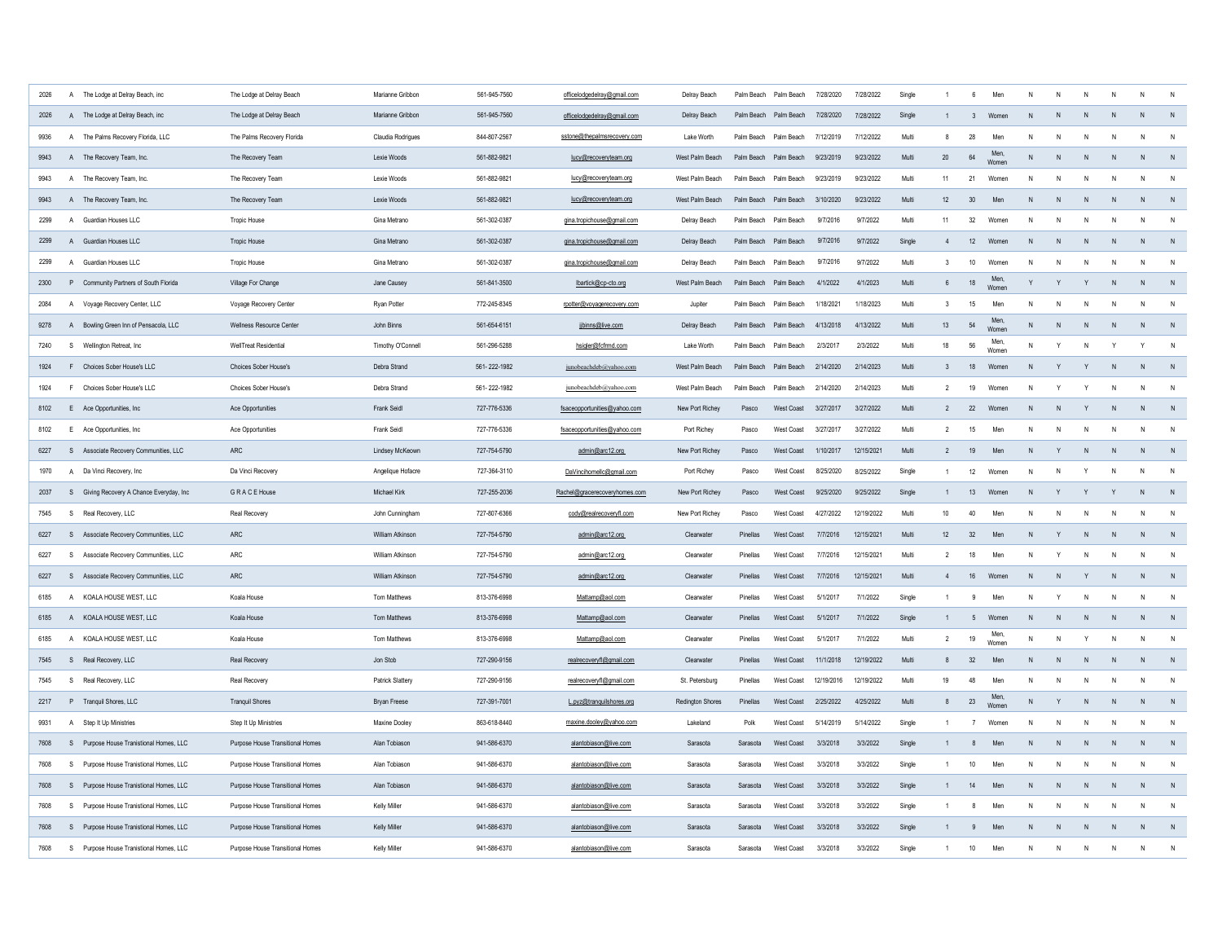| 2026 | $\mathsf{A}$   | The Lodge at Delray Beach, inc          | The Lodge at Delray Beach        | Marianne Gribbon        | 561-945-7560 | officelodgedelray@gmail.com   | Delray Beach            |                       | Palm Beach Palm Beach | 7/28/2020  | 7/28/2022  | Single |                          | $6\overline{6}$  | Men           |              |                |              |              | N            |              |
|------|----------------|-----------------------------------------|----------------------------------|-------------------------|--------------|-------------------------------|-------------------------|-----------------------|-----------------------|------------|------------|--------|--------------------------|------------------|---------------|--------------|----------------|--------------|--------------|--------------|--------------|
| 2026 |                | A The Lodge at Delray Beach, inc        | The Lodge at Delray Beach        | Marianne Gribbon        | 561-945-7560 | officelodgedelray@gmail.com   | Delray Beach            |                       | Palm Beach Palm Beach | 7/28/2020  | 7/28/2022  | Single |                          | 3                | Women         | N            |                |              | N            | N            | N            |
| 9936 |                | A The Palms Recovery Florida, LLC       | The Palms Recovery Florida       | Claudia Rodrigues       | 844-807-2567 | sstone@thepalmsrecovery.com   | Lake Worth              |                       | Palm Beach Palm Beach | 7/12/2019  | 7/12/2022  | Multi  | 8                        | 28               | Men           |              |                |              |              | N            |              |
| 9943 |                | A The Recovery Team, Inc.               | The Recovery Team                | Lexie Woods             | 561-882-9821 | lucy@recoveryteam.org         | West Palm Beach         |                       | Palm Beach Palm Beach | 9/23/2019  | 9/23/2022  | Multi  | 20                       | 64               | Men<br>Womer  | $\mathsf{N}$ | N              |              | N            | N            |              |
| 9943 |                | A The Recovery Team, Inc.               | The Recovery Team                | Lexie Woods             | 561-882-9821 | lucy@recoveryteam.org         | West Palm Beach         |                       | Palm Beach Palm Beach | 9/23/2019  | 9/23/2022  | Multi  | 11                       | 21               | Women         | N            | N              |              | N            | N            | N            |
| 9943 |                | A The Recovery Team, Inc.               | The Recovery Team                | Lexie Woods             | 561-882-9821 | lucy@recoveryteam.org         | West Palm Beach         |                       | Palm Beach Palm Beach | 3/10/2020  | 9/23/2022  | Multi  | 12                       | 30               | Men           | N            | N              |              | $\mathsf{N}$ | N            | N            |
| 2299 | $\mathsf{A}$   | Guardian Houses LLC                     | <b>Tropic House</b>              | Gina Metrano            | 561-302-0387 | gina.tropichouse@gmail.com    | Delray Beach            | Palm Beach Palm Beach |                       | 9/7/2016   | 9/7/2022   | Multi  | 11                       | 32               | Womer         | N            |                |              |              | N            | N            |
| 2299 |                | A Guardian Houses LLC                   | <b>Tropic House</b>              | Gina Metrano            | 561-302-0387 | gina.tropichouse@gmail.com    | Delray Beach            | Palm Beach Palm Beach |                       | 9/7/2016   | 9/7/2022   | Single | $\overline{4}$           | 12               | Women         | N            | N <sub>N</sub> | N            | N            | N            | N            |
| 2299 | $\overline{A}$ | Guardian Houses LLC                     | <b>Tropic House</b>              | Gina Metrano            | 561-302-0387 | gina.tropichouse@gmail.com    | Delray Beach            |                       | Palm Beach Palm Beach | 9/7/2016   | 9/7/2022   | Multi  | 3                        | 10               | Women         | N            |                |              | N            | ${\sf N}$    | $\mathsf{N}$ |
| 2300 |                | P Community Partners of South Florida   | Village For Change               | Jane Causey             | 561-841-3500 | lbartick@cp-cto.org           | West Palm Beach         |                       | Palm Beach Palm Beach | 4/1/2022   | 4/1/2023   | Multi  | $6\overline{6}$          | 18               | Men,<br>Womer | Y            | Y              | Y            | $\mathsf{N}$ | N            | N            |
| 2084 |                | A Voyage Recovery Center, LLC           | Voyage Recovery Center           | Ryan Potter             | 772-245-8345 | rpotter@voyagerecovery.com    | Jupiter                 |                       | Palm Beach Palm Beach | 1/18/2021  | 1/18/2023  | Multi  | 3                        | 15               | Men           | N            | N              | N            | $\mathsf{N}$ | N            | N            |
| 9278 |                | A Bowling Green Inn of Pensacola, LLC   | Wellness Resource Center         | John Binns              | 561-654-6151 | jjbinns@live.com              | Delray Beach            |                       | Palm Beach Palm Beach | 4/13/2018  | 4/13/2022  | Multi  | 13                       | 54               | Men.<br>Wome  | N            | N              | N            | $\mathsf{N}$ | $\mathsf{N}$ | N            |
| 7240 | S              | Wellington Retreat, Inc.                | <b>WellTreat Residential</b>     | Timothy O'Connell       | 561-296-5288 | hsigler@fcfmd.com             | Lake Worth              |                       | Palm Beach Palm Beach | 2/3/2017   | 2/3/2022   | Multi  | 18                       | 56               | Men<br>Women  | N            | Y              | N            | Y            | Y            | N            |
| 1924 |                | F Choices Sober House's LLC             | Choices Sober House's            | Debra Strand            | 561-222-1982 | junobeachdeb@yahoo.com        | West Palm Beach         |                       | Palm Beach Palm Beach | 2/14/2020  | 2/14/2023  | Multi  | $\mathbf{3}$             | 18               | Women         | N            | Y              | $\mathsf{v}$ | N            | ${\sf N}$    | $\,$ N       |
| 1924 |                | F Choices Sober House's LLC             | Choices Sober House's            | Debra Strand            | 561-222-1982 | junobeachdeb@yahoo.com        | West Palm Beach         | Palm Beach            | Palm Beach            | 2/14/2020  | 2/14/2023  | Multi  | $\overline{2}$           | 19               | Women         | N            | Y              | Y            | $\mathsf{N}$ | $\mathsf{N}$ | N            |
| 8102 |                | E Ace Opportunities, Inc.               | Ace Opportunities                | Frank Seidl             | 727-776-5336 | fsaceopportunities@yahoo.com  | New Port Richev         | Pasco                 | West Coast            | 3/27/2017  | 3/27/2022  | Multi  | $\overline{\phantom{a}}$ | 22               | Women         | N            | N              | Y            | N            | $\mathsf{N}$ | N            |
| 8102 |                | E Ace Opportunities, Inc.               | Ace Opportunities                | Frank Seidl             | 727-776-5336 | fsaceopportunities@yahoo.com  | Port Richey             | Pasco                 | West Coast            | 3/27/2017  | 3/27/2022  | Multi  | $\overline{2}$           | 15               | Men           | N            | N              | N            | N            | N            | $\mathsf{N}$ |
| 6227 |                | S Associate Recovery Communities, LLC   | <b>ARC</b>                       | Lindsey McKeown         | 727-754-5790 | admin@arc12.org               | New Port Richey         | Pasco                 | West Coast            | 1/10/2017  | 12/15/2021 | Multi  | $\overline{2}$           | 19               | Men           | N            | Y              | N            | N            | ${\sf N}$    | $\,$ N       |
| 1970 |                | A Da Vinci Recovery, Inc.               | Da Vinci Recovery                | Angelique Hofacre       | 727-364-3110 | DaVincihomellc@gmail.com      | Port Richey             | Pasco                 | <b>West Coast</b>     | 8/25/2020  | 8/25/2022  | Single |                          | 12               | Women         | N            | $\mathsf{N}$   |              | N            | $\mathsf{N}$ | ${\sf N}$    |
| 2037 | S              | Giving Recovery A Chance Everyday, Inc  | <b>GRACE House</b>               | Michael Kirk            | 727-255-2036 | Rachel@gracerecoveryhomes.com | New Port Richey         | Pasco                 | West Coast            | 9/25/2020  | 9/25/2022  | Single |                          | 13               | Women         | N            | Y              |              |              | N            | N            |
| 7545 | s              | Real Recovery, LLC                      | Real Recovery                    | John Cunningham         | 727-807-6366 | cody@realrecoveryfl.com       | New Port Richey         | Pasco                 | West Coast            | 4/27/2022  | 12/19/2022 | Multi  | 10 <sup>10</sup>         | 40               | Men           | N            | N              |              | N            | $\mathsf{N}$ | N            |
| 6227 |                | S Associate Recovery Communities, LLC   | ARC                              | William Atkinson        | 727-754-5790 | admin@arc12.org               | Clearwater              | Pinellas              | <b>West Coast</b>     | 7/7/2016   | 12/15/2021 | Multi  | 12                       | 32               | Men           | N            | Y              | N            | N            | N            | N            |
| 6227 |                | S Associate Recovery Communities, LLC   | ARC                              | William Atkinson        | 727-754-5790 | admin@arc12.org               | Clearwater              | Pinellas              | West Coast            | 7/7/2016   | 12/15/2021 | Multi  | $\mathcal{P}$            | 18               | Men           | ${\sf N}$    | Y              | $\mathsf{N}$ | N            | $\mathsf{N}$ | $\mathsf{N}$ |
| 6227 |                | S Associate Recovery Communities, LLC   | <b>ARC</b>                       | <b>William Atkinson</b> | 727-754-5790 | admin@arc12.org               | Clearwater              | Pinellas              | West Coast            | 7/7/2016   | 12/15/2021 | Multi  | $\overline{4}$           | 16               | Women         | N            | N              |              | N            | N            | N            |
| 6185 |                | A KOALA HOUSE WEST, LLC                 | Koala House                      | <b>Tom Matthews</b>     | 813-376-6998 | Mattamp@aol.com               | Clearwater              | Pinellas              | West Coast            | 5/1/2017   | 7/1/2022   | Single |                          | 9                | Men           | $\mathsf{N}$ | Y              | N            | N            | $\mathsf{N}$ | $\mathsf{N}$ |
| 6185 |                | A KOALA HOUSE WEST, LLC                 | Koala House                      | Tom Matthews            | 813-376-6998 | Mattamp@aol.com               | Clearwater              | Pinellas              | West Coast            | 5/1/2017   | 7/1/2022   | Single |                          | 5                | Women         | N            | N              | N            | N            | N            | N            |
| 6185 |                | A KOALA HOUSE WEST, LLC                 | Koala House                      | Tom Matthews            | 813-376-6998 | Mattamp@aol.com               | Cleanvater              | Pinellas              | West Coast            | 5/1/2017   | 7/1/2022   | Multi  | $\overline{2}$           | 19               | Men,<br>Women | ${\sf N}$    | N              | Y            | ${\sf N}$    | N            | N            |
| 7545 |                | S Real Recovery, LLC                    | Real Recovery                    | Jon Stob                | 727-290-9156 | realrecoveryfl@gmail.com      | Clearwater              | Pinellas              | West Coast            | 11/1/2018  | 12/19/2022 | Multi  | 8                        | 32               | Men           | ${\sf N}$    | N              | ${\sf N}$    | ${\sf N}$    | N            | N            |
| 7545 | S              | Real Recovery, LLC                      | Real Recovery                    | Patrick Slattery        | 727-290-9156 | realrecoveryfl@gmail.com      | St. Petersburg          | Pinellas              | West Coast            | 12/19/2016 | 12/19/2022 | Multi  | 19                       | 48               | Men           | N            | N              | N            | $\mathsf{N}$ | $\mathsf{N}$ | N            |
| 2217 |                | P Tranquil Shores, LLC                  | <b>Tranquil Shores</b>           | <b>Bryan Freese</b>     | 727-391-7001 | L.pyz@tranquilshores.org      | <b>Redington Shores</b> | Pinellas              | West Coast            | 2/25/2022  | 4/25/2022  | Multi  | 8                        | 23               | Men.<br>Womer | ${\sf N}$    | Y              | N            | N            | N            | N            |
| 9931 | $\mathsf{A}$   | Step It Up Ministries                   | Step It Up Ministries            | Maxine Dooley           | 863-618-8440 | maxine.dooley@yahoo.com       | Lakeland                | Polk                  | <b>West Coast</b>     | 5/14/2019  | 5/14/2022  | Single |                          | $\overline{7}$   | Women         | N            | N              | N            | N            | N            | N            |
| 7608 |                | S Purpose House Tranistional Homes, LLC | Purpose House Transitional Homes | Alan Tobiason           | 941-586-6370 | alantobiason@live.com         | Sarasota                | Sarasota              | West Coast            | 3/3/2018   | 3/3/2022   | Single |                          | 8                | Men           | ${\sf N}$    | ${\sf N}$      | N            | N            | N            | N            |
| 7608 |                | S Purpose House Tranistional Homes, LLC | Purpose House Transitional Homes | Alan Tobiason           | 941-586-6370 | alantobiason@live.com         | Sarasota                | Sarasota              | West Coast            | 3/3/2018   | 3/3/2022   | Single |                          | 10 <sup>10</sup> | Men           | N            | N              | $\mathsf{N}$ | $\mathsf{N}$ | N            | N            |
| 7608 |                | S Purpose House Tranistional Homes, LLC | Purpose House Transitional Homes | Alan Tobiason           | 941-586-6370 | alantobiason@live.com         | Sarasota                | Sarasota              | West Coast            | 3/3/2018   | 3/3/2022   | Single |                          | 14               | Men           | ${\sf N}$    | N              | N            | N            | $\mathsf{N}$ | N            |
| 7608 | S              | Purpose House Tranistional Homes, LLC   | Purpose House Transitional Homes | Kelly Miller            | 941-586-6370 | alantobiason@live.com         | Sarasota                | Sarasota              | West Coast            | 3/3/2018   | 3/3/2022   | Single |                          | 8                | Men           | $\mathsf{N}$ | N              | N            | N            | $\mathsf{N}$ | N            |
| 7608 |                | S Purpose House Tranistional Homes, LLC | Purpose House Transitional Homes | Kelly Miller            | 941-586-6370 | alantobiason@live.com         | Sarasota                | Sarasota              | West Coast            | 3/3/2018   | 3/3/2022   | Single |                          | $\mathbf{q}$     | Men           | $\mathsf{N}$ | N              | N            | N            | N            | N            |
| 7608 | S              | Purpose House Tranistional Homes, LLC   | Purpose House Transitional Homes | Kelly Miller            | 941-586-6370 | alantobiason@live.com         | Sarasota                | Sarasota              | West Coast            | 3/3/2018   | 3/3/2022   | Single |                          | 10               | Men           | $\mathsf{N}$ | N              | N            | $\mathsf{N}$ | $\mathsf{N}$ | N            |